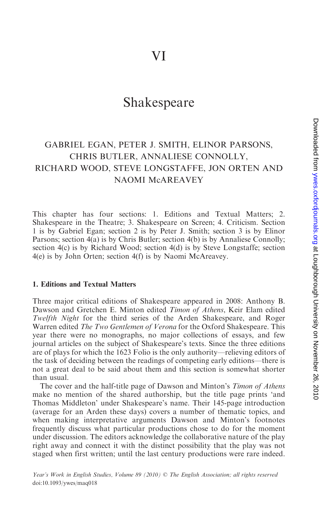# Shakespeare

## GABRIEL EGAN, PETER J. SMITH, ELINOR PARSONS, CHRIS BUTLER, ANNALIESE CONNOLLY, RICHARD WOOD, STEVE LONGSTAFFE, JON ORTEN AND NAOMI McAREAVEY

This chapter has four sections: 1. Editions and Textual Matters; 2. Shakespeare in the Theatre; 3. Shakespeare on Screen; 4. Criticism. Section 1 is by Gabriel Egan; section 2 is by Peter J. Smith; section 3 is by Elinor Parsons; section 4(a) is by Chris Butler; section 4(b) is by Annaliese Connolly; section 4(c) is by Richard Wood; section 4(d) is by Steve Longstaffe; section 4(e) is by John Orten; section 4(f) is by Naomi McAreavey.

## 1. Editions and Textual Matters

Three major critical editions of Shakespeare appeared in 2008: Anthony B. Dawson and Gretchen E. Minton edited Timon of Athens, Keir Elam edited Twelfth Night for the third series of the Arden Shakespeare, and Roger Warren edited The Two Gentlemen of Verona for the Oxford Shakespeare. This year there were no monographs, no major collections of essays, and few journal articles on the subject of Shakespeare's texts. Since the three editions are of plays for which the 1623 Folio is the only authority—relieving editors of the task of deciding between the readings of competing early editions—there is not a great deal to be said about them and this section is somewhat shorter than usual.

The cover and the half-title page of Dawson and Minton's Timon of Athens make no mention of the shared authorship, but the title page prints 'and Thomas Middleton' under Shakespeare's name. Their 145-page introduction (average for an Arden these days) covers a number of thematic topics, and when making interpretative arguments Dawson and Minton's footnotes frequently discuss what particular productions chose to do for the moment under discussion. The editors acknowledge the collaborative nature of the play right away and connect it with the distinct possibility that the play was not staged when first written; until the last century productions were rare indeed.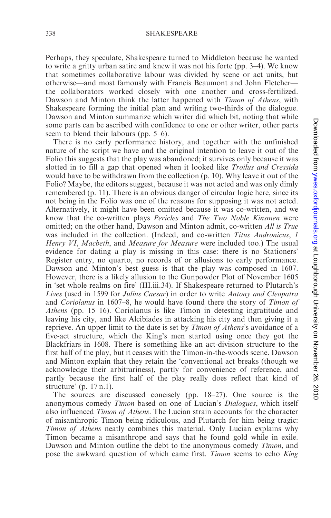Perhaps, they speculate, Shakespeare turned to Middleton because he wanted to write a gritty urban satire and knew it was not his forte (pp. 3–4). We know that sometimes collaborative labour was divided by scene or act units, but otherwise—and most famously with Francis Beaumont and John Fletcher the collaborators worked closely with one another and cross-fertilized. Dawson and Minton think the latter happened with Timon of Athens, with Shakespeare forming the initial plan and writing two-thirds of the dialogue. Dawson and Minton summarize which writer did which bit, noting that while some parts can be ascribed with confidence to one or other writer, other parts seem to blend their labours (pp. 5–6).

There is no early performance history, and together with the unfinished nature of the script we have and the original intention to leave it out of the Folio this suggests that the play was abandoned; it survives only because it was slotted in to fill a gap that opened when it looked like *Troilus and Cressida* would have to be withdrawn from the collection (p. 10). Why leave it out of the Folio? Maybe, the editors suggest, because it was not acted and was only dimly remembered (p. 11). There is an obvious danger of circular logic here, since its not being in the Folio was one of the reasons for supposing it was not acted. Alternatively, it might have been omitted because it was co-written, and we know that the co-written plays Pericles and The Two Noble Kinsmen were omitted; on the other hand, Dawson and Minton admit, co-written All is True was included in the collection. (Indeed, and co-written Titus Andronicus, 1 Henry VI, Macbeth, and Measure for Measure were included too.) The usual evidence for dating a play is missing in this case: there is no Stationers' Register entry, no quarto, no records of or allusions to early performance. Dawson and Minton's best guess is that the play was composed in 1607. However, there is a likely allusion to the Gunpowder Plot of November 1605 in 'set whole realms on fire' (III.iii.34). If Shakespeare returned to Plutarch's Lives (used in 1599 for Julius Caesar) in order to write Antony and Cleopatra and Coriolanus in 1607–8, he would have found there the story of Timon of Athens (pp. 15–16). Coriolanus is like Timon in detesting ingratitude and leaving his city, and like Alcibiades in attacking his city and then giving it a reprieve. An upper limit to the date is set by *Timon of Athens's* avoidance of a five-act structure, which the King's men started using once they got the Blackfriars in 1608. There is something like an act-division structure to the first half of the play, but it ceases with the Timon-in-the-woods scene. Dawson and Minton explain that they retain the 'conventional act breaks (though we acknowledge their arbitrariness), partly for convenience of reference, and partly because the first half of the play really does reflect that kind of structure' (p. 17 n.1).

The sources are discussed concisely (pp. 18–27). One source is the anonymous comedy Timon based on one of Lucian's Dialogues, which itself also influenced Timon of Athens. The Lucian strain accounts for the character of misanthropic Timon being ridiculous, and Plutarch for him being tragic: Timon of Athens neatly combines this material. Only Lucian explains why Timon became a misanthrope and says that he found gold while in exile. Dawson and Minton outline the debt to the anonymous comedy Timon, and pose the awkward question of which came first. Timon seems to echo King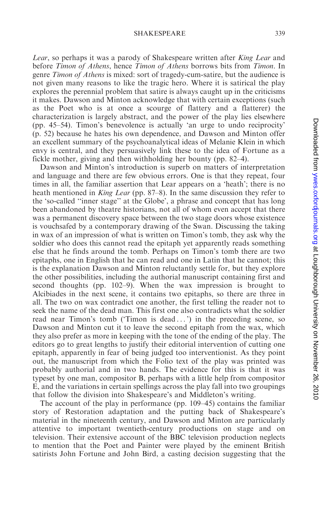Lear, so perhaps it was a parody of Shakespeare written after King Lear and before Timon of Athens, hence Timon of Athens borrows bits from Timon. In genre Timon of Athens is mixed: sort of tragedy-cum-satire, but the audience is not given many reasons to like the tragic hero. Where it is satirical the play explores the perennial problem that satire is always caught up in the criticisms it makes. Dawson and Minton acknowledge that with certain exceptions (such as the Poet who is at once a scourge of flattery and a flatterer) the characterization is largely abstract, and the power of the play lies elsewhere (pp. 45–54). Timon's benevolence is actually 'an urge to undo reciprocity' (p. 52) because he hates his own dependence, and Dawson and Minton offer an excellent summary of the psychoanalytical ideas of Melanie Klein in which envy is central, and they persuasively link these to the idea of Fortune as a fickle mother, giving and then withholding her bounty (pp. 82–4).

Dawson and Minton's introduction is superb on matters of interpretation and language and there are few obvious errors. One is that they repeat, four times in all, the familiar assertion that Lear appears on a 'heath'; there is no heath mentioned in *King Lear* (pp. 87–8). In the same discussion they refer to the 'so-called ''inner stage'' at the Globe', a phrase and concept that has long been abandoned by theatre historians, not all of whom even accept that there was a permanent discovery space between the two stage doors whose existence is vouchsafed by a contemporary drawing of the Swan. Discussing the taking in wax of an impression of what is written on Timon's tomb, they ask why the soldier who does this cannot read the epitaph yet apparently reads something else that he finds around the tomb. Perhaps on Timon's tomb there are two epitaphs, one in English that he can read and one in Latin that he cannot; this is the explanation Dawson and Minton reluctantly settle for, but they explore the other possibilities, including the authorial manuscript containing first and second thoughts (pp. 102–9). When the wax impression is brought to Alcibiades in the next scene, it contains two epitaphs, so there are three in all. The two on wax contradict one another, the first telling the reader not to seek the name of the dead man. This first one also contradicts what the soldier read near Timon's tomb ('Timon is dead ... ') in the preceding scene, so Dawson and Minton cut it to leave the second epitaph from the wax, which they also prefer as more in keeping with the tone of the ending of the play. The editors go to great lengths to justify their editorial intervention of cutting one epitaph, apparently in fear of being judged too interventionist. As they point out, the manuscript from which the Folio text of the play was printed was probably authorial and in two hands. The evidence for this is that it was typeset by one man, compositor B, perhaps with a little help from compositor E, and the variations in certain spellings across the play fall into two groupings that follow the division into Shakespeare's and Middleton's writing.

The account of the play in performance (pp. 109–45) contains the familiar story of Restoration adaptation and the putting back of Shakespeare's material in the nineteenth century, and Dawson and Minton are particularly attentive to important twentieth-century productions on stage and on television. Their extensive account of the BBC television production neglects to mention that the Poet and Painter were played by the eminent British satirists John Fortune and John Bird, a casting decision suggesting that the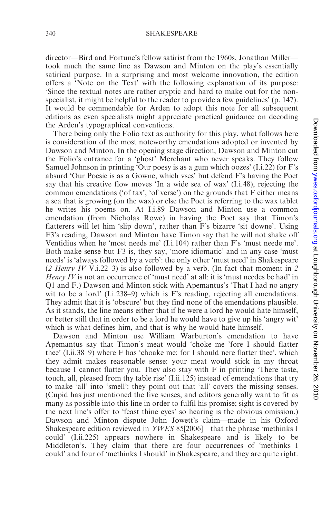director—Bird and Fortune's fellow satirist from the 1960s, Jonathan Miller took much the same line as Dawson and Minton on the play's essentially satirical purpose. In a surprising and most welcome innovation, the edition offers a 'Note on the Text' with the following explanation of its purpose: 'Since the textual notes are rather cryptic and hard to make out for the nonspecialist, it might be helpful to the reader to provide a few guidelines' (p. 147). It would be commendable for Arden to adopt this note for all subsequent editions as even specialists might appreciate practical guidance on decoding the Arden's typographical conventions.

There being only the Folio text as authority for this play, what follows here is consideration of the most noteworthy emendations adopted or invented by Dawson and Minton. In the opening stage direction, Dawson and Minton cut the Folio's entrance for a 'ghost' Merchant who never speaks. They follow Samuel Johnson in printing 'Our poesy is as a gum which oozes' (I.i.22) for F's absurd 'Our Poesie is as a Gowne, which vses' but defend F's having the Poet say that his creative flow moves 'In a wide sea of wax' (I.i.48), rejecting the common emendations ('of tax', 'of verse') on the grounds that F either means a sea that is growing (on the wax) or else the Poet is referring to the wax tablet he writes his poems on. At I.i.89 Dawson and Minton use a common emendation (from Nicholas Rowe) in having the Poet say that Timon's flatterers will let him 'slip down', rather than F's bizarre 'sit downe'. Using F3's reading, Dawson and Minton have Timon say that he will not shake off Ventidius when he 'most needs me' (I.i.104) rather than F's 'must neede me'. Both make sense but F3 is, they say, 'more idiomatic' and in any case 'must needs' is 'always followed by a verb': the only other 'must need' in Shakespeare (2 Henry IV V.i.22–3) is also followed by a verb. (In fact that moment in 2) Henry IV is not an occurrence of 'must need' at all: it is 'must needes be had' in Q1 and F.) Dawson and Minton stick with Apemantus's 'That I had no angry wit to be a lord' (I.i.238–9) which is F's reading, rejecting all emendations. They admit that it is 'obscure' but they find none of the emendations plausible. As it stands, the line means either that if he were a lord he would hate himself, or better still that in order to be a lord he would have to give up his 'angry wit' which is what defines him, and that is why he would hate himself.

Dawson and Minton use William Warburton's emendation to have Apemantus say that Timon's meat would 'choke me 'fore I should flatter thee' (I.ii.38–9) where F has 'choake me: for I should nere flatter thee', which they admit makes reasonable sense: your meat would stick in my throat because I cannot flatter you. They also stay with F in printing 'There taste, touch, all, pleased from thy table rise' (I.ii.125) instead of emendations that try to make 'all' into 'smell': they point out that 'all' covers the missing senses. (Cupid has just mentioned the five senses, and editors generally want to fit as many as possible into this line in order to fulfil his promise; sight is covered by the next line's offer to 'feast thine eyes' so hearing is the obvious omission.) Dawson and Minton dispute John Jowett's claim—made in his Oxford Shakespeare edition reviewed in YWES 85[2006]—that the phrase 'methinks I could' (I.ii.225) appears nowhere in Shakespeare and is likely to be Middleton's. They claim that there are four occurrences of 'methinks I could' and four of 'methinks I should' in Shakespeare, and they are quite right.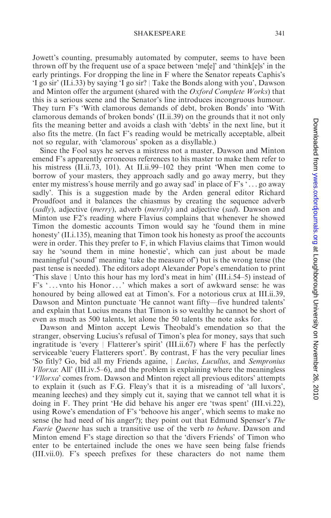Jowett's counting, presumably automated by computer, seems to have been thrown off by the frequent use of a space between 'me[e]' and 'think[e]s' in the early printings. For dropping the line in F where the Senator repeats Caphis's 'I go sir' (II.i.33) by saying 'I go sir? | Take the Bonds along with you', Dawson and Minton offer the argument (shared with the Oxford Complete Works) that this is a serious scene and the Senator's line introduces incongruous humour. They turn F's 'With clamorous demands of debt, broken Bonds' into 'With clamorous demands of broken bonds' (II.ii.39) on the grounds that it not only fits the meaning better and avoids a clash with 'debts' in the next line, but it also fits the metre. (In fact F's reading would be metrically acceptable, albeit not so regular, with 'clamorous' spoken as a disyllable.)

Since the Fool says he serves a mistress not a master, Dawson and Minton emend F's apparently erroneous references to his master to make them refer to his mistress (II.ii.73, 101). At II.ii.99–102 they print 'When men come to borrow of your masters, they approach sadly and go away merry, but they enter my mistress's house merrily and go away sad' in place of F's ' ... go away sadly'. This is a suggestion made by the Arden general editor Richard Proudfoot and it balances the chiasmus by creating the sequence adverb  $(sadlv)$ , adjective (merry), adverb (merrily) and adjective (sad). Dawson and Minton use F2's reading where Flavius complains that whenever he showed Timon the domestic accounts Timon would say he 'found them in mine honesty' (II.i.135), meaning that Timon took his honesty as proof the accounts were in order. This they prefer to F, in which Flavius claims that Timon would say he 'sound them in mine honestie', which can just about be made meaningful ('sound' meaning 'take the measure of') but is the wrong tense (the past tense is needed). The editors adopt Alexander Pope's emendation to print 'This slave | Unto this hour has my lord's meat in him' (III.i.54–5) instead of F's '... vnto his Honor...' which makes a sort of awkward sense: he was honoured by being allowed eat at Timon's. For a notorious crux at III.ii.39, Dawson and Minton punctuate 'He cannot want fifty—five hundred talents' and explain that Lucius means that Timon is so wealthy he cannot be short of even as much as 500 talents, let alone the 50 talents the note asks for.

Dawson and Minton accept Lewis Theobald's emendation so that the stranger, observing Lucius's refusal of Timon's plea for money, says that such ingratitude is 'every | Flatterer's spirit'  $(III.ii.67)$  where F has the perfectly serviceable 'euery Flatterers sport'. By contrast, F has the very peculiar lines 'So fitly? Go, bid all my Friends againe, | Lucius, Lucullus, and Sempronius  $Vllorxa$ : All' (III.iv.5–6), and the problem is explaining where the meaningless 'Vllorxa' comes from. Dawson and Minton reject all previous editors' attempts to explain it (such as F.G. Fleay's that it is a misreading of 'all luxors', meaning leeches) and they simply cut it, saying that we cannot tell what it is doing in F. They print 'He did behave his anger ere 'twas spent' (III.vi.22), using Rowe's emendation of F's 'behoove his anger', which seems to make no sense (he had need of his anger?); they point out that Edmund Spenser's The Faerie Queene has such a transitive use of the verb to behave. Dawson and Minton emend F's stage direction so that the 'divers Friends' of Timon who enter to be entertained include the ones we have seen being false friends (III.vii.0). F's speech prefixes for these characters do not name them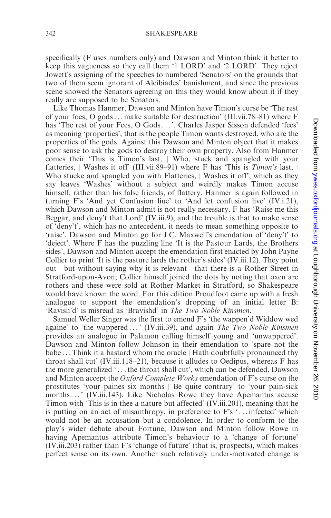specifically (F uses numbers only) and Dawson and Minton think it better to keep this vagueness so they call them '1 LORD' and '2 LORD'. They reject Jowett's assigning of the speeches to numbered 'Senators' on the grounds that two of them seem ignorant of Alcibiades' banishment, and since the previous scene showed the Senators agreeing on this they would know about it if they really are supposed to be Senators.

Like Thomas Hanmer, Dawson and Minton have Timon's curse be 'The rest of your foes, O gods... make suitable for destruction' (III.vii.78–81) where F has 'The rest of your Fees, O Gods...'. Charles Jasper Sisson defended 'fees' as meaning 'properties', that is the people Timon wants destroyed, who are the properties of the gods. Against this Dawson and Minton object that it makes poor sense to ask the gods to destroy their own property. Also from Hanmer comes their 'This is Timon's last, | Who, stuck and spangled with your flatteries, | Washes it off' (III.vii.89–91) where F has 'This is *Timon's* last, | Who stucke and spangled you with Flatteries, | Washes it off', which as they say leaves 'Washes' without a subject and weirdly makes Timon accuse himself, rather than his false friends, of flattery. Hanmer is again followed in turning F's 'And yet Confusion liue' to 'And let confusion live' (IV.i.21), which Dawson and Minton admit is not really necessary. F has 'Raise me this Beggar, and deny't that Lord' (IV.iii.9), and the trouble is that to make sense of 'deny't', which has no antecedent, it needs to mean something opposite to 'raise'. Dawson and Minton go for J.C. Maxwell's emendation of 'deny't' to 'deject'. Where F has the puzzling line 'It is the Pastour Lards, the Brothers sides', Dawson and Minton accept the emendation first enacted by John Payne Collier to print 'It is the pasture lards the rother's sides' (IV.iii.12). They point out—but without saying why it is relevant—that there is a Rother Street in Stratford-upon-Avon; Collier himself joined the dots by noting that oxen are rothers and these were sold at Rother Market in Stratford, so Shakespeare would have known the word. For this edition Proudfoot came up with a fresh analogue to support the emendation's dropping of an initial letter B: 'Ravish'd' is misread as 'Bravishd' in The Two Noble Kinsmen.

Samuel Weller Singer was the first to emend F's 'the wappen'd Widdow wed againe' to 'the wappered ...' (IV.iii.39), and again The Two Noble Kinsmen provides an analogue in Palamon calling himself young and 'unwappered'. Dawson and Minton follow Johnson in their emendation to 'spare not the babe ...Think it a bastard whom the oracle | Hath doubtfully pronounced thy throat shall cut' (IV.iii.118–21), because it alludes to Oedipus, whereas F has the more generalized ' ...the throat shall cut', which can be defended. Dawson and Minton accept the Oxford Complete Works emendation of F's curse on the prostitutes 'your paines six months | Be quite contrary' to 'your pain-sick months... ' (IV.iii.143). Like Nicholas Rowe they have Apemantus accuse Timon with 'This is in thee a nature but affected' (IV.iii.201), meaning that he is putting on an act of misanthropy, in preference to F's ' ... infected' which would not be an accusation but a condolence. In order to conform to the play's wider debate about Fortune, Dawson and Minton follow Rowe in having Apemantus attribute Timon's behaviour to a 'change of fortune' (IV.iii.203) rather than F's 'change of future' (that is, prospects), which makes perfect sense on its own. Another such relatively under-motivated change is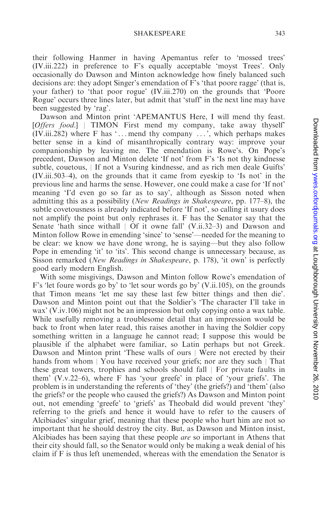their following Hanmer in having Apemantus refer to 'mossed trees' (IV.iii.222) in preference to F's equally acceptable 'moyst Trees'. Only occasionally do Dawson and Minton acknowledge how finely balanced such decisions are: they adopt Singer's emendation of F's 'that poore ragge' (that is, your father) to 'that poor rogue' (IV.iii.270) on the grounds that 'Poore Rogue' occurs three lines later, but admit that 'stuff' in the next line may have been suggested by 'rag'.

Dawson and Minton print 'APEMANTUS Here, I will mend thy feast. [Offers food.] | TIMON First mend my company, take away thyself' (IV.iii.282) where F has ' ... mend thy company ... ', which perhaps makes better sense in a kind of misanthropically contrary way: improve your companionship by leaving me. The emendation is Rowe's. On Pope's precedent, Dawson and Minton delete 'If not' from F's 'Is not thy kindnesse subtle, couetous, | If not a Vsuring kindnesse, and as rich men deale Guifts' (IV.iii.503–4), on the grounds that it came from eyeskip to 'Is not' in the previous line and harms the sense. However, one could make a case for 'If not' meaning 'I'd even go so far as to say', although as Sisson noted when admitting this as a possibility (New Readings in Shakespeare, pp. 177–8), the subtle covetousness is already indicated before 'If not', so calling it usury does not amplify the point but only rephrases it. F has the Senator say that the Senate 'hath since withall  $\vert$  Of it owne fall' (V.ii.32–3) and Dawson and Minton follow Rowe in emending 'since' to 'sense'—needed for the meaning to be clear: we know we have done wrong, he is saying—but they also follow Pope in emending 'it' to 'its'. This second change is unnecessary because, as Sisson remarked (New Readings in Shakespeare, p. 178), 'it own' is perfectly good early modern English.

With some misgivings, Dawson and Minton follow Rowe's emendation of F's 'let foure words go by' to 'let sour words go by' (V.ii.105), on the grounds that Timon means 'let me say these last few bitter things and then die'. Dawson and Minton point out that the Soldier's 'The character I'll take in wax' (V.iv.106) might not be an impression but only copying onto a wax table. While usefully removing a troublesome detail that an impression would be back to front when later read, this raises another in having the Soldier copy something written in a language he cannot read; I suppose this would be plausible if the alphabet were familiar, so Latin perhaps but not Greek. Dawson and Minton print 'These walls of ours | Were not erected by their hands from whom | You have received your griefs; nor are they such | That these great towers, trophies and schools should fall | For private faults in them' (V.v.22–6), where F has 'your greefe' in place of 'your griefs'. The problem is in understanding the referents of 'they' (the griefs?) and 'them' (also the griefs? or the people who caused the griefs?) As Dawson and Minton point out, not emending 'greefe' to 'griefs' as Theobald did would prevent 'they' referring to the griefs and hence it would have to refer to the causers of Alcibiades' singular grief, meaning that these people who hurt him are not so important that he should destroy the city. But, as Dawson and Minton insist, Alcibiades has been saying that these people are so important in Athens that their city should fall, so the Senator would only be making a weak denial of his claim if F is thus left unemended, whereas with the emendation the Senator is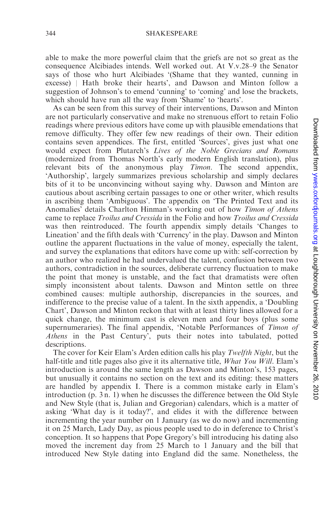able to make the more powerful claim that the griefs are not so great as the consequence Alcibiades intends. Well worked out. At V.v.28–9 the Senator says of those who hurt Alcibiades '(Shame that they wanted, cunning in excesse) | Hath broke their hearts', and Dawson and Minton follow a suggestion of Johnson's to emend 'cunning' to 'coming' and lose the brackets, which should have run all the way from 'Shame' to 'hearts'.

As can be seen from this survey of their interventions, Dawson and Minton are not particularly conservative and make no strenuous effort to retain Folio readings where previous editors have come up with plausible emendations that remove difficulty. They offer few new readings of their own. Their edition contains seven appendices. The first, entitled 'Sources', gives just what one would expect from Plutarch's Lives of the Noble Grecians and Romans (modernized from Thomas North's early modern English translation), plus relevant bits of the anonymous play Timon. The second appendix, 'Authorship', largely summarizes previous scholarship and simply declares bits of it to be unconvincing without saying why. Dawson and Minton are cautious about ascribing certain passages to one or other writer, which results in ascribing them 'Ambiguous'. The appendix on 'The Printed Text and its Anomalies' details Charlton Hinman's working out of how Timon of Athens came to replace Troilus and Cressida in the Folio and how Troilus and Cressida was then reintroduced. The fourth appendix simply details 'Changes to Lineation' and the fifth deals with 'Currency' in the play. Dawson and Minton outline the apparent fluctuations in the value of money, especially the talent, and survey the explanations that editors have come up with: self-correction by an author who realized he had undervalued the talent, confusion between two authors, contradiction in the sources, deliberate currency fluctuation to make the point that money is unstable, and the fact that dramatists were often simply inconsistent about talents. Dawson and Minton settle on three combined causes: multiple authorship, discrepancies in the sources, and indifference to the precise value of a talent. In the sixth appendix, a 'Doubling Chart', Dawson and Minton reckon that with at least thirty lines allowed for a quick change, the minimum cast is eleven men and four boys (plus some supernumeraries). The final appendix, 'Notable Performances of Timon of Athens in the Past Century', puts their notes into tabulated, potted descriptions.

The cover for Keir Elam's Arden edition calls his play Twelfth Night, but the half-title and title pages also give it its alternative title, What You Will. Elam's introduction is around the same length as Dawson and Minton's, 153 pages, but unusually it contains no section on the text and its editing: these matters are handled by appendix I. There is a common mistake early in Elam's introduction (p. 3 n. 1) when he discusses the difference between the Old Style and New Style (that is, Julian and Gregorian) calendars, which is a matter of asking 'What day is it today?', and elides it with the difference between incrementing the year number on 1 January (as we do now) and incrementing it on 25 March, Lady Day, as pious people used to do in deference to Christ's conception. It so happens that Pope Gregory's bill introducing his dating also moved the increment day from 25 March to 1 January and the bill that introduced New Style dating into England did the same. Nonetheless, the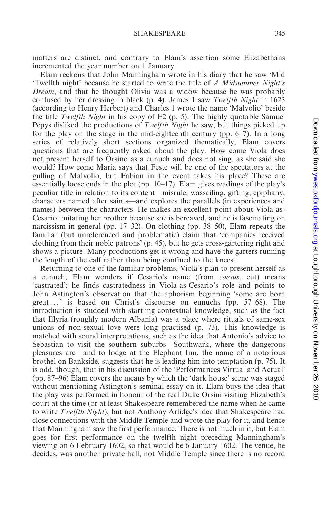matters are distinct, and contrary to Elam's assertion some Elizabethans incremented the year number on 1 January.

Elam reckons that John Manningham wrote in his diary that he saw 'Mid 'Twelfth night' because he started to write the title of A Midsummer Night's Dream, and that he thought Olivia was a widow because he was probably confused by her dressing in black (p. 4). James 1 saw Twelfth Night in 1623 (according to Henry Herbert) and Charles 1 wrote the name 'Malvolio' beside the title Twelfth Night in his copy of F2 (p. 5). The highly quotable Samuel Pepys disliked the productions of Twelfth Night he saw, but things picked up for the play on the stage in the mid-eighteenth century (pp. 6–7). In a long series of relatively short sections organized thematically, Elam covers questions that are frequently asked about the play. How come Viola does not present herself to Orsino as a eunuch and does not sing, as she said she would? How come Maria says that Feste will be one of the spectators at the gulling of Malvolio, but Fabian in the event takes his place? These are essentially loose ends in the plot (pp. 10–17). Elam gives readings of the play's peculiar title in relation to its content—misrule, wassailing, gifting, epiphany, characters named after saints—and explores the parallels (in experiences and names) between the characters. He makes an excellent point about Viola-as-Cesario imitating her brother because she is bereaved, and he is fascinating on narcissism in general (pp. 17–32). On clothing (pp. 38–50), Elam repeats the familiar (but unreferenced and problematic) claim that 'companies received clothing from their noble patrons' (p. 45), but he gets cross-gartering right and shows a picture. Many productions get it wrong and have the garters running the length of the calf rather than being confined to the knees.

Returning to one of the familiar problems, Viola's plan to present herself as a eunuch, Elam wonders if Cesario's name (from caesus, cut) means 'castrated'; he finds castratedness in Viola-as-Cesario's role and points to John Astington's observation that the aphorism beginning 'some are born great... ' is based on Christ's discourse on eunuchs (pp. 57–68). The introduction is studded with startling contextual knowledge, such as the fact that Illyria (roughly modern Albania) was a place where rituals of same-sex unions of non-sexual love were long practised (p. 73). This knowledge is matched with sound interpretations, such as the idea that Antonio's advice to Sebastian to visit the southern suburbs—Southwark, where the dangerous pleasures are—and to lodge at the Elephant Inn, the name of a notorious brothel on Bankside, suggests that he is leading him into temptation (p. 75). It is odd, though, that in his discussion of the 'Performances Virtual and Actual' (pp. 87–96) Elam covers the means by which the 'dark house' scene was staged without mentioning Astington's seminal essay on it. Elam buys the idea that the play was performed in honour of the real Duke Orsini visiting Elizabeth's court at the time (or at least Shakespeare remembered the name when he came to write Twelfth Night), but not Anthony Arlidge's idea that Shakespeare had close connections with the Middle Temple and wrote the play for it, and hence that Manningham saw the first performance. There is not much in it, but Elam goes for first performance on the twelfth night preceding Manningham's viewing on 6 February 1602, so that would be 6 January 1602. The venue, he decides, was another private hall, not Middle Temple since there is no record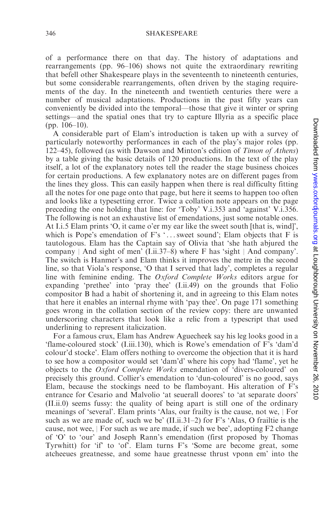of a performance there on that day. The history of adaptations and rearrangements (pp. 96–106) shows not quite the extraordinary rewriting that befell other Shakespeare plays in the seventeenth to nineteenth centuries, but some considerable rearrangements, often driven by the staging requirements of the day. In the nineteenth and twentieth centuries there were a number of musical adaptations. Productions in the past fifty years can conveniently be divided into the temporal—those that give it winter or spring settings—and the spatial ones that try to capture Illyria as a specific place (pp. 106–10).

A considerable part of Elam's introduction is taken up with a survey of particularly noteworthy performances in each of the play's major roles (pp. 122–45), followed (as with Dawson and Minton's edition of Timon of Athens) by a table giving the basic details of 120 productions. In the text of the play itself, a lot of the explanatory notes tell the reader the stage business choices for certain productions. A few explanatory notes are on different pages from the lines they gloss. This can easily happen when there is real difficulty fitting all the notes for one page onto that page, but here it seems to happen too often and looks like a typesetting error. Twice a collation note appears on the page preceding the one holding that line: for 'Toby' V.i.353 and 'against' V.i.356. The following is not an exhaustive list of emendations, just some notable ones. At I.i.5 Elam prints 'O, it came o'er my ear like the sweet south [that is, wind]', which is Pope's emendation of F's '...sweet sound'; Elam objects that F is tautologous. Elam has the Captain say of Olivia that 'she hath abjured the company | And sight of men' (I.ii.37–8) where F has 'sight | And company'. The switch is Hanmer's and Elam thinks it improves the metre in the second line, so that Viola's response, 'O that I served that lady', completes a regular line with feminine ending. The Oxford Complete Works editors argue for expanding 'prethee' into 'pray thee' (I.ii.49) on the grounds that Folio compositor B had a habit of shortening it, and in agreeing to this Elam notes that here it enables an internal rhyme with 'pay thee'. On page 171 something goes wrong in the collation section of the review copy: there are unwanted underscoring characters that look like a relic from a typescript that used underlining to represent italicization.

For a famous crux, Elam has Andrew Aguecheek say his leg looks good in a 'flame-coloured stock' (I.iii.130), which is Rowe's emendation of F's 'dam'd colour'd stocke'. Elam offers nothing to overcome the objection that it is hard to see how a compositor would set 'dam'd' where his copy had 'flame', yet he objects to the Oxford Complete Works emendation of 'divers-coloured' on precisely this ground. Collier's emendation to 'dun-coloured' is no good, says Elam, because the stockings need to be flamboyant. His alteration of F's entrance for Cesario and Malvolio 'at seuerall doores' to 'at separate doors' (II.ii.0) seems fussy: the quality of being apart is still one of the ordinary meanings of 'several'. Elam prints 'Alas, our frailty is the cause, not we, | For such as we are made of, such we be'  $(II.ii.31-2)$  for F's 'Alas, O frailtie is the cause, not wee, | For such as we are made, if such we bee', adopting F2 change of 'O' to 'our' and Joseph Rann's emendation (first proposed by Thomas Tyrwhitt) for 'if' to 'of'. Elam turns F's 'Some are become great, some atcheeues greatnesse, and some haue greatnesse thrust vponn em' into the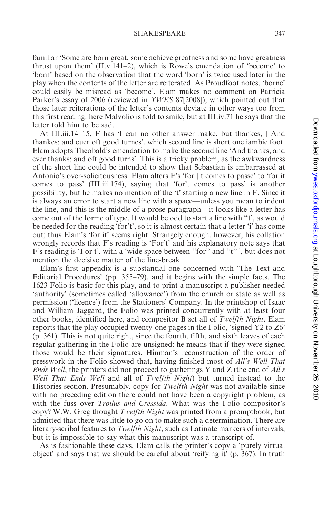familiar 'Some are born great, some achieve greatness and some have greatness thrust upon them'  $(II, v.141-2)$ , which is Rowe's emendation of 'become' to 'born' based on the observation that the word 'born' is twice used later in the play when the contents of the letter are reiterated. As Proudfoot notes, 'borne' could easily be misread as 'become'. Elam makes no comment on Patricia Parker's essay of 2006 (reviewed in YWES 87[2008]), which pointed out that those later reiterations of the letter's contents deviate in other ways too from this first reading: here Malvolio is told to smile, but at III.iv.71 he says that the letter told him to be sad.

At III.iii.14–15, F has 'I can no other answer make, but thankes, | And thankes: and euer oft good turnes', which second line is short one iambic foot. Elam adopts Theobald's emendation to make the second line 'And thanks, and ever thanks; and oft good turns'. This is a tricky problem, as the awkwardness of the short line could be intended to show that Sebastian is embarrassed at Antonio's over-solicitousness. Elam alters F's 'for  $\vert$  t comes to passe' to 'for it comes to pass' (III.iii.174), saying that 'for't comes to pass' is another possibility, but he makes no mention of the 't' starting a new line in F. Since it is always an error to start a new line with a space—unless you mean to indent the line, and this is the middle of a prose paragraph—it looks like a letter has come out of the forme of type. It would be odd to start a line with ''t', as would be needed for the reading 'for't', so it is almost certain that a letter 'i' has come out; thus Elam's 'for it' seems right. Strangely enough, however, his collation wrongly records that F's reading is 'For't' and his explanatory note says that F's reading is 'For t', with a 'wide space between ''for'' and ''t'' ', but does not mention the decisive matter of the line-break.

Elam's first appendix is a substantial one concerned with 'The Text and Editorial Procedures' (pp. 355–79), and it begins with the simple facts. The 1623 Folio is basic for this play, and to print a manuscript a publisher needed 'authority' (sometimes called 'allowance') from the church or state as well as permission ('licence') from the Stationers' Company. In the printshop of Isaac and William Jaggard, the Folio was printed concurrently with at least four other books, identified here, and compositor B set all of Twelfth Night. Elam reports that the play occupied twenty-one pages in the Folio, 'signed Y2 to Z6' (p. 361). This is not quite right, since the fourth, fifth, and sixth leaves of each regular gathering in the Folio are unsigned: he means that if they were signed those would be their signatures. Hinman's reconstruction of the order of presswork in the Folio showed that, having finished most of All's Well That *Ends Well*, the printers did not proceed to gatherings Y and Z (the end of  $All's$ ) Well That Ends Well and all of Twelfth Night) but turned instead to the Histories section. Presumably, copy for Twelfth Night was not available since with no preceding edition there could not have been a copyright problem, as with the fuss over *Troilus and Cressida*. What was the Folio compositor's copy? W.W. Greg thought Twelfth Night was printed from a promptbook, but admitted that there was little to go on to make such a determination. There are literary-scribal features to Twelfth Night, such as Latinate markers of intervals, but it is impossible to say what this manuscript was a transcript of.

As is fashionable these days, Elam calls the printer's copy a 'purely virtual object' and says that we should be careful about 'reifying it' (p. 367). In truth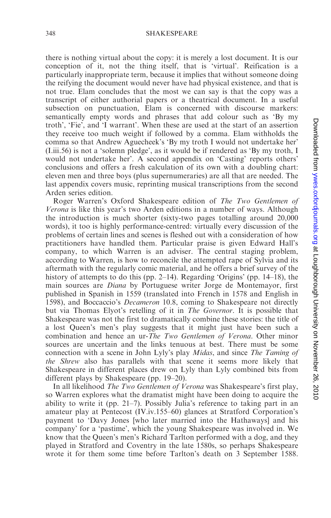there is nothing virtual about the copy: it is merely a lost document. It is our conception of it, not the thing itself, that is 'virtual'. Reification is a particularly inappropriate term, because it implies that without someone doing the reifying the document would never have had physical existence, and that is not true. Elam concludes that the most we can say is that the copy was a transcript of either authorial papers or a theatrical document. In a useful subsection on punctuation, Elam is concerned with discourse markers: semantically empty words and phrases that add colour such as 'By my troth', 'Fie', and 'I warrant'. When these are used at the start of an assertion they receive too much weight if followed by a comma. Elam withholds the comma so that Andrew Aguecheek's 'By my troth I would not undertake her' (I.iii.56) is not a 'solemn pledge', as it would be if rendered as 'By my troth, I would not undertake her'. A second appendix on 'Casting' reports others' conclusions and offers a fresh calculation of its own with a doubling chart: eleven men and three boys (plus supernumeraries) are all that are needed. The last appendix covers music, reprinting musical transcriptions from the second Arden series edition.

Roger Warren's Oxford Shakespeare edition of The Two Gentlemen of Verona is like this year's two Arden editions in a number of ways. Although the introduction is much shorter (sixty-two pages totalling around 20,000 words), it too is highly performance-centred: virtually every discussion of the problems of certain lines and scenes is fleshed out with a consideration of how practitioners have handled them. Particular praise is given Edward Hall's company, to which Warren is an adviser. The central staging problem, according to Warren, is how to reconcile the attempted rape of Sylvia and its aftermath with the regularly comic material, and he offers a brief survey of the history of attempts to do this (pp. 2–14). Regarding 'Origins' (pp. 14–18), the main sources are Diana by Portuguese writer Jorge de Montemayor, first published in Spanish in 1559 (translated into French in 1578 and English in 1598), and Boccaccio's Decameron 10.8, coming to Shakespeare not directly but via Thomas Elyot's retelling of it in The Governor. It is possible that Shakespeare was not the first to dramatically combine these stories: the title of a lost Queen's men's play suggests that it might just have been such a combination and hence an ur-The Two Gentlemen of Verona. Other minor sources are uncertain and the links tenuous at best. There must be some connection with a scene in John Lyly's play Midas, and since The Taming of the Shrew also has parallels with that scene it seems more likely that Shakespeare in different places drew on Lyly than Lyly combined bits from different plays by Shakespeare (pp. 19–20).

In all likelihood The Two Gentlemen of Verona was Shakespeare's first play, so Warren explores what the dramatist might have been doing to acquire the ability to write it (pp. 21–7). Possibly Julia's reference to taking part in an amateur play at Pentecost (IV.iv.155–60) glances at Stratford Corporation's payment to 'Davy Jones [who later married into the Hathaways] and his company' for a 'pastime', which the young Shakespeare was involved in. We know that the Queen's men's Richard Tarlton performed with a dog, and they played in Stratford and Coventry in the late 1580s, so perhaps Shakespeare wrote it for them some time before Tarlton's death on 3 September 1588.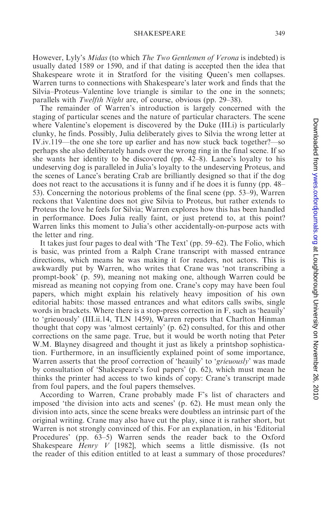However, Lyly's Midas (to which The Two Gentlemen of Verona is indebted) is usually dated 1589 or 1590, and if that dating is accepted then the idea that Shakespeare wrote it in Stratford for the visiting Queen's men collapses. Warren turns to connections with Shakespeare's later work and finds that the Silvia–Proteus–Valentine love triangle is similar to the one in the sonnets; parallels with Twelfth Night are, of course, obvious (pp. 29–38).

The remainder of Warren's introduction is largely concerned with the staging of particular scenes and the nature of particular characters. The scene where Valentine's elopement is discovered by the Duke (III.i) is particularly clunky, he finds. Possibly, Julia deliberately gives to Silvia the wrong letter at IV.iv.119—the one she tore up earlier and has now stuck back together?—so perhaps she also deliberately hands over the wrong ring in the final scene. If so she wants her identity to be discovered (pp. 42–8). Lance's loyalty to his undeserving dog is paralleled in Julia's loyalty to the undeserving Proteus, and the scenes of Lance's berating Crab are brilliantly designed so that if the dog does not react to the accusations it is funny and if he does it is funny (pp. 48– 53). Concerning the notorious problems of the final scene (pp. 53–9), Warren reckons that Valentine does not give Silvia to Proteus, but rather extends to Proteus the love he feels for Silvia; Warren explores how this has been handled in performance. Does Julia really faint, or just pretend to, at this point? Warren links this moment to Julia's other accidentally-on-purpose acts with the letter and ring.

It takes just four pages to deal with 'The Text' (pp. 59–62). The Folio, which is basic, was printed from a Ralph Crane transcript with massed entrance directions, which means he was making it for readers, not actors. This is awkwardly put by Warren, who writes that Crane was 'not transcribing a prompt-book' (p. 59), meaning not making one, although Warren could be misread as meaning not copying from one. Crane's copy may have been foul papers, which might explain his relatively heavy imposition of his own editorial habits: those massed entrances and what editors calls swibs, single words in brackets. Where there is a stop-press correction in F, such as 'heauily' to 'grieuously' (III.ii.14, TLN 1459), Warren reports that Charlton Hinman thought that copy was 'almost certainly' (p. 62) consulted, for this and other corrections on the same page. True, but it would be worth noting that Peter W.M. Blayney disagreed and thought it just as likely a printshop sophistication. Furthermore, in an insufficiently explained point of some importance, Warren asserts that the proof correction of 'heauily' to 'grieuously' was made by consultation of 'Shakespeare's foul papers' (p. 62), which must mean he thinks the printer had access to two kinds of copy: Crane's transcript made from foul papers, and the foul papers themselves.

According to Warren, Crane probably made F's list of characters and imposed 'the division into acts and scenes' (p. 62). He must mean only the division into acts, since the scene breaks were doubtless an intrinsic part of the original writing. Crane may also have cut the play, since it is rather short, but Warren is not strongly convinced of this. For an explanation, in his 'Editorial Procedures' (pp. 63–5) Warren sends the reader back to the Oxford Shakespeare Henry V [1982], which seems a little dismissive. (Is not the reader of this edition entitled to at least a summary of those procedures?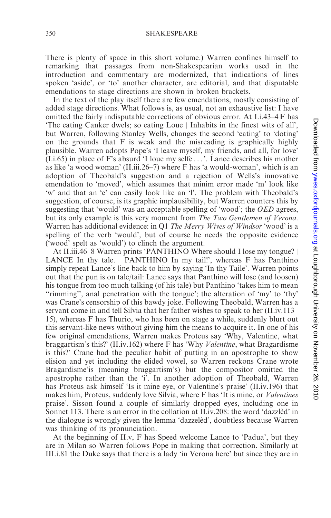There is plenty of space in this short volume.) Warren confines himself to remarking that passages from non-Shakespearian works used in the introduction and commentary are modernized, that indications of lines spoken 'aside', or 'to' another character, are editorial, and that disputable emendations to stage directions are shown in broken brackets.

In the text of the play itself there are few emendations, mostly consisting of added stage directions. What follows is, as usual, not an exhaustive list: I have omitted the fairly indisputable corrections of obvious error. At I.i.43–4 F has 'The eating Canker dwels; so eating Loue | Inhabits in the finest wits of all', but Warren, following Stanley Wells, changes the second 'eating' to 'doting' on the grounds that F is weak and the misreading is graphically highly plausible. Warren adopts Pope's 'I leave myself, my friends, and all, for love' (I.i.65) in place of F's absurd 'I loue my selfe ... '. Lance describes his mother as like 'a wood woman' (II.iii.26–7) where F has 'a would-woman', which is an adoption of Theobald's suggestion and a rejection of Wells's innovative emendation to 'moved', which assumes that minim error made 'm' look like 'w' and that an 'e' can easily look like an 'l'. The problem with Theobald's suggestion, of course, is its graphic implausibility, but Warren counters this by suggesting that 'would' was an acceptable spelling of 'wood'; the  $OED$  agrees, but its only example is this very moment from *The Two Gentlemen of Verona*. Warren has additional evidence: in O1 The Merry Wives of Windsor 'wood' is a spelling of the verb 'would', but of course he needs the opposite evidence ('wood' spelt as 'would') to clinch the argument.

At II.iii.46–8 Warren prints 'PANTHINO Where should I lose my tongue? | LANCE In thy tale. | PANTHINO In my tail!', whereas F has Panthino simply repeat Lance's line back to him by saying 'In thy Taile'. Warren points out that the pun is on tale/tail: Lance says that Panthino will lose (and loosen) his tongue from too much talking (of his tale) but Panthino 'takes him to mean ''rimming'', anal penetration with the tongue'; the alteration of 'my' to 'thy' was Crane's censorship of this bawdy joke. Following Theobald, Warren has a servant come in and tell Silvia that her father wishes to speak to her (II.iv.113– 15), whereas F has Thurio, who has been on stage a while, suddenly blurt out this servant-like news without giving him the means to acquire it. In one of his few original emendations, Warren makes Proteus say 'Why, Valentine, what braggartism's this?' (II.iv.162) where F has 'Why Valentine, what Bragardisme is this?' Crane had the peculiar habit of putting in an apostrophe to show elision and yet including the elided vowel, so Warren reckons Crane wrote Bragardisme'is (meaning braggartism's) but the compositor omitted the apostrophe rather than the 'i'. In another adoption of Theobald, Warren has Proteus ask himself 'Is it mine eye, or Valentine's praise' (II.iv.196) that makes him, Proteus, suddenly love Silvia, where F has 'It is mine, or *Valentines* praise'. Sisson found a couple of similarly dropped eyes, including one in Sonnet 113. There is an error in the collation at II.iv.208: the word 'dazzled' in the dialogue is wrongly given the lemma 'dazzele`d', doubtless because Warren was thinking of its pronunciation.

At the beginning of II.v, F has Speed welcome Lance to 'Padua', but they are in Milan so Warren follows Pope in making that correction. Similarly at III.i.81 the Duke says that there is a lady 'in Verona here' but since they are in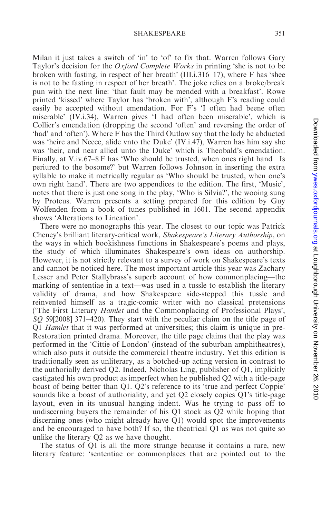Milan it just takes a switch of 'in' to 'of' to fix that. Warren follows Gary Taylor's decision for the *Oxford Complete Works* in printing 'she is not to be broken with fasting, in respect of her breath' (III.i.316–17), where F has 'shee is not to be fasting in respect of her breath'. The joke relies on a broke/break pun with the next line: 'that fault may be mended with a breakfast'. Rowe printed 'kissed' where Taylor has 'broken with', although F's reading could easily be accepted without emendation. For F's 'I often had beene often miserable' (IV.i.34), Warren gives 'I had often been miserable', which is Collier's emendation (dropping the second 'often' and reversing the order of 'had' and 'often'). Where F has the Third Outlaw say that the lady he abducted was 'heire and Neece, alide vnto the Duke' (IV.i.47), Warren has him say she was 'heir, and near allied unto the Duke' which is Theobald's emendation. Finally, at V.iv.67–8 F has 'Who should be trusted, when ones right hand | Is periured to the bosome?' but Warren follows Johnson in inserting the extra syllable to make it metrically regular as 'Who should be trusted, when one's own right hand'. There are two appendices to the edition. The first, 'Music', notes that there is just one song in the play, 'Who is Silvia?', the wooing sung by Proteus. Warren presents a setting prepared for this edition by Guy Wolfenden from a book of tunes published in 1601. The second appendix shows 'Alterations to Lineation'.

There were no monographs this year. The closest to our topic was Patrick Cheney's brilliant literary-critical work, Shakespeare's Literary Authorship, on the ways in which bookishness functions in Shakespeare's poems and plays, the study of which illuminates Shakespeare's own ideas on authorship. However, it is not strictly relevant to a survey of work on Shakespeare's texts and cannot be noticed here. The most important article this year was Zachary Lesser and Peter Stallybrass's superb account of how commonplacing—the marking of sententiae in a text—was used in a tussle to establish the literary validity of drama, and how Shakespeare side-stepped this tussle and reinvented himself as a tragic-comic writer with no classical pretensions ('The First Literary Hamlet and the Commonplacing of Professional Plays', SQ 59[2008] 371–420). They start with the peculiar claim on the title page of Q1 Hamlet that it was performed at universities; this claim is unique in pre-Restoration printed drama. Moreover, the title page claims that the play was performed in the 'Cittie of London' (instead of the suburban amphitheatres), which also puts it outside the commercial theatre industry. Yet this edition is traditionally seen as unliterary, as a botched-up acting version in contrast to the authorially derived Q2. Indeed, Nicholas Ling, publisher of Q1, implicitly castigated his own product as imperfect when he published Q2 with a title-page boast of being better than Q1. Q2's reference to its 'true and perfect Coppie' sounds like a boast of authoriality, and yet Q2 closely copies Q1's title-page layout, even in its unusual hanging indent. Was he trying to pass off to undiscerning buyers the remainder of his Q1 stock as Q2 while hoping that discerning ones (who might already have Q1) would spot the improvements and be encouraged to have both? If so, the theatrical Q1 as was not quite so unlike the literary Q2 as we have thought.

The status of Q1 is all the more strange because it contains a rare, new literary feature: 'sententiae or commonplaces that are pointed out to the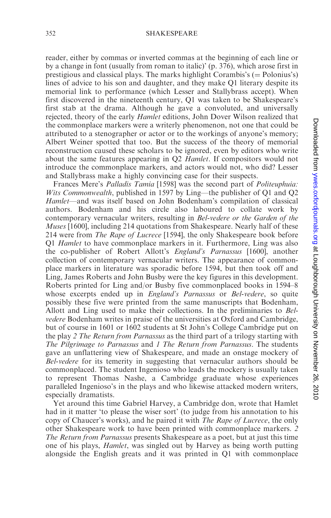reader, either by commas or inverted commas at the beginning of each line or by a change in font (usually from roman to italic)' (p. 376), which arose first in prestigious and classical plays. The marks highlight Corambis's  $($  Polonius's) lines of advice to his son and daughter, and they make Q1 literary despite its memorial link to performance (which Lesser and Stallybrass accept). When first discovered in the nineteenth century, Q1 was taken to be Shakespeare's first stab at the drama. Although he gave a convoluted, and universally rejected, theory of the early Hamlet editions, John Dover Wilson realized that the commonplace markers were a writerly phenomenon, not one that could be attributed to a stenographer or actor or to the workings of anyone's memory; Albert Weiner spotted that too. But the success of the theory of memorial reconstruction caused these scholars to be ignored, even by editors who write about the same features appearing in Q2 Hamlet. If compositors would not introduce the commonplace markers, and actors would not, who did? Lesser and Stallybrass make a highly convincing case for their suspects.

Frances Mere's Palladis Tamia [1598] was the second part of Politeuphuia: Wits Commonwealth, published in 1597 by Ling—the publisher of Q1 and Q2 Hamlet—and was itself based on John Bodenham's compilation of classical authors. Bodenham and his circle also laboured to collate work by contemporary vernacular writers, resulting in Bel-vedere or the Garden of the Muses [1600], including 214 quotations from Shakespeare. Nearly half of these 214 were from The Rape of Lucrece [1594], the only Shakespeare book before Q1 Hamlet to have commonplace markers in it. Furthermore, Ling was also the co-publisher of Robert Allott's England's Parnassus [1600], another collection of contemporary vernacular writers. The appearance of commonplace markers in literature was sporadic before 1594, but then took off and Ling, James Roberts and John Busby were the key figures in this development. Roberts printed for Ling and/or Busby five commonplaced books in 1594–8 whose excerpts ended up in *England's Parnassus* or *Bel-vedere*, so quite possibly these five were printed from the same manuscripts that Bodenham, Allott and Ling used to make their collections. In the preliminaries to Belvedere Bodenham writes in praise of the universities at Oxford and Cambridge, but of course in 1601 or 1602 students at St John's College Cambridge put on the play 2 The Return from Parnassus as the third part of a trilogy starting with The Pilgrimage to Parnassus and 1 The Return from Parnassus. The students gave an unflattering view of Shakespeare, and made an onstage mockery of Bel-vedere for its temerity in suggesting that vernacular authors should be commonplaced. The student Ingenioso who leads the mockery is usually taken to represent Thomas Nashe, a Cambridge graduate whose experiences paralleled Ingenioso's in the plays and who likewise attacked modern writers, especially dramatists.

Yet around this time Gabriel Harvey, a Cambridge don, wrote that Hamlet had in it matter 'to please the wiser sort' (to judge from his annotation to his copy of Chaucer's works), and he paired it with *The Rape of Lucrece*, the only other Shakespeare work to have been printed with commonplace markers. 2 The Return from Parnassus presents Shakespeare as a poet, but at just this time one of his plays, Hamlet, was singled out by Harvey as being worth putting alongside the English greats and it was printed in Q1 with commonplace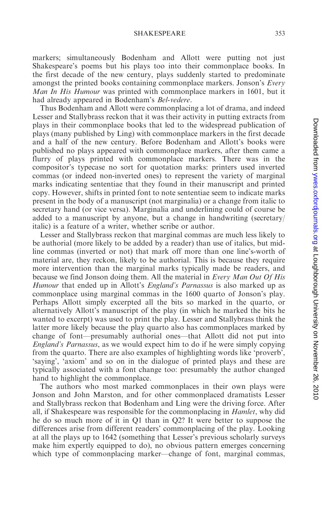markers; simultaneously Bodenham and Allott were putting not just Shakespeare's poems but his plays too into their commonplace books. In the first decade of the new century, plays suddenly started to predominate amongst the printed books containing commonplace markers. Jonson's Every Man In His Humour was printed with commonplace markers in 1601, but it had already appeared in Bodenham's Bel-vedere.

Thus Bodenham and Allott were commonplacing a lot of drama, and indeed Lesser and Stallybrass reckon that it was their activity in putting extracts from plays in their commonplace books that led to the widespread publication of plays (many published by Ling) with commonplace markers in the first decade and a half of the new century. Before Bodenham and Allott's books were published no plays appeared with commonplace markers, after them came a flurry of plays printed with commonplace markers. There was in the compositor's typecase no sort for quotation marks: printers used inverted commas (or indeed non-inverted ones) to represent the variety of marginal marks indicating sententiae that they found in their manuscript and printed copy. However, shifts in printed font to note sententiae seem to indicate marks present in the body of a manuscript (not marginalia) or a change from italic to secretary hand (or vice versa). Marginalia and underlining could of course be added to a manuscript by anyone, but a change in handwriting (secretary/ italic) is a feature of a writer, whether scribe or author.

Lesser and Stallybrass reckon that marginal commas are much less likely to be authorial (more likely to be added by a reader) than use of italics, but midline commas (inverted or not) that mark off more than one line's-worth of material are, they reckon, likely to be authorial. This is because they require more intervention than the marginal marks typically made be readers, and because we find Jonson doing them. All the material in Every Man Out Of His Humour that ended up in Allott's *England's Parnassus* is also marked up as commonplace using marginal commas in the 1600 quarto of Jonson's play. Perhaps Allott simply excerpted all the bits so marked in the quarto, or alternatively Allott's manuscript of the play (in which he marked the bits he wanted to excerpt) was used to print the play. Lesser and Stallybrass think the latter more likely because the play quarto also has commonplaces marked by change of font—presumably authorial ones—that Allott did not put into England's Parnassus, as we would expect him to do if he were simply copying from the quarto. There are also examples of highlighting words like 'proverb', 'saying', 'axiom' and so on in the dialogue of printed plays and these are typically associated with a font change too: presumably the author changed hand to highlight the commonplace.

The authors who most marked commonplaces in their own plays were Jonson and John Marston, and for other commonplaced dramatists Lesser and Stallybrass reckon that Bodenham and Ling were the driving force. After all, if Shakespeare was responsible for the commonplacing in Hamlet, why did he do so much more of it in Q1 than in Q2? It were better to suppose the differences arise from different readers' commonplacing of the play. Looking at all the plays up to 1642 (something that Lesser's previous scholarly surveys make him expertly equipped to do), no obvious pattern emerges concerning which type of commonplacing marker—change of font, marginal commas,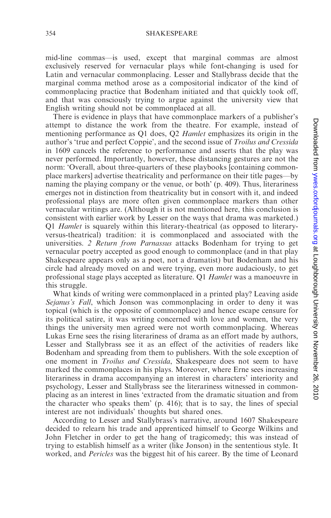mid-line commas—is used, except that marginal commas are almost exclusively reserved for vernacular plays while font-changing is used for Latin and vernacular commonplacing. Lesser and Stallybrass decide that the marginal comma method arose as a compositorial indicator of the kind of commonplacing practice that Bodenham initiated and that quickly took off, and that was consciously trying to argue against the university view that English writing should not be commonplaced at all.

There is evidence in plays that have commonplace markers of a publisher's attempt to distance the work from the theatre. For example, instead of mentioning performance as Q1 does, Q2 *Hamlet* emphasizes its origin in the author's 'true and perfect Coppie', and the second issue of Troilus and Cressida in 1609 cancels the reference to performance and asserts that the play was never performed. Importantly, however, these distancing gestures are not the norm: 'Overall, about three-quarters of these playbooks [containing commonplace markers] advertise theatricality and performance on their title pages—by naming the playing company or the venue, or both' (p. 409). Thus, literariness emerges not in distinction from theatricality but in consort with it, and indeed professional plays are more often given commonplace markers than other vernacular writings are. (Although it is not mentioned here, this conclusion is consistent with earlier work by Lesser on the ways that drama was marketed.) Q1 Hamlet is squarely within this literary-theatrical (as opposed to literaryversus-theatrical) tradition: it is commonplaced and associated with the universities. 2 Return from Parnassus attacks Bodenham for trying to get vernacular poetry accepted as good enough to commonplace (and in that play Shakespeare appears only as a poet, not a dramatist) but Bodenham and his circle had already moved on and were trying, even more audaciously, to get professional stage plays accepted as literature. Q1 Hamlet was a manoeuvre in this struggle.

What kinds of writing were commonplaced in a printed play? Leaving aside Sejanus's Fall, which Jonson was commonplacing in order to deny it was topical (which is the opposite of commonplace) and hence escape censure for its political satire, it was writing concerned with love and women, the very things the university men agreed were not worth commonplacing. Whereas Lukas Erne sees the rising literariness of drama as an effort made by authors, Lesser and Stallybrass see it as an effect of the activities of readers like Bodenham and spreading from them to publishers. With the sole exception of one moment in Troilus and Cressida, Shakespeare does not seem to have marked the commonplaces in his plays. Moreover, where Erne sees increasing literariness in drama accompanying an interest in characters' interiority and psychology, Lesser and Stallybrass see the literariness witnessed in commonplacing as an interest in lines 'extracted from the dramatic situation and from the character who speaks them' (p. 416); that is to say, the lines of special interest are not individuals' thoughts but shared ones.

According to Lesser and Stallybrass's narrative, around 1607 Shakespeare decided to relearn his trade and apprenticed himself to George Wilkins and John Fletcher in order to get the hang of tragicomedy; this was instead of trying to establish himself as a writer (like Jonson) in the sententious style. It worked, and Pericles was the biggest hit of his career. By the time of Leonard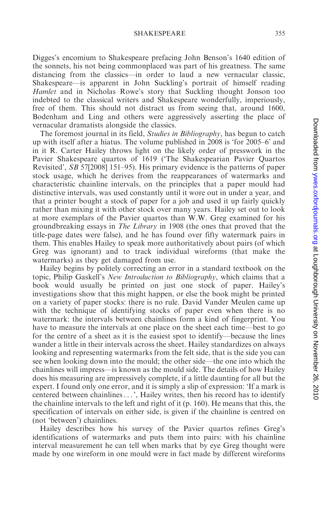Digges's encomium to Shakespeare prefacing John Benson's 1640 edition of the sonnets, his not being commonplaced was part of his greatness. The same distancing from the classics—in order to laud a new vernacular classic, Shakespeare—is apparent in John Suckling's portrait of himself reading Hamlet and in Nicholas Rowe's story that Suckling thought Jonson too indebted to the classical writers and Shakespeare wonderfully, imperiously, free of them. This should not distract us from seeing that, around 1600, Bodenham and Ling and others were aggressively asserting the place of vernacular dramatists alongside the classics.

The foremost journal in its field, Studies in Bibliography, has begun to catch up with itself after a hiatus. The volume published in 2008 is 'for 2005–6' and in it R. Carter Hailey throws light on the likely order of presswork in the Pavier Shakespeare quartos of 1619 ('The Shakespearian Pavier Quartos Revisited', SB 57[2008] 151–95). His primary evidence is the patterns of paper stock usage, which he derives from the reappearances of watermarks and characteristic chainline intervals, on the principles that a paper mould had distinctive intervals, was used constantly until it wore out in under a year, and that a printer bought a stock of paper for a job and used it up fairly quickly rather than mixing it with other stock over many years. Hailey set out to look at more exemplars of the Pavier quartos than W.W. Greg examined for his groundbreaking essays in The Library in 1908 (the ones that proved that the title-page dates were false), and he has found over fifty watermark pairs in them. This enables Hailey to speak more authoritatively about pairs (of which Greg was ignorant) and to track individual wireforms (that make the watermarks) as they get damaged from use.

Hailey begins by politely correcting an error in a standard textbook on the topic, Philip Gaskell's New Introduction to Bibliography, which claims that a book would usually be printed on just one stock of paper. Hailey's investigations show that this might happen, or else the book might be printed on a variety of paper stocks: there is no rule. David Vander Meulen came up with the technique of identifying stocks of paper even when there is no watermark: the intervals between chainlines form a kind of fingerprint. You have to measure the intervals at one place on the sheet each time—best to go for the centre of a sheet as it is the easiest spot to identify—because the lines wander a little in their intervals across the sheet. Hailey standardizes on always looking and representing watermarks from the felt side, that is the side you can see when looking down into the mould; the other side—the one into which the chainlines will impress—is known as the mould side. The details of how Hailey does his measuring are impressively complete, if a little daunting for all but the expert. I found only one error, and it is simply a slip of expression: 'If a mark is centered between chainlines... ', Hailey writes, then his record has to identify the chainline intervals to the left and right of it (p. 160). He means that this, the specification of intervals on either side, is given if the chainline is centred on (not 'between') chainlines.

Hailey describes how his survey of the Pavier quartos refines Greg's identifications of watermarks and puts them into pairs: with his chainline interval measurement he can tell when marks that by eye Greg thought were made by one wireform in one mould were in fact made by different wireforms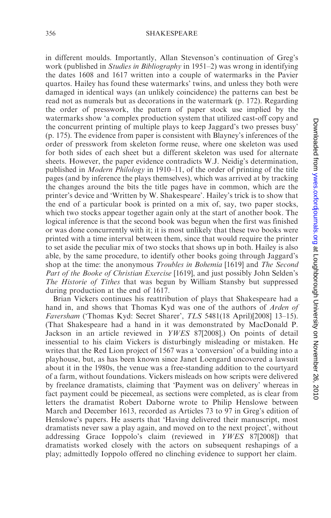in different moulds. Importantly, Allan Stevenson's continuation of Greg's work (published in Studies in Bibliography in 1951–2) was wrong in identifying the dates 1608 and 1617 written into a couple of watermarks in the Pavier quartos. Hailey has found these watermarks' twins, and unless they both were damaged in identical ways (an unlikely coincidence) the patterns can best be read not as numerals but as decorations in the watermark (p. 172). Regarding the order of presswork, the pattern of paper stock use implied by the watermarks show 'a complex production system that utilized cast-off copy and the concurrent printing of multiple plays to keep Jaggard's two presses busy' (p. 175). The evidence from paper is consistent with Blayney's inferences of the order of presswork from skeleton forme reuse, where one skeleton was used for both sides of each sheet but a different skeleton was used for alternate sheets. However, the paper evidence contradicts W.J. Neidig's determination, published in Modern Philology in 1910–11, of the order of printing of the title pages (and by inference the plays themselves), which was arrived at by tracking the changes around the bits the title pages have in common, which are the printer's device and 'Written by W. Shakespeare'. Hailey's trick is to show that the end of a particular book is printed on a mix of, say, two paper stocks, which two stocks appear together again only at the start of another book. The logical inference is that the second book was begun when the first was finished or was done concurrently with it; it is most unlikely that these two books were printed with a time interval between them, since that would require the printer to set aside the peculiar mix of two stocks that shows up in both. Hailey is also able, by the same procedure, to identify other books going through Jaggard's shop at the time: the anonymous Troubles in Bohemia [1619] and The Second Part of the Booke of Christian Exercise [1619], and just possibly John Selden's The Historie of Tithes that was begun by William Stansby but suppressed during production at the end of 1617.

Brian Vickers continues his reattribution of plays that Shakespeare had a hand in, and shows that Thomas Kyd was one of the authors of Arden of Faversham ('Thomas Kyd: Secret Sharer', TLS 5481(18 April)[2008] 13–15). (That Shakespeare had a hand in it was demonstrated by MacDonald P. Jackson in an article reviewed in YWES 87[2008].) On points of detail inessential to his claim Vickers is disturbingly misleading or mistaken. He writes that the Red Lion project of 1567 was a 'conversion' of a building into a playhouse, but, as has been known since Janet Loengard uncovered a lawsuit about it in the 1980s, the venue was a free-standing addition to the courtyard of a farm, without foundations. Vickers misleads on how scripts were delivered by freelance dramatists, claiming that 'Payment was on delivery' whereas in fact payment could be piecemeal, as sections were completed, as is clear from letters the dramatist Robert Daborne wrote to Philip Henslowe between March and December 1613, recorded as Articles 73 to 97 in Greg's edition of Henslowe's papers. He asserts that 'Having delivered their manuscript, most dramatists never saw a play again, and moved on to the next project', without addressing Grace Ioppolo's claim (reviewed in YWES 87[2008]) that dramatists worked closely with the actors on subsequent reshapings of a play; admittedly Ioppolo offered no clinching evidence to support her claim.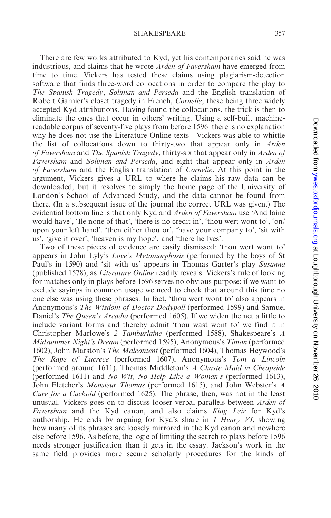There are few works attributed to Kyd, yet his contemporaries said he was industrious, and claims that he wrote *Arden of Faversham* have emerged from time to time. Vickers has tested these claims using plagiarism-detection software that finds three-word collocations in order to compare the play to The Spanish Tragedy, Soliman and Perseda and the English translation of Robert Garnier's closet tragedy in French, Cornelie, these being three widely accepted Kyd attributions. Having found the collocations, the trick is then to eliminate the ones that occur in others' writing. Using a self-built machinereadable corpus of seventy-five plays from before 1596–there is no explanation why he does not use the Literature Online texts—Vickers was able to whittle the list of collocations down to thirty-two that appear only in Arden of Faversham and The Spanish Tragedy, thirty-six that appear only in Arden of Faversham and Soliman and Perseda, and eight that appear only in Arden of Faversham and the English translation of Cornelie. At this point in the argument, Vickers gives a URL to where he claims his raw data can be downloaded, but it resolves to simply the home page of the University of London's School of Advanced Study, and the data cannot be found from there. (In a subsequent issue of the journal the correct URL was given.) The evidential bottom line is that only Kyd and Arden of Faversham use 'And faine would have', 'Ile none of that', 'there is no credit in', 'thou wert wont to', 'on/ upon your left hand', 'then either thou or', 'have your company to', 'sit with us', 'give it over', 'heaven is my hope', and 'there he lyes'.

Two of these pieces of evidence are easily dismissed: 'thou wert wont to' appears in John Lyly's Love's Metamorphosis (performed by the boys of St Paul's in 1590) and 'sit with us' appears in Thomas Garter's play Susanna (published 1578), as Literature Online readily reveals. Vickers's rule of looking for matches only in plays before 1596 serves no obvious purpose: if we want to exclude sayings in common usage we need to check that around this time no one else was using these phrases. In fact, 'thou wert wont to' also appears in Anonymous's The Wisdom of Doctor Dodypoll (performed 1599) and Samuel Daniel's *The Queen's Arcadia* (performed 1605). If we widen the net a little to include variant forms and thereby admit 'thou wast wont to' we find it in Christopher Marlowe's 2 Tamburlaine (performed 1588), Shakespeare's A Midsummer Night's Dream (performed 1595), Anonymous's Timon (performed 1602), John Marston's The Malcontent (performed 1604), Thomas Heywood's The Rape of Lucrece (performed 1607), Anonymous's Tom a Lincoln (performed around 1611), Thomas Middleton's A Chaste Maid in Cheapside (performed 1611) and No Wit, No Help Like a Woman's (performed 1613), John Fletcher's Monsieur Thomas (performed 1615), and John Webster's A Cure for a Cuckold (performed 1625). The phrase, then, was not in the least unusual. Vickers goes on to discuss looser verbal parallels between Arden of Faversham and the Kyd canon, and also claims King Leir for Kyd's authorship. He ends by arguing for Kyd's share in  $\ell$  Henry VI, showing how many of its phrases are loosely mirrored in the Kyd canon and nowhere else before 1596. As before, the logic of limiting the search to plays before 1596 needs stronger justification than it gets in the essay. Jackson's work in the same field provides more secure scholarly procedures for the kinds of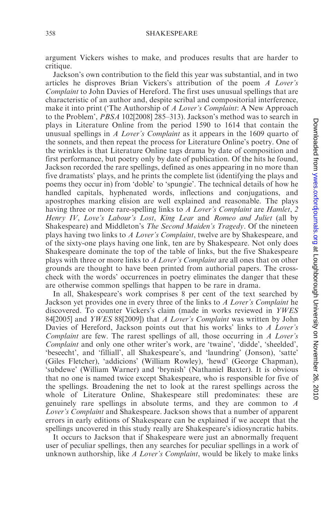argument Vickers wishes to make, and produces results that are harder to critique.

Jackson's own contribution to the field this year was substantial, and in two articles he disproves Brian Vickers's attribution of the poem A Lover's Complaint to John Davies of Hereford. The first uses unusual spellings that are characteristic of an author and, despite scribal and compositorial interference, make it into print ('The Authorship of A Lover's Complaint: A New Approach to the Problem', PBSA 102[2008] 285–313). Jackson's method was to search in plays in Literature Online from the period 1590 to 1614 that contain the unusual spellings in A Lover's Complaint as it appears in the 1609 quarto of the sonnets, and then repeat the process for Literature Online's poetry. One of the wrinkles is that Literature Online tags drama by date of composition and first performance, but poetry only by date of publication. Of the hits he found, Jackson recorded the rare spellings, defined as ones appearing in no more than five dramatists' plays, and he prints the complete list (identifying the plays and poems they occur in) from 'doble' to 'spungie'. The technical details of how he handled capitals, hyphenated words, inflections and conjugations, and apostrophes marking elision are well explained and reasonable. The plays having three or more rare-spelling links to A Lover's Complaint are Hamlet, 2 Henry IV, Love's Labour's Lost, King Lear and Romeo and Juliet (all by Shakespeare) and Middleton's The Second Maiden's Tragedy. Of the nineteen plays having two links to A Lover's Complaint, twelve are by Shakespeare, and of the sixty-one plays having one link, ten are by Shakespeare. Not only does Shakespeare dominate the top of the table of links, but the five Shakespeare plays with three or more links to A Lover's Complaint are all ones that on other grounds are thought to have been printed from authorial papers. The crosscheck with the words' occurrences in poetry eliminates the danger that these are otherwise common spellings that happen to be rare in drama.

In all, Shakespeare's work comprises 8 per cent of the text searched by Jackson yet provides one in every three of the links to A Lover's Complaint he discovered. To counter Vickers's claim (made in works reviewed in YWES 84[2005] and *YWES* 88[2009]) that A Lover's Complaint was written by John Davies of Hereford, Jackson points out that his works' links to A Lover's Complaint are few. The rarest spellings of all, those occurring in A Lover's Complaint and only one other writer's work, are 'twaine', 'didde', 'sheelded', 'beseecht', and 'filliall', all Shakespeare's, and 'laundring' (Jonson), 'satte' (Giles Fletcher), 'addicions' (William Rowley), 'hewd' (George Chapman), 'subdewe' (William Warner) and 'brynish' (Nathaniel Baxter). It is obvious that no one is named twice except Shakespeare, who is responsible for five of the spellings. Broadening the net to look at the rarest spellings across the whole of Literature Online, Shakespeare still predominates: these are genuinely rare spellings in absolute terms, and they are common to A Lover's Complaint and Shakespeare. Jackson shows that a number of apparent errors in early editions of Shakespeare can be explained if we accept that the spellings uncovered in this study really are Shakespeare's idiosyncratic habits.

It occurs to Jackson that if Shakespeare were just an abnormally frequent user of peculiar spellings, then any searches for peculiar spellings in a work of unknown authorship, like A Lover's Complaint, would be likely to make links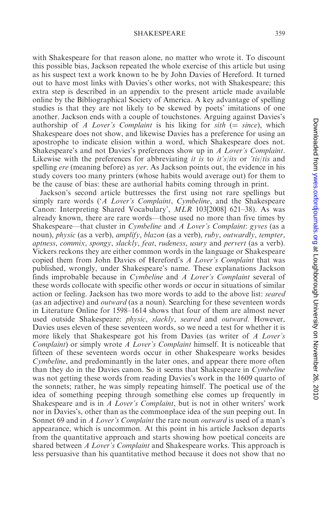with Shakespeare for that reason alone, no matter who wrote it. To discount this possible bias, Jackson repeated the whole exercise of this article but using as his suspect text a work known to be by John Davies of Hereford. It turned out to have most links with Davies's other works, not with Shakespeare; this extra step is described in an appendix to the present article made available online by the Bibliographical Society of America. A key advantage of spelling studies is that they are not likely to be skewed by poets' imitations of one another. Jackson ends with a couple of touchstones. Arguing against Davies's authorship of A Lover's Complaint is his liking for sith  $(= \text{ since})$ , which Shakespeare does not show, and likewise Davies has a preference for using an apostrophe to indicate elision within a word, which Shakespeare does not. Shakespeare's and not Davies's preferences show up in A Lover's Complaint. Likewise with the preferences for abbreviating *it is* to *it's/its* or *'tis/tis* and spelling ere (meaning before) as yer. As Jackson points out, the evidence in his study covers too many printers (whose habits would average out) for them to be the cause of bias: these are authorial habits coming through in print.

Jackson's second article buttresses the first using not rare spellings but simply rare words ('A Lover's Complaint, Cymbeline, and the Shakespeare Canon: Interpreting Shared Vocabulary', MLR 103[2008] 621–38). As was already known, there are rare words—those used no more than five times by Shakespeare—that cluster in Cymbeline and A Lover's Complaint: gyves (as a noun), *physic* (as a verb), *amplify*, *blazon* (as a verb), *ruby*, *outwardly*, *tempter*, aptness, commix, spongy, slackly, feat, rudeness, usury and pervert (as a verb). Vickers reckons they are either common words in the language or Shakespeare copied them from John Davies of Hereford's A Lover's Complaint that was published, wrongly, under Shakespeare's name. These explanations Jackson finds improbable because in Cymbeline and A Lover's Complaint several of these words collocate with specific other words or occur in situations of similar action or feeling. Jackson has two more words to add to the above list: seared (as an adjective) and outward (as a noun). Searching for these seventeen words in Literature Online for 1598–1614 shows that four of them are almost never used outside Shakespeare: *physic, slackly, seared* and *outward*. However, Davies uses eleven of these seventeen words, so we need a test for whether it is more likely that Shakespeare got his from Davies (as writer of A Lover's Complaint) or simply wrote A Lover's Complaint himself. It is noticeable that fifteen of these seventeen words occur in other Shakespeare works besides Cymbeline, and predominantly in the later ones, and appear there more often than they do in the Davies canon. So it seems that Shakespeare in Cymbeline was not getting these words from reading Davies's work in the 1609 quarto of the sonnets; rather, he was simply repeating himself. The poetical use of the idea of something peeping through something else comes up frequently in Shakespeare and is in A Lover's Complaint, but is not in other writers' work nor in Davies's, other than as the commonplace idea of the sun peeping out. In Sonnet 69 and in A Lover's Complaint the rare noun outward is used of a man's appearance, which is uncommon. At this point in his article Jackson departs from the quantitative approach and starts showing how poetical conceits are shared between A Lover's Complaint and Shakespeare works. This approach is less persuasive than his quantitative method because it does not show that no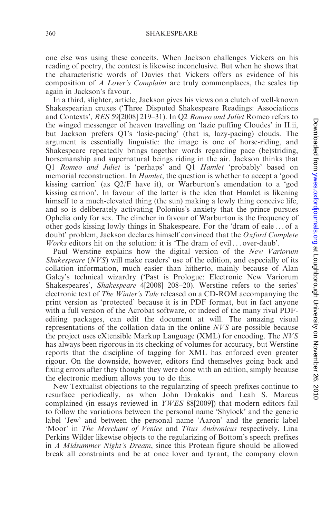one else was using these conceits. When Jackson challenges Vickers on his reading of poetry, the contest is likewise inconclusive. But when he shows that the characteristic words of Davies that Vickers offers as evidence of his composition of A Lover's Complaint are truly commonplaces, the scales tip again in Jackson's favour.

In a third, slighter, article, Jackson gives his views on a clutch of well-known Shakespearian cruxes ('Three Disputed Shakespeare Readings: Associations and Contexts', RES 59[2008] 219–31). In Q2 Romeo and Juliet Romeo refers to the winged messenger of heaven travelling on 'lazie puffing Cloudes' in II.ii, but Jackson prefers Q1's 'lasie-pacing' (that is, lazy-pacing) clouds. The argument is essentially linguistic: the image is one of horse-riding, and Shakespeare repeatedly brings together words regarding pace (be)striding, horsemanship and supernatural beings riding in the air. Jackson thinks that Q1 Romeo and Juliet is 'perhaps' and Q1 Hamlet 'probably' based on memorial reconstruction. In Hamlet, the question is whether to accept a 'good kissing carrion' (as Q2/F have it), or Warburton's emendation to a 'god kissing carrion'. In favour of the latter is the idea that Hamlet is likening himself to a much-elevated thing (the sun) making a lowly thing conceive life, and so is deliberately activating Polonius's anxiety that the prince pursues Ophelia only for sex. The clincher in favour of Warburton is the frequency of other gods kissing lowly things in Shakespeare. For the 'dram of eale ... of a doubt' problem, Jackson declares himself convinced that the Oxford Complete Works editors hit on the solution: it is 'The dram of evil ... over-daub'.

Paul Werstine explains how the digital version of the New Variorum Shakespeare ( $NVS$ ) will make readers' use of the edition, and especially of its collation information, much easier than hitherto, mainly because of Alan Galey's technical wizardry ('Past is Prologue: Electronic New Variorum Shakespeares', Shakespeare 4[2008] 208–20). Werstine refers to the series' electronic text of The Winter's Tale released on a CD-ROM accompanying the print version as 'protected' because it is in PDF format, but in fact anyone with a full version of the Acrobat software, or indeed of the many rival PDFediting packages, can edit the document at will. The amazing visual representations of the collation data in the online NVS are possible because the project uses eXtensible Markup Language (XML) for encoding. The NVS has always been rigorous in its checking of volumes for accuracy, but Werstine reports that the discipline of tagging for XML has enforced even greater rigour. On the downside, however, editors find themselves going back and fixing errors after they thought they were done with an edition, simply because the electronic medium allows you to do this.

New Textualist objections to the regularizing of speech prefixes continue to resurface periodically, as when John Drakakis and Leah S. Marcus complained (in essays reviewed in YWES 88[2009]) that modern editors fail to follow the variations between the personal name 'Shylock' and the generic label 'Jew' and between the personal name 'Aaron' and the generic label 'Moor' in The Merchant of Venice and Titus Andronicus respectively. Lina Perkins Wilder likewise objects to the regularizing of Bottom's speech prefixes in A Midsummer Night's Dream, since this Protean figure should be allowed break all constraints and be at once lover and tyrant, the company clown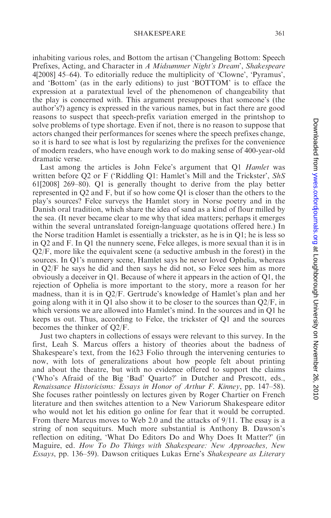inhabiting various roles, and Bottom the artisan ('Changeling Bottom: Speech Prefixes, Acting, and Character in A Midsummer Night's Dream', Shakespeare 4[2008] 45–64). To editorially reduce the multiplicity of 'Clowne', 'Pyramus', and 'Bottom' (as in the early editions) to just 'BOTTOM' is to efface the expression at a paratextual level of the phenomenon of changeability that the play is concerned with. This argument presupposes that someone's (the author's?) agency is expressed in the various names, but in fact there are good reasons to suspect that speech-prefix variation emerged in the printshop to solve problems of type shortage. Even if not, there is no reason to suppose that actors changed their performances for scenes where the speech prefixes change, so it is hard to see what is lost by regularizing the prefixes for the convenience of modern readers, who have enough work to do making sense of 400-year-old dramatic verse.

Last among the articles is John Felce's argument that O1 *Hamlet* was written before Q2 or F ('Riddling Q1: Hamlet's Mill and the Trickster', ShS 61[2008] 269–80). Q1 is generally thought to derive from the play better represented in Q2 and F, but if so how come Q1 is closer than the others to the play's sources? Felce surveys the Hamlet story in Norse poetry and in the Danish oral tradition, which share the idea of sand as a kind of flour milled by the sea. (It never became clear to me why that idea matters; perhaps it emerges within the several untranslated foreign-language quotations offered here.) In the Norse tradition Hamlet is essentially a trickster, as he is in Q1; he is less so in Q2 and F. In Q1 the nunnery scene, Felce alleges, is more sexual than it is in Q2/F, more like the equivalent scene (a seductive ambush in the forest) in the sources. In Q1's nunnery scene, Hamlet says he never loved Ophelia, whereas in Q2/F he says he did and then says he did not, so Felce sees him as more obviously a deceiver in Q1. Because of where it appears in the action of Q1, the rejection of Ophelia is more important to the story, more a reason for her madness, than it is in Q2/F. Gertrude's knowledge of Hamlet's plan and her going along with it in Q1 also show it to be closer to the sources than  $Q^2/F$ , in which versions we are allowed into Hamlet's mind. In the sources and in Q1 he keeps us out. Thus, according to Felce, the trickster of Q1 and the sources becomes the thinker of Q2/F.

Just two chapters in collections of essays were relevant to this survey. In the first, Leah S. Marcus offers a history of theories about the badness of Shakespeare's text, from the 1623 Folio through the intervening centuries to now, with lots of generalizations about how people felt about printing and about the theatre, but with no evidence offered to support the claims ('Who's Afraid of the Big 'Bad' Quarto?' in Dutcher and Prescott, eds., Renaissance Historicisms: Essays in Honor of Arthur F. Kinney, pp. 147–58). She focuses rather pointlessly on lectures given by Roger Chartier on French literature and then switches attention to a New Variorum Shakespeare editor who would not let his edition go online for fear that it would be corrupted. From there Marcus moves to Web 2.0 and the attacks of 9/11. The essay is a string of non sequiturs. Much more substantial is Anthony B. Dawson's reflection on editing, 'What Do Editors Do and Why Does It Matter?' (in Maguire, ed. How To Do Things with Shakespeare: New Approaches, New Essays, pp. 136–59). Dawson critiques Lukas Erne's Shakespeare as Literary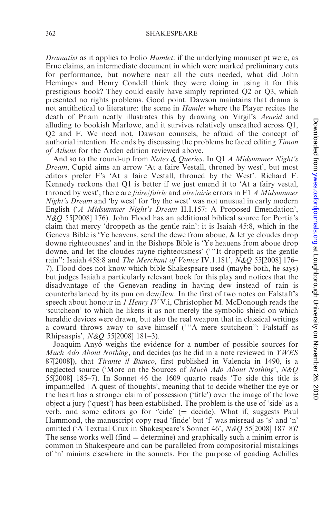Dramatist as it applies to Folio *Hamlet*: if the underlying manuscript were, as Erne claims, an intermediate document in which were marked preliminary cuts for performance, but nowhere near all the cuts needed, what did John Heminges and Henry Condell think they were doing in using it for this prestigious book? They could easily have simply reprinted Q2 or Q3, which presented no rights problems. Good point. Dawson maintains that drama is not antithetical to literature: the scene in Hamlet where the Player recites the death of Priam neatly illustrates this by drawing on Virgil's Aeneid and alluding to bookish Marlowe, and it survives relatively unscathed across Q1, Q2 and F. We need not, Dawson counsels, be afraid of the concept of authorial intention. He ends by discussing the problems he faced editing Timon of Athens for the Arden edition reviewed above.

And so to the round-up from Notes & Queries. In Q1 A Midsummer Night's Dream, Cupid aims an arrow 'At a faire Vestall, throned by west', but most editors prefer F's 'At a faire Vestall, throned by the West'. Richard F. Kennedy reckons that Q1 is better if we just emend it to 'At a fairy vestal, throned by west'; there are faire/fairie and aire/airie errors in F1 A Midsummer Night's Dream and 'by west' for 'by the west' was not unusual in early modern English ('A Midsummer Night's Dream II.I.157: A Proposed Emendation', N&Q 55[2008] 176). John Flood has an additional biblical source for Portia's claim that mercy 'droppeth as the gentle rain': it is Isaiah 45:8, which in the Geneva Bible is 'Ye heavens, send the dewe from aboue, & let ye cloudes drop downe righteousnes' and in the Bishops Bible is 'Ye heauens from aboue drop downe, and let the cloudes rayne righteousness' (' ''It droppeth as the gentle rain": Isaiah 458:8 and The Merchant of Venice IV.1.181',  $N&O$  55[2008] 176– 7). Flood does not know which bible Shakespeare used (maybe both, he says) but judges Isaiah a particularly relevant book for this play and notices that the disadvantage of the Genevan reading in having dew instead of rain is counterbalanced by its pun on dew/Jew. In the first of two notes on Falstaff's speech about honour in 1 Henry IV V.i, Christopher M. McDonough reads the 'scutcheon' to which he likens it as not merely the symbolic shield on which heraldic devices were drawn, but also the real weapon that in classical writings a coward throws away to save himself ("A mere scutcheon": Falstaff as Rhipsaspis', N&Q 55[2008] 181–3).

Joaquim Anyo´ weighs the evidence for a number of possible sources for Much Ado About Nothing, and decides (as he did in a note reviewed in YWES 87[2008]), that Tirante il Bianco, first published in Valencia in 1490, is a neglected source ('More on the Sources of *Much Ado About Nothing*', N&O 55[2008] 185–7). In Sonnet 46 the 1609 quarto reads 'To side this title is impannelled | A quest of thoughts', meaning that to decide whether the eye or the heart has a stronger claim of possession ('title') over the image of the love object a jury ('quest') has been established. The problem is the use of 'side' as a verb, and some editors go for "cide" ( $=$  decide). What if, suggests Paul Hammond, the manuscript copy read 'finde' but 'f' was misread as 's' and 'n' omitted ('A Textual Crux in Shakespeare's Sonnet 46', N&Q 55[2008] 187–8)? The sense works well (find  $=$  determine) and graphically such a minim error is common in Shakespeare and can be paralleled from compositorial mistakings of 'n' minims elsewhere in the sonnets. For the purpose of goading Achilles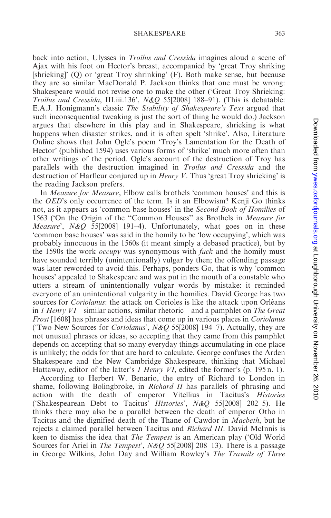back into action, Ulysses in Troilus and Cressida imagines aloud a scene of Ajax with his foot on Hector's breast, accompanied by 'great Troy shriking [shrieking]' (Q) or 'great Troy shrinking' (F). Both make sense, but because they are so similar MacDonald P. Jackson thinks that one must be wrong: Shakespeare would not revise one to make the other ('Great Troy Shrieking: Troilus and Cressida, III.iii.136', N&Q 55[2008] 188–91). (This is debatable: E.A.J. Honigmann's classic The Stability of Shakespeare's Text argued that such inconsequential tweaking is just the sort of thing he would do.) Jackson argues that elsewhere in this play and in Shakespeare, shrieking is what happens when disaster strikes, and it is often spelt 'shrike'. Also, Literature Online shows that John Ogle's poem 'Troy's Lamentation for the Death of Hector' (published 1594) uses various forms of 'shrike' much more often than other writings of the period. Ogle's account of the destruction of Troy has parallels with the destruction imagined in Troilus and Cressida and the destruction of Harfleur conjured up in  $Henry V$ . Thus 'great Troy shrieking' is the reading Jackson prefers.

In Measure for Measure, Elbow calls brothels 'common houses' and this is the OED's only occurrence of the term. Is it an Elbowism? Kenji Go thinks not, as it appears as 'common base houses' in the Second Book of Homilies of 1563 ('On the Origin of the ''Common Houses'' as Brothels in Measure for *Measure'*,  $N&O$  55[2008] 191–4). Unfortunately, what goes on in these 'common base houses' was said in the homily to be 'low occupying', which was probably innocuous in the 1560s (it meant simply a debased practice), but by the 1590s the work occupy was synonymous with fuck and the homily must have sounded terribly (unintentionally) vulgar by then; the offending passage was later reworded to avoid this. Perhaps, ponders Go, that is why 'common houses' appealed to Shakespeare and was put in the mouth of a constable who utters a stream of unintentionally vulgar words by mistake: it reminded everyone of an unintentional vulgarity in the homilies. David George has two sources for *Coriolanus*: the attack on Corioles is like the attack upon Orléans in 1 Henry VI—similar actions, similar rhetoric—and a pamphlet on The Great Frost [1608] has phrases and ideas that come up in various places in Coriolanus ('Two New Sources for Coriolanus', N&Q 55[2008] 194–7). Actually, they are not unusual phrases or ideas, so accepting that they came from this pamphlet depends on accepting that so many everyday things accumulating in one place is unlikely; the odds for that are hard to calculate. George confuses the Arden Shakespeare and the New Cambridge Shakespeare, thinking that Michael Hattaway, editor of the latter's 1 Henry VI, edited the former's (p. 195 n. 1).

According to Herbert W. Benario, the entry of Richard to London in shame, following Bolingbroke, in *Richard II* has parallels of phrasing and action with the death of emperor Vitellius in Tacitus's Histories ('Shakespearean Debt to Tacitus' Histories', N&Q 55[2008] 202–5). He thinks there may also be a parallel between the death of emperor Otho in Tacitus and the dignified death of the Thane of Cawdor in Macbeth, but he rejects a claimed parallel between Tacitus and Richard III. David McInnis is keen to dismiss the idea that The Tempest is an American play ('Old World Sources for Ariel in The Tempest', N&Q 55[2008] 208–13). There is a passage in George Wilkins, John Day and William Rowley's The Travails of Three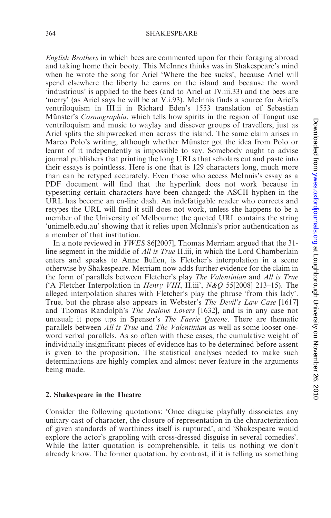English Brothers in which bees are commented upon for their foraging abroad and taking home their booty. This McInnes thinks was in Shakespeare's mind when he wrote the song for Ariel 'Where the bee sucks', because Ariel will spend elsewhere the liberty he earns on the island and because the word 'industrious' is applied to the bees (and to Ariel at IV.iii.33) and the bees are 'merry' (as Ariel says he will be at V.i.93). McInnis finds a source for Ariel's ventriloquism in III.ii in Richard Eden's 1553 translation of Sebastian Münster's *Cosmographia*, which tells how spirits in the region of Tangut use ventriloquism and music to waylay and dissever groups of travellers, just as Ariel splits the shipwrecked men across the island. The same claim arises in Marco Polo's writing, although whether Münster got the idea from Polo or learnt of it independently is impossible to say. Somebody ought to advise journal publishers that printing the long URLs that scholars cut and paste into their essays is pointlesss. Here is one that is 129 characters long, much more than can be retyped accurately. Even those who access McInnis's essay as a PDF document will find that the hyperlink does not work because in typesetting certain characters have been changed: the ASCII hyphen in the URL has become an en-line dash. An indefatigable reader who corrects and retypes the URL will find it still does not work, unless she happens to be a member of the University of Melbourne: the quoted URL contains the string 'unimelb.edu.au' showing that it relies upon McInnis's prior authentication as a member of that institution.

In a note reviewed in YWES 86[2007], Thomas Merriam argued that the 31 line segment in the middle of All is True II.iii, in which the Lord Chamberlain enters and speaks to Anne Bullen, is Fletcher's interpolation in a scene otherwise by Shakespeare. Merriam now adds further evidence for the claim in the form of parallels between Fletcher's play The Valentinian and All is True ('A Fletcher Interpolation in Henry VIII, II.iii', N&Q 55[2008] 213–15). The alleged interpolation shares with Fletcher's play the phrase 'from this lady'. True, but the phrase also appears in Webster's The Devil's Law Case [1617] and Thomas Randolph's The Jealous Lovers [1632], and is in any case not unusual; it pops ups in Spenser's The Faerie Queene. There are thematic parallels between All is True and The Valentinian as well as some looser oneword verbal parallels. As so often with these cases, the cumulative weight of individually insignificant pieces of evidence has to be determined before assent is given to the proposition. The statistical analyses needed to make such determinations are highly complex and almost never feature in the arguments being made.

## 2. Shakespeare in the Theatre

Consider the following quotations: 'Once disguise playfully dissociates any unitary cast of character, the closure of representation in the characterization of given standards of worthiness itself is ruptured', and 'Shakespeare would explore the actor's grappling with cross-dressed disguise in several comedies'. While the latter quotation is comprehensible, it tells us nothing we don't already know. The former quotation, by contrast, if it is telling us something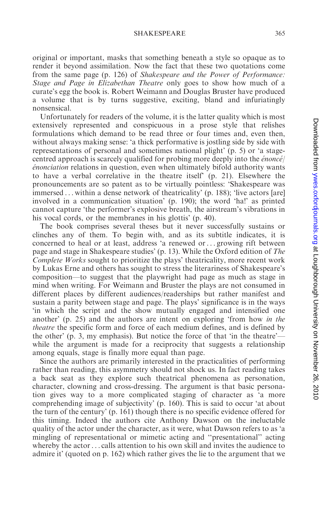original or important, masks that something beneath a style so opaque as to render it beyond assimilation. Now the fact that these two quotations come from the same page (p. 126) of Shakespeare and the Power of Performance: Stage and Page in Elizabethan Theatre only goes to show how much of a curate's egg the book is. Robert Weimann and Douglas Bruster have produced a volume that is by turns suggestive, exciting, bland and infuriatingly nonsensical.

Unfortunately for readers of the volume, it is the latter quality which is most extensively represented and conspicuous in a prose style that relishes formulations which demand to be read three or four times and, even then, without always making sense: 'a thick performative is jostling side by side with representations of personal and sometimes national plight' (p. 5) or 'a stagecentred approach is scarcely qualified for probing more deeply into the *énoncé*/ *enonciation* relations in question, even when ultimately bifold authority wants to have a verbal correlative in the theatre itself' (p. 21). Elsewhere the pronouncements are so patent as to be virtually pointless: 'Shakespeare was immersed ... within a dense network of theatricality' (p. 188); 'live actors [are] involved in a communication situation' (p. 190); the word 'ha!' as printed cannot capture 'the performer's explosive breath, the airstream's vibrations in his vocal cords, or the membranes in his glottis' (p. 40).

The book comprises several theses but it never successfully sustains or clinches any of them. To begin with, and as its subtitle indicates, it is concerned to heal or at least, address 'a renewed or... growing rift between page and stage in Shakespeare studies' (p. 13). While the Oxford edition of The Complete Works sought to prioritize the plays' theatricality, more recent work by Lukas Erne and others has sought to stress the literariness of Shakespeare's composition—to suggest that the playwright had page as much as stage in mind when writing. For Weimann and Bruster the plays are not consumed in different places by different audiences/readerships but rather manifest and sustain a parity between stage and page. The plays' significance is in the ways 'in which the script and the show mutually engaged and intensified one another' (p. 25) and the authors are intent on exploring 'from how in the theatre the specific form and force of each medium defines, and is defined by the other' (p. 3, my emphasis). But notice the force of that 'in the theatre' while the argument is made for a reciprocity that suggests a relationship among equals, stage is finally more equal than page.

Since the authors are primarily interested in the practicalities of performing rather than reading, this asymmetry should not shock us. In fact reading takes a back seat as they explore such theatrical phenomena as personation, character, clowning and cross-dressing. The argument is that basic personation gives way to a more complicated staging of character as 'a more comprehending image of subjectivity' (p. 160). This is said to occur 'at about the turn of the century' (p. 161) though there is no specific evidence offered for this timing. Indeed the authors cite Anthony Dawson on the ineluctable quality of the actor under the character, as it were, what Dawson refers to as 'a mingling of representational or mimetic acting and ''presentational'' acting whereby the actor... calls attention to his own skill and invites the audience to admire it' (quoted on p. 162) which rather gives the lie to the argument that we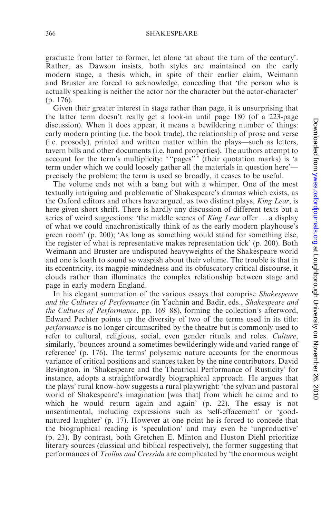graduate from latter to former, let alone 'at about the turn of the century'. Rather, as Dawson insists, both styles are maintained on the early modern stage, a thesis which, in spite of their earlier claim, Weimann and Bruster are forced to acknowledge, conceding that 'the person who is actually speaking is neither the actor nor the character but the actor-character' (p. 176).

Given their greater interest in stage rather than page, it is unsurprising that the latter term doesn't really get a look-in until page 180 (of a 223-page discussion). When it does appear, it means a bewildering number of things: early modern printing (i.e. the book trade), the relationship of prose and verse (i.e. prosody), printed and written matter within the plays—such as letters, tavern bills and other documents (i.e. hand properties). The authors attempt to account for the term's multiplicity: "pages" (their quotation marks) is 'a term under which we could loosely gather all the materials in question here' precisely the problem: the term is used so broadly, it ceases to be useful.

The volume ends not with a bang but with a whimper. One of the most textually intriguing and problematic of Shakespeare's dramas which exists, as the Oxford editors and others have argued, as two distinct plays, King Lear, is here given short shrift. There is hardly any discussion of different texts but a series of weird suggestions: 'the middle scenes of *King Lear* offer... a display of what we could anachronistically think of as the early modern playhouse's green room' (p. 200); 'As long as something would stand for something else, the register of what is representative makes representation tick' (p. 200). Both Weimann and Bruster are undisputed heavyweights of the Shakespeare world and one is loath to sound so waspish about their volume. The trouble is that in its eccentricity, its magpie-mindedness and its obfuscatory critical discourse, it clouds rather than illuminates the complex relationship between stage and page in early modern England.

In his elegant summation of the various essays that comprise Shakespeare and the Cultures of Performance (in Yachnin and Badir, eds., Shakespeare and the Cultures of Performance, pp. 169–88), forming the collection's afterword, Edward Pechter points up the diversity of two of the terms used in its title: performance is no longer circumscribed by the theatre but is commonly used to refer to cultural, religious, social, even gender rituals and roles. Culture, similarly, 'bounces around a sometimes bewilderingly wide and varied range of reference' (p. 176). The terms' polysemic nature accounts for the enormous variance of critical positions and stances taken by the nine contributors. David Bevington, in 'Shakespeare and the Theatrical Performance of Rusticity' for instance, adopts a straightforwardly biographical approach. He argues that the plays' rural know-how suggests a rural playwright: 'the sylvan and pastoral world of Shakespeare's imagination [was that] from which he came and to which he would return again and again' (p. 22). The essay is not unsentimental, including expressions such as 'self-effacement' or 'goodnatured laughter' (p. 17). However at one point he is forced to concede that the biographical reading is 'speculation' and may even be 'unproductive' (p. 23). By contrast, both Gretchen E. Minton and Huston Diehl prioritize literary sources (classical and biblical respectively), the former suggesting that performances of Troilus and Cressida are complicated by 'the enormous weight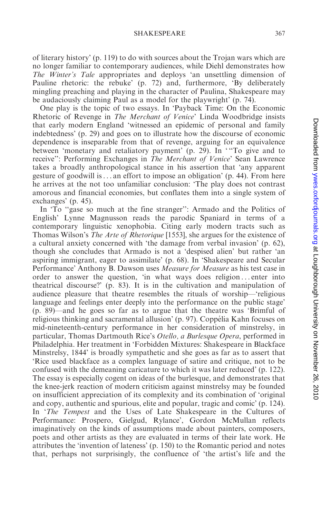of literary history' (p. 119) to do with sources about the Trojan wars which are no longer familiar to contemporary audiences, while Diehl demonstrates how The Winter's Tale appropriates and deploys 'an unsettling dimension of Pauline rhetoric: the rebuke' (p. 72) and, furthermore, 'By deliberately mingling preaching and playing in the character of Paulina, Shakespeare may be audaciously claiming Paul as a model for the playwright' (p. 74).

One play is the topic of two essays. In 'Payback Time: On the Economic Rhetoric of Revenge in The Merchant of Venice' Linda Woodbridge insists that early modern England 'witnessed an epidemic of personal and family indebtedness' (p. 29) and goes on to illustrate how the discourse of economic dependence is inseparable from that of revenge, arguing for an equivalence between 'monetary and retaliatory payment' (p. 29). In "To give and to receive'': Performing Exchanges in The Merchant of Venice' Sean Lawrence takes a broadly anthropological stance in his assertion that 'any apparent gesture of goodwill is... an effort to impose an obligation' (p. 44). From here he arrives at the not too unfamiliar conclusion: 'The play does not contrast amorous and financial economies, but conflates them into a single system of exchanges' (p. 45).

In 'To ''gase so much at the fine stranger'': Armado and the Politics of English' Lynne Magnusson reads the parodic Spaniard in terms of a contemporary linguistic xenophobia. Citing early modern tracts such as Thomas Wilson's The Arte of Rhetorique [1553], she argues for the existence of a cultural anxiety concerned with 'the damage from verbal invasion' (p. 62), though she concludes that Armado is not a 'despised alien' but rather 'an aspiring immigrant, eager to assimilate' (p. 68). In 'Shakespeare and Secular Performance' Anthony B. Dawson uses Measure for Measure as his test case in order to answer the question, 'in what ways does religion ... enter into theatrical discourse?' (p. 83). It is in the cultivation and manipulation of audience pleasure that theatre resembles the rituals of worship—'religious language and feelings enter deeply into the performance on the public stage' (p. 89)—and he goes so far as to argue that the theatre was 'Brimful of religious thinking and sacramental allusion' (p. 97). Coppélia Kahn focuses on mid-nineteenth-century performance in her consideration of minstrelsy, in particular, Thomas Dartmouth Rice's Otello, a Burlesque Opera, performed in Philadelphia. Her treatment in 'Forbidden Mixtures: Shakespeare in Blackface Minstrelsy, 1844' is broadly sympathetic and she goes as far as to assert that 'Rice used blackface as a complex language of satire and critique, not to be confused with the demeaning caricature to which it was later reduced' (p. 122). The essay is especially cogent on ideas of the burlesque, and demonstrates that the knee-jerk reaction of modern criticism against minstrelsy may be founded on insufficient appreciation of its complexity and its combination of 'original and copy, authentic and spurious, elite and popular, tragic and comic' (p. 124). In 'The Tempest and the Uses of Late Shakespeare in the Cultures of Performance: Prospero, Gielgud, Rylance', Gordon McMullan reflects imaginatively on the kinds of assumptions made about painters, composers, poets and other artists as they are evaluated in terms of their late work. He attributes the 'invention of lateness' (p. 150) to the Romantic period and notes that, perhaps not surprisingly, the confluence of 'the artist's life and the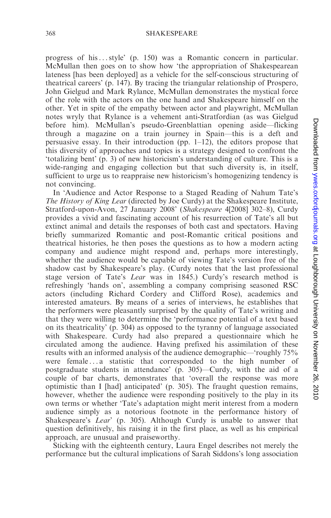progress of his...style' (p. 150) was a Romantic concern in particular. McMullan then goes on to show how 'the appropriation of Shakespearean lateness [has been deployed] as a vehicle for the self-conscious structuring of theatrical careers' (p. 147). By tracing the triangular relationship of Prospero, John Gielgud and Mark Rylance, McMullan demonstrates the mystical force of the role with the actors on the one hand and Shakespeare himself on the other. Yet in spite of the empathy between actor and playwright, McMullan notes wryly that Rylance is a vehement anti-Stratfordian (as was Gielgud before him). McMullan's pseudo-Greenblattian opening aside—flicking through a magazine on a train journey in Spain—this is a deft and persuasive essay. In their introduction (pp.  $1-12$ ), the editors propose that this diversity of approaches and topics is a strategy designed to confront the 'totalizing bent' (p. 3) of new historicism's understanding of culture. This is a wide-ranging and engaging collection but that such diversity is, in itself, sufficient to urge us to reappraise new historicism's homogenizing tendency is not convincing.

In 'Audience and Actor Response to a Staged Reading of Nahum Tate's The History of King Lear (directed by Joe Curdy) at the Shakespeare Institute, Stratford-upon-Avon, 27 January 2008' (Shakespeare 4[2008] 302–8), Curdy provides a vivid and fascinating account of his resurrection of Tate's all but extinct animal and details the responses of both cast and spectators. Having briefly summarized Romantic and post-Romantic critical positions and theatrical histories, he then poses the questions as to how a modern acting company and audience might respond and, perhaps more interestingly, whether the audience would be capable of viewing Tate's version free of the shadow cast by Shakespeare's play. (Curdy notes that the last professional stage version of Tate's Lear was in 1845.) Curdy's research method is refreshingly 'hands on', assembling a company comprising seasoned RSC actors (including Richard Cordery and Clifford Rose), academics and interested amateurs. By means of a series of interviews, he establishes that the performers were pleasantly surprised by the quality of Tate's writing and that they were willing to determine the 'performance potential of a text based on its theatricality' (p. 304) as opposed to the tyranny of language associated with Shakespeare. Curdy had also prepared a questionnaire which he circulated among the audience. Having prefixed his assimilation of these results with an informed analysis of the audience demographic—'roughly 75% were female ... a statistic that corresponded to the high number of postgraduate students in attendance' (p. 305)—Curdy, with the aid of a couple of bar charts, demonstrates that 'overall the response was more optimistic than I [had] anticipated' (p. 305). The fraught question remains, however, whether the audience were responding positively to the play in its own terms or whether 'Tate's adaptation might merit interest from a modern audience simply as a notorious footnote in the performance history of Shakespeare's Lear' (p. 305). Although Curdy is unable to answer that question definitively, his raising it in the first place, as well as his empirical approach, are unusual and praiseworthy.

Sticking with the eighteenth century, Laura Engel describes not merely the performance but the cultural implications of Sarah Siddons's long association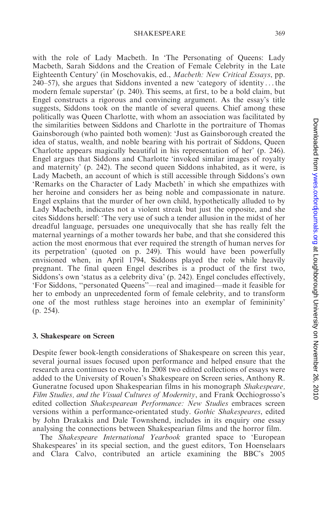with the role of Lady Macbeth. In 'The Personating of Queens: Lady Macbeth, Sarah Siddons and the Creation of Female Celebrity in the Late Eighteenth Century' (in Moschovakis, ed., Macbeth: New Critical Essays, pp. 240–57), she argues that Siddons invented a new 'category of identity ...the modern female superstar' (p. 240). This seems, at first, to be a bold claim, but Engel constructs a rigorous and convincing argument. As the essay's title suggests, Siddons took on the mantle of several queens. Chief among these politically was Queen Charlotte, with whom an association was facilitated by the similarities between Siddons and Charlotte in the portraiture of Thomas Gainsborough (who painted both women): 'Just as Gainsborough created the idea of status, wealth, and noble bearing with his portrait of Siddons, Queen Charlotte appears magically beautiful in his representation of her' (p. 246). Engel argues that Siddons and Charlotte 'invoked similar images of royalty and maternity' (p. 242). The second queen Siddons inhabited, as it were, is Lady Macbeth, an account of which is still accessible through Siddons's own 'Remarks on the Character of Lady Macbeth' in which she empathizes with her heroine and considers her as being noble and compassionate in nature. Engel explains that the murder of her own child, hypothetically alluded to by Lady Macbeth, indicates not a violent streak but just the opposite, and she cites Siddons herself: 'The very use of such a tender allusion in the midst of her dreadful language, persuades one unequivocally that she has really felt the maternal yearnings of a mother towards her babe, and that she considered this action the most enormous that ever required the strength of human nerves for its perpetration' (quoted on p. 249). This would have been powerfully envisioned when, in April 1794, Siddons played the role while heavily pregnant. The final queen Engel describes is a product of the first two, Siddons's own 'status as a celebrity diva' (p. 242). Engel concludes effectively, 'For Siddons, ''personated Queens''—real and imagined—made it feasible for her to embody an unprecedented form of female celebrity, and to transform one of the most ruthless stage heroines into an exemplar of femininity' (p. 254).

#### 3. Shakespeare on Screen

Despite fewer book-length considerations of Shakespeare on screen this year, several journal issues focused upon performance and helped ensure that the research area continues to evolve. In 2008 two edited collections of essays were added to the University of Rouen's Shakespeare on Screen series, Anthony R. Guneratne focused upon Shakespearian films in his monograph Shakespeare, Film Studies, and the Visual Cultures of Modernity, and Frank Occhiogrosso's edited collection Shakespearean Performance: New Studies embraces screen versions within a performance-orientated study. Gothic Shakespeares, edited by John Drakakis and Dale Townshend, includes in its enquiry one essay analysing the connections between Shakespearian films and the horror film.

The Shakespeare International Yearbook granted space to 'European Shakespeares' in its special section, and the guest editors, Ton Hoenselaars and Clara Calvo, contributed an article examining the BBC's 2005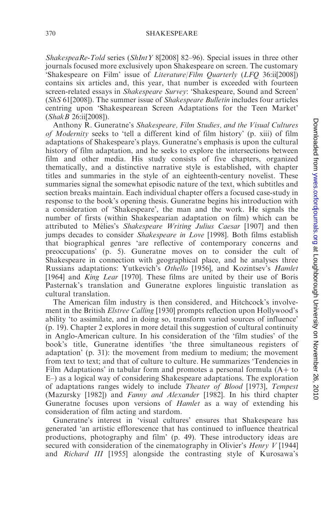ShakespeaRe-Told series (ShIntY 8[2008] 82–96). Special issues in three other journals focused more exclusively upon Shakespeare on screen. The customary 'Shakespeare on Film' issue of Literature/Film Quarterly (LFQ 36:ii[2008]) contains six articles and, this year, that number is exceeded with fourteen screen-related essays in *Shakespeare Survey*: 'Shakespeare, Sound and Screen' (ShS 61[2008]). The summer issue of Shakespeare Bulletin includes four articles centring upon 'Shakespearean Screen Adaptations for the Teen Market' (ShakB 26:ii[2008]).

Anthony R. Guneratne's Shakespeare, Film Studies, and the Visual Cultures of Modernity seeks to 'tell a different kind of film history' (p. xiii) of film adaptations of Shakespeare's plays. Guneratne's emphasis is upon the cultural history of film adaptation, and he seeks to explore the intersections between film and other media. His study consists of five chapters, organized thematically, and a distinctive narrative style is established, with chapter titles and summaries in the style of an eighteenth-century novelist. These summaries signal the somewhat episodic nature of the text, which subtitles and section breaks maintain. Each individual chapter offers a focused case-study in response to the book's opening thesis. Guneratne begins his introduction with a consideration of 'Shakespeare', the man and the work. He signals the number of firsts (within Shakespearian adaptation on film) which can be attributed to Mélies's Shakespeare Writing Julius Caesar [1907] and then jumps decades to consider Shakespeare in Love [1998]. Both films establish that biographical genres 'are reflective of contemporary concerns and preoccupations' (p. 5). Guneratne moves on to consider the cult of Shakespeare in connection with geographical place, and he analyses three Russians adaptations: Yutkevich's Othello [1956], and Kozintsev's Hamlet [1964] and King Lear [1970]. These films are united by their use of Boris Pasternak's translation and Guneratne explores linguistic translation as cultural translation.

The American film industry is then considered, and Hitchcock's involvement in the British Elstree Calling [1930] prompts reflection upon Hollywood's ability 'to assimilate, and in doing so, transform varied sources of influence' (p. 19). Chapter 2 explores in more detail this suggestion of cultural continuity in Anglo-American culture. In his consideration of the 'film studies' of the book's title, Guneratne identifies 'the three simultaneous registers of adaptation' (p. 31): the movement from medium to medium; the movement from text to text; and that of culture to culture. He summarizes 'Tendencies in Film Adaptations' in tabular form and promotes a personal formula  $(A<sub>+</sub>$  to E–) as a logical way of considering Shakespeare adaptations. The exploration of adaptations ranges widely to include Theater of Blood [1973], Tempest (Mazursky [1982]) and Fanny and Alexander [1982]. In his third chapter Guneratne focuses upon versions of Hamlet as a way of extending his consideration of film acting and stardom.

Guneratne's interest in 'visual cultures' ensures that Shakespeare has generated 'an artistic efflorescence that has continued to influence theatrical productions, photography and film' (p. 49). These introductory ideas are secured with consideration of the cinematography in Olivier's Henry V [1944] and Richard III [1955] alongside the contrasting style of Kurosawa's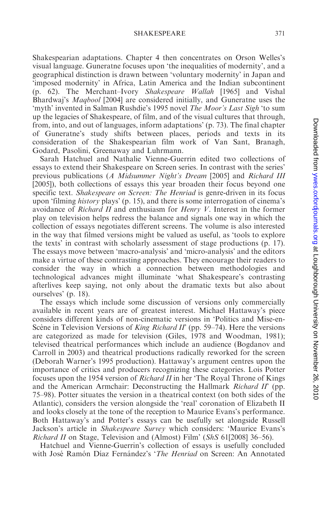Shakespearian adaptations. Chapter 4 then concentrates on Orson Welles's visual language. Guneratne focuses upon 'the inequalities of modernity', and a geographical distinction is drawn between 'voluntary modernity' in Japan and 'imposed modernity' in Africa, Latin America and the Indian subcontinent (p. 62). The Merchant–Ivory Shakespeare Wallah [1965] and Vishal Bhardwaj's Maqbool [2004] are considered initially, and Guneratne uses the 'myth' invented in Salman Rushdie's 1995 novel The Moor's Last Sigh 'to sum up the legacies of Shakespeare, of film, and of the visual cultures that through, from, into, and out of languages, inform adaptations' (p. 73). The final chapter of Guneratne's study shifts between places, periods and texts in its consideration of the Shakespearian film work of Van Sant, Branagh, Godard, Pasolini, Greenaway and Luhrmann.

Sarah Hatchuel and Nathalie Vienne-Guerrin edited two collections of essays to extend their Shakespeare on Screen series. In contrast with the series' previous publications (A Midsummer Night's Dream [2005] and Richard III [2005]), both collections of essays this year broaden their focus beyond one specific text. Shakespeare on Screen: The Henriad is genre-driven in its focus upon 'filming *history* plays' (p. 15), and there is some interrogation of cinema's avoidance of Richard II and enthusiasm for Henry V. Interest in the former play on television helps redress the balance and signals one way in which the collection of essays negotiates different screens. The volume is also interested in the way that filmed versions might be valued as useful, as 'tools to explore the texts' in contrast with scholarly assessment of stage productions (p. 17). The essays move between 'macro-analysis' and 'micro-analysis' and the editors make a virtue of these contrasting approaches. They encourage their readers to consider the way in which a connection between methodologies and technological advances might illuminate 'what Shakespeare's contrasting afterlives keep saying, not only about the dramatic texts but also about ourselves' (p. 18).

The essays which include some discussion of versions only commercially available in recent years are of greatest interest. Michael Hattaway's piece considers different kinds of non-cinematic versions in 'Politics and Mise-en-Scène in Television Versions of King Richard II' (pp. 59–74). Here the versions are categorized as made for television (Giles, 1978 and Woodman, 1981); televised theatrical performances which include an audience (Bogdanov and Carroll in 2003) and theatrical productions radically reworked for the screen (Deborah Warner's 1995 production). Hattaway's argument centres upon the importance of critics and producers recognizing these categories. Lois Potter focuses upon the 1954 version of Richard II in her 'The Royal Throne of Kings and the American Armchair: Deconstructing the Hallmark Richard II' (pp. 75–98). Potter situates the version in a theatrical context (on both sides of the Atlantic), considers the version alongside the 'real' coronation of Elizabeth II and looks closely at the tone of the reception to Maurice Evans's performance. Both Hattaway's and Potter's essays can be usefully set alongside Russell Jackson's article in Shakespeare Survey which considers: 'Maurice Evans's Richard II on Stage, Television and (Almost) Film' (ShS 61[2008] 36–56).

Hatchuel and Vienne-Guerrin's collection of essays is usefully concluded with José Ramón Díaz Fernández's 'The Henriad on Screen: An Annotated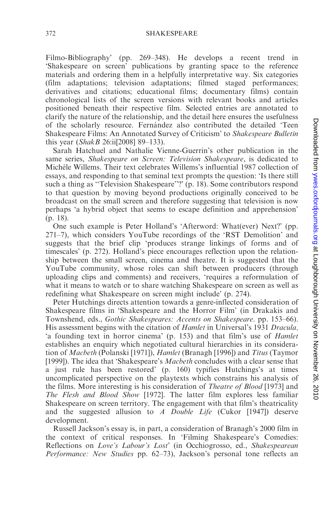Filmo-Bibliography' (pp. 269–348). He develops a recent trend in 'Shakespeare on screen' publications by granting space to the reference materials and ordering them in a helpfully interpretative way. Six categories (film adaptations; television adaptations; filmed staged performances; derivatives and citations; educational films; documentary films) contain chronological lists of the screen versions with relevant books and articles positioned beneath their respective film. Selected entries are annotated to clarify the nature of the relationship, and the detail here ensures the usefulness of the scholarly resource. Ferna´ndez also contributed the detailed 'Teen Shakespeare Films: An Annotated Survey of Criticism' to Shakespeare Bulletin this year (ShakB 26:ii[2008] 89–133).

Sarah Hatchuel and Nathalie Vienne-Guerrin's other publication in the same series, Shakespeare on Screen: Television Shakespeare, is dedicated to Michèle Willems. Their text celebrates Willems's influential 1987 collection of essays, and responding to that seminal text prompts the question: 'Is there still such a thing as "Television Shakespeare"?' (p. 18). Some contributors respond to that question by moving beyond productions originally conceived to be broadcast on the small screen and therefore suggesting that television is now perhaps 'a hybrid object that seems to escape definition and apprehension' (p. 18).

One such example is Peter Holland's 'Afterword: What(ever) Next?' (pp. 271–7), which considers YouTube recordings of the 'RST Demolition' and suggests that the brief clip 'produces strange linkings of forms and of timescales' (p. 272). Holland's piece encourages reflection upon the relationship between the small screen, cinema and theatre. It is suggested that the YouTube community, whose roles can shift between producers (through uploading clips and comments) and receivers, 'requires a reformulation of what it means to watch or to share watching Shakespeare on screen as well as redefining what Shakespeare on screen might include' (p. 274).

Peter Hutchings directs attention towards a genre-inflected consideration of Shakespeare films in 'Shakespeare and the Horror Film' (in Drakakis and Townshend, eds., Gothic Shakespeares: Accents on Shakespeare. pp. 153–66). His assessment begins with the citation of *Hamlet* in Universal's 1931 Dracula, 'a founding text in horror cinema' (p. 153) and that film's use of Hamlet establishes an enquiry which negotiated cultural hierarchies in its consideration of Macbeth (Polanski [1971]), Hamlet (Branagh [1996]) and Titus (Taymor [1999]). The idea that 'Shakespeare's Macbeth concludes with a clear sense that a just rule has been restored' (p. 160) typifies Hutchings's at times uncomplicated perspective on the playtexts which constrains his analysis of the films. More interesting is his consideration of Theatre of Blood [1973] and The Flesh and Blood Show [1972]. The latter film explores less familiar Shakespeare on screen territory. The engagement with that film's theatricality and the suggested allusion to A Double Life (Cukor [1947]) deserve development.

Russell Jackson's essay is, in part, a consideration of Branagh's 2000 film in the context of critical responses. In 'Filming Shakespeare's Comedies: Reflections on Love's Labour's Lost' (in Occhiogrosso, ed., Shakespearean Performance: New Studies pp. 62–73), Jackson's personal tone reflects an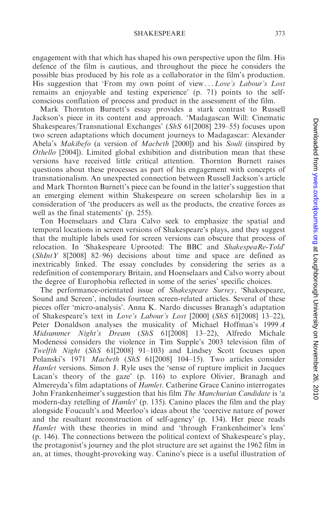engagement with that which has shaped his own perspective upon the film. His defence of the film is cautious, and throughout the piece he considers the possible bias produced by his role as a collaborator in the film's production. His suggestion that 'From my own point of view ... Love's Labour's Lost remains an enjoyable and testing experience' (p. 71) points to the selfconscious conflation of process and product in the assessment of the film.

Mark Thornton Burnett's essay provides a stark contrast to Russell Jackson's piece in its content and approach. 'Madagascan Will: Cinematic Shakespeares/Transnational Exchanges' (ShS 61[2008] 239–55) focuses upon two screen adaptations which document journeys to Madagascar: Alexander Abela's Makibefo (a version of Macbeth [2000]) and his Souli (inspired by Othello [2004]). Limited global exhibition and distribution mean that these versions have received little critical attention. Thornton Burnett raises questions about these processes as part of his engagement with concepts of transnationalism. An unexpected connection between Russell Jackson's article and Mark Thornton Burnett's piece can be found in the latter's suggestion that an emerging element within Shakespeare on screen scholarship lies in a consideration of 'the producers as well as the products, the creative forces as well as the final statements' (p. 255).

Ton Hoenselaars and Clara Calvo seek to emphasize the spatial and temporal locations in screen versions of Shakespeare's plays, and they suggest that the multiple labels used for screen versions can obscure that process of relocation. In 'Shakespeare Uprooted: The BBC and ShakespeaRe-Told'  $(ShIntY 8[2008] 82–96)$  decisions about time and space are defined as inextricably linked. The essay concludes by considering the series as a redefinition of contemporary Britain, and Hoenselaars and Calvo worry about the degree of Europhobia reflected in some of the series' specific choices.

The performance-orientated issue of Shakespeare Survey, 'Shakespeare, Sound and Screen', includes fourteen screen-related articles. Several of these pieces offer 'micro-analysis'. Anna K. Nardo discusses Branagh's adaptation of Shakespeare's text in Love's Labour's Lost [2000] (ShS 61[2008] 13–22), Peter Donaldson analyses the musicality of Michael Hoffman's 1999 A Midsummer Night's Dream (ShS 61[2008] 13–22), Alfredo Michale Modenessi considers the violence in Tim Supple's 2003 television film of Twelfth Night (ShS 61[2008] 91–103) and Lindsey Scott focuses upon Polanski's 1971 Macbeth (ShS 61[2008] 104-15). Two articles consider Hamlet versions. Simon J. Ryle uses the 'sense of rupture implicit in Jacques Lacan's theory of the gaze' (p. 116) to explore Olivier, Branagh and Almereyda's film adaptations of Hamlet. Catherine Grace Canino interrogates John Frankenheimer's suggestion that his film *The Manchurian Candidate* is 'a modern-day retelling of *Hamlet'* (p. 135). Canino places the film and the play alongside Foucault's and Meerloo's ideas about the 'coercive nature of power and the resultant reconstruction of self-agency' (p. 134). Her piece reads Hamlet with these theories in mind and 'through Frankenheimer's lens' (p. 146). The connections between the political context of Shakespeare's play, the protagonist's journey and the plot structure are set against the 1962 film in an, at times, thought-provoking way. Canino's piece is a useful illustration of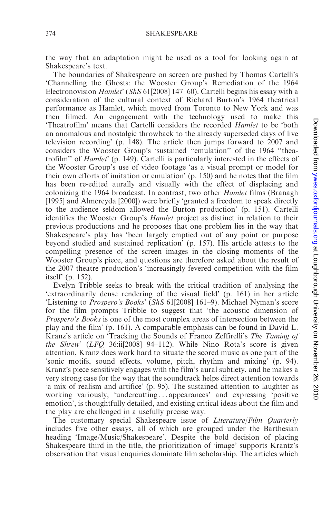the way that an adaptation might be used as a tool for looking again at Shakespeare's text.

The boundaries of Shakespeare on screen are pushed by Thomas Cartelli's 'Channelling the Ghosts: the Wooster Group's Remediation of the 1964 Electronovision Hamlet' (ShS 61[2008] 147–60). Cartelli begins his essay with a consideration of the cultural context of Richard Burton's 1964 theatrical performance as Hamlet, which moved from Toronto to New York and was then filmed. An engagement with the technology used to make this 'Theatrofilm' means that Cartelli considers the recorded Hamlet to be 'both an anomalous and nostalgic throwback to the already superseded days of live television recording' (p. 148). The article then jumps forward to 2007 and considers the Wooster Group's 'sustained ''emulation'' of the 1964 ''theatrofilm'' of Hamlet' (p. 149). Cartelli is particularly interested in the effects of the Wooster Group's use of video footage 'as a visual prompt or model for their own efforts of imitation or emulation' (p. 150) and he notes that the film has been re-edited aurally and visually with the effect of displacing and colonizing the 1964 broadcast. In contrast, two other Hamlet films (Branagh [1995] and Almereyda [2000]) were briefly 'granted a freedom to speak directly to the audience seldom allowed the Burton production' (p. 151). Cartelli identifies the Wooster Group's Hamlet project as distinct in relation to their previous productions and he proposes that one problem lies in the way that Shakespeare's play has 'been largely emptied out of any point or purpose beyond studied and sustained replication' (p. 157). His article attests to the compelling presence of the screen images in the closing moments of the Wooster Group's piece, and questions are therefore asked about the result of the 2007 theatre production's 'increasingly fevered competition with the film itself' (p. 152).

Evelyn Tribble seeks to break with the critical tradition of analysing the 'extraordinarily dense rendering of the visual field' (p. 161) in her article 'Listening to Prospero's Books' (ShS 61[2008] 161–9). Michael Nyman's score for the film prompts Tribble to suggest that 'the acoustic dimension of Prospero's Books is one of the most complex areas of intersection between the play and the film' (p. 161). A comparable emphasis can be found in David L. Kranz's article on 'Tracking the Sounds of Franco Zeffirelli's The Taming of the Shrew' (LFQ 36:ii[2008] 94–112). While Nino Rota's score is given attention, Kranz does work hard to situate the scored music as one part of the 'sonic motifs, sound effects, volume, pitch, rhythm and mixing' (p. 94). Kranz's piece sensitively engages with the film's aural subtlety, and he makes a very strong case for the way that the soundtrack helps direct attention towards 'a mix of realism and artifice' (p. 95). The sustained attention to laughter as working variously, 'undercutting ... appearances' and expressing 'positive emotion', is thoughtfully detailed, and existing critical ideas about the film and the play are challenged in a usefully precise way.

The customary special Shakespeare issue of *Literature* Film Quarterly includes five other essays, all of which are grouped under the Barthesian heading 'Image/Music/Shakespeare'. Despite the bold decision of placing Shakespeare third in the title, the prioritization of 'image' supports Krantz's observation that visual enquiries dominate film scholarship. The articles which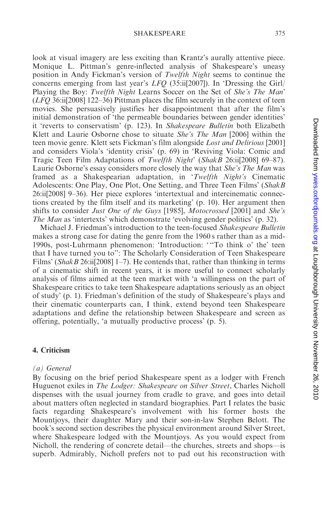look at visual imagery are less exciting than Krantz's aurally attentive piece. Monique L. Pittman's genre-inflected analysis of Shakespeare's uneasy position in Andy Fickman's version of Twelfth Night seems to continue the concerns emerging from last year's LFQ (35:ii[2007]). In 'Dressing the Girl/ Playing the Boy: Twelfth Night Learns Soccer on the Set of She's The Man'  $(LFO 36:ii[2008] 122–36)$  Pittman places the film securely in the context of teen movies. She persuasively justifies her disappointment that after the film's initial demonstration of 'the permeable boundaries between gender identities' it 'reverts to conservatism' (p. 123). In Shakespeare Bulletin both Elizabeth Klett and Laurie Osborne chose to situate She's The Man [2006] within the teen movie genre. Klett sets Fickman's film alongside Lost and Delirious [2001] and considers Viola's 'identity crisis' (p. 69) in 'Reviving Viola: Comic and Tragic Teen Film Adaptations of Twelfth Night' (ShakB 26:ii[2008] 69–87). Laurie Osborne's essay considers more closely the way that She's The Man was framed as a Shakespearian adaptation, in 'Twelfth Night's Cinematic Adolescents: One Play, One Plot, One Setting, and Three Teen Films' (ShakB 26:ii[2008] 9–36). Her piece explores 'intertextual and intercinematic connections created by the film itself and its marketing' (p. 10). Her argument then shifts to consider Just One of the Guys [1985], Motocrossed [2001] and She's The Man as 'intertexts' which demonstrate 'evolving gender politics' (p. 32).

Michael J. Friedman's introduction to the teen-focused Shakespeare Bulletin makes a strong case for dating the genre from the 1960 s rather than as a mid-1990s, post-Luhrmann phenomenon: 'Introduction: ' ''To think o' the' teen that I have turned you to'': The Scholarly Consideration of Teen Shakespeare Films' (ShakB 26:ii[2008] 1–7). He contends that, rather than thinking in terms of a cinematic shift in recent years, it is more useful to connect scholarly analysis of films aimed at the teen market with 'a willingness on the part of Shakespeare critics to take teen Shakespeare adaptations seriously as an object of study' (p. 1). Friedman's definition of the study of Shakespeare's plays and their cinematic counterparts can, I think, extend beyond teen Shakespeare adaptations and define the relationship between Shakespeare and screen as offering, potentially, 'a mutually productive process' (p. 5).

# 4. Criticism

# (a) General

By focusing on the brief period Shakespeare spent as a lodger with French Huguenot exiles in The Lodger: Shakespeare on Silver Street, Charles Nicholl dispenses with the usual journey from cradle to grave, and goes into detail about matters often neglected in standard biographies. Part I relates the basic facts regarding Shakespeare's involvement with his former hosts the Mountjoys, their daughter Mary and their son-in-law Stephen Belott. The book's second section describes the physical environment around Silver Street, where Shakespeare lodged with the Mountjoys. As you would expect from Nicholl, the rendering of concrete detail—the churches, streets and shops—is superb. Admirably, Nicholl prefers not to pad out his reconstruction with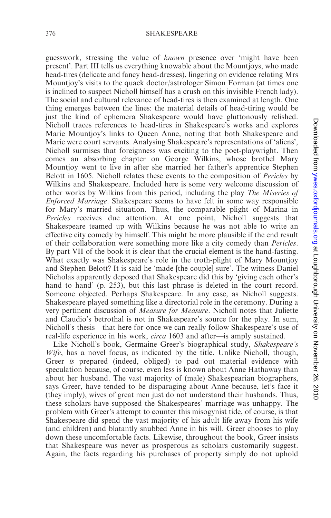guesswork, stressing the value of known presence over 'might have been present'. Part III tells us everything knowable about the Mountjoys, who made head-tires (delicate and fancy head-dresses), lingering on evidence relating Mrs Mountjoy's visits to the quack doctor/astrologer Simon Forman (at times one is inclined to suspect Nicholl himself has a crush on this invisible French lady). The social and cultural relevance of head-tires is then examined at length. One thing emerges between the lines: the material details of head-tiring would be just the kind of ephemera Shakespeare would have gluttonously relished. Nicholl traces references to head-tires in Shakespeare's works and explores Marie Mountjoy's links to Queen Anne, noting that both Shakespeare and Marie were court servants. Analysing Shakespeare's representations of 'aliens', Nicholl surmises that foreignness was exciting to the poet-playwright. Then comes an absorbing chapter on George Wilkins, whose brothel Mary Mountjoy went to live in after she married her father's apprentice Stephen Belott in 1605. Nicholl relates these events to the composition of Pericles by Wilkins and Shakespeare. Included here is some very welcome discussion of other works by Wilkins from this period, including the play The Miseries of Enforced Marriage. Shakespeare seems to have felt in some way responsible for Mary's married situation. Thus, the comparable plight of Marina in Pericles receives due attention. At one point, Nicholl suggests that Shakespeare teamed up with Wilkins because he was not able to write an effective city comedy by himself. This might be more plausible if the end result of their collaboration were something more like a city comedy than Pericles. By part VII of the book it is clear that the crucial element is the hand-fasting. What exactly was Shakespeare's role in the troth-plight of Mary Mountjoy and Stephen Belott? It is said he 'made [the couple] sure'. The witness Daniel Nicholas apparently deposed that Shakespeare did this by 'giving each other's hand to hand' (p. 253), but this last phrase is deleted in the court record. Someone objected. Perhaps Shakespeare. In any case, as Nicholl suggests. Shakespeare played something like a directorial role in the ceremony. During a very pertinent discussion of Measure for Measure. Nicholl notes that Juliette and Claudio's betrothal is not in Shakespeare's source for the play. In sum, Nicholl's thesis—that here for once we can really follow Shakespeare's use of real-life experience in his work, circa 1603 and after—is amply sustained.

Like Nicholl's book, Germaine Greer's biographical study, Shakespeare's Wife, has a novel focus, as indicated by the title. Unlike Nicholl, though, Greer is prepared (indeed, obliged) to pad out material evidence with speculation because, of course, even less is known about Anne Hathaway than about her husband. The vast majority of (male) Shakespearian biographers, says Greer, have tended to be disparaging about Anne because, let's face it (they imply), wives of great men just do not understand their husbands. Thus, these scholars have supposed the Shakespeares' marriage was unhappy. The problem with Greer's attempt to counter this misogynist tide, of course, is that Shakespeare did spend the vast majority of his adult life away from his wife (and children) and blatantly snubbed Anne in his will. Greer chooses to play down these uncomfortable facts. Likewise, throughout the book, Greer insists that Shakespeare was never as prosperous as scholars customarily suggest. Again, the facts regarding his purchases of property simply do not uphold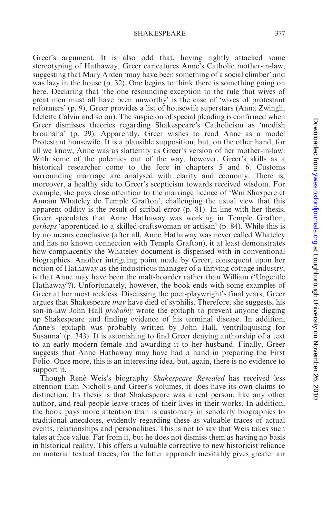Greer's argument. It is also odd that, having rightly attacked some stereotyping of Hathaway, Greer caricatures Anne's Catholic mother-in-law, suggesting that Mary Arden 'may have been something of a social climber' and was lazy in the house (p. 32). One begins to think there is something going on here. Declaring that 'the one resounding exception to the rule that wives of great men must all have been unworthy' is the case of 'wives of protestant reformers' (p. 9), Greer provides a list of housewife superstars (Anna Zwingli, Idelette Calvin and so on). The suspicion of special pleading is confirmed when Greer dismisses theories regarding Shakespeare's Catholicism as 'modish brouhaha' (p. 29). Apparently, Greer wishes to read Anne as a model Protestant housewife. It is a plausible supposition, but, on the other hand, for all we know, Anne was as slatternly as Greer's version of her mother-in-law. With some of the polemics out of the way, however, Greer's skills as a historical researcher come to the fore in chapters 5 and 6. Customs surrounding marriage are analysed with clarity and economy. There is, moreover, a healthy side to Greer's scepticism towards received wisdom. For example, she pays close attention to the marriage licence of 'Wm Shaxpere et Annam Whateley de Temple Grafton', challenging the usual view that this apparent oddity is the result of scribal error (p. 81). In line with her thesis, Greer speculates that Anne Hathaway was working in Temple Grafton, perhaps 'apprenticed to a skilled craftswoman or artisan' (p. 84). While this is by no means conclusive (after all, Anne Hathaway was never called Whateley and has no known connection with Temple Grafton), it at least demonstrates how complacently the Whateley document is dispensed with in conventional biographies. Another intriguing point made by Greer, consequent upon her notion of Hathaway as the industrious manager of a thriving cottage industry, is that Anne may have been the malt-hoarder rather than William ('Ungentle Hathaway'?). Unfortunately, however, the book ends with some examples of Greer at her most reckless. Discussing the poet-playwright's final years, Greer argues that Shakespeare may have died of syphilis. Therefore, she suggests, his son-in-law John Hall *probably* wrote the epitaph to prevent anyone digging up Shakespeare and finding evidence of his terminal disease. In addition, Anne's 'epitaph was probably written by John Hall, ventriloquising for Susanna' (p. 343). It is astonishing to find Greer denying authorship of a text to an early modern female and awarding it to her husband. Finally, Greer suggests that Anne Hathaway may have had a hand in preparing the First Folio. Once more, this is an interesting idea, but, again, there is no evidence to support it.

Though René Weis's biography Shakespeare Revealed has received less attention than Nicholl's and Greer's volumes, it does have its own claims to distinction. Its thesis is that Shakespeare was a real person, like any other author, and real people leave traces of their lives in their works. In addition, the book pays more attention than is customary in scholarly biographies to traditional anecdotes, evidently regarding these as valuable traces of actual events, relationships and personalities. This is not to say that Weis takes such tales at face value. Far from it, but he does not dismiss them as having no basis in historical reality. This offers a valuable corrective to new historicist reliance on material textual traces, for the latter approach inevitably gives greater air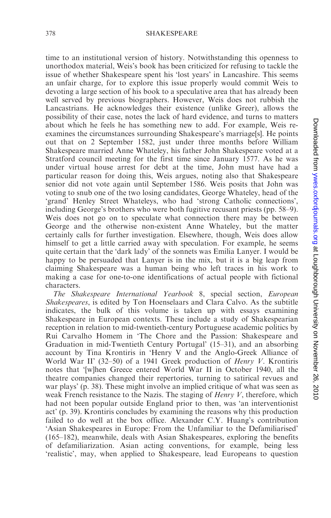time to an institutional version of history. Notwithstanding this openness to unorthodox material, Weis's book has been criticized for refusing to tackle the issue of whether Shakespeare spent his 'lost years' in Lancashire. This seems an unfair charge, for to explore this issue properly would commit Weis to devoting a large section of his book to a speculative area that has already been well served by previous biographers. However, Weis does not rubbish the Lancastrians. He acknowledges their existence (unlike Greer), allows the possibility of their case, notes the lack of hard evidence, and turns to matters about which he feels he has something new to add. For example, Weis reexamines the circumstances surrounding Shakespeare's marriage[s]. He points out that on 2 September 1582, just under three months before William Shakespeare married Anne Whateley, his father John Shakespeare voted at a Stratford council meeting for the first time since January 1577. As he was under virtual house arrest for debt at the time, John must have had a particular reason for doing this, Weis argues, noting also that Shakespeare senior did not vote again until September 1586. Weis posits that John was voting to snub one of the two losing candidates, George Whateley, head of the 'grand' Henley Street Whateleys, who had 'strong Catholic connections', including George's brothers who were both fugitive recusant priests (pp. 58–9). Weis does not go on to speculate what connection there may be between George and the otherwise non-existent Anne Whateley, but the matter certainly calls for further investigation. Elsewhere, though, Weis does allow himself to get a little carried away with speculation. For example, he seems quite certain that the 'dark lady' of the sonnets was Emilia Lanyer. I would be happy to be persuaded that Lanyer is in the mix, but it is a big leap from claiming Shakespeare was a human being who left traces in his work to making a case for one-to-one identifications of actual people with fictional characters.

The Shakespeare International Yearbook 8, special section, European Shakespeares, is edited by Ton Hoenselaars and Clara Calvo. As the subtitle indicates, the bulk of this volume is taken up with essays examining Shakespeare in European contexts. These include a study of Shakespearian reception in relation to mid-twentieth-century Portuguese academic politics by Rui Carvalho Homem in 'The Chore and the Passion: Shakespeare and Graduation in mid-Twentieth Century Portugal' (15–31), and an absorbing account by Tina Krontiris in 'Henry V and the Anglo-Greek Alliance of World War II' (32–50) of a 1941 Greek production of *Henry V*. Krontiris notes that '[w]hen Greece entered World War II in October 1940, all the theatre companies changed their repertories, turning to satirical revues and war plays' (p. 38). These might involve an implied critique of what was seen as weak French resistance to the Nazis. The staging of  $Henry V$ , therefore, which had not been popular outside England prior to then, was 'an interventionist act' (p. 39). Krontiris concludes by examining the reasons why this production failed to do well at the box office. Alexander C.Y. Huang's contribution 'Asian Shakespeares in Europe: From the Unfamiliar to the Defamiliarised' (165–182), meanwhile, deals with Asian Shakespeares, exploring the benefits of defamiliarization. Asian acting conventions, for example, being less 'realistic', may, when applied to Shakespeare, lead Europeans to question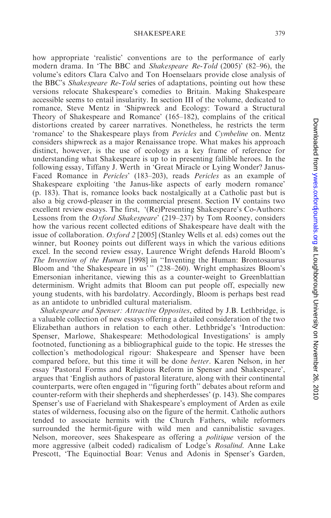how appropriate 'realistic' conventions are to the performance of early modern drama. In 'The BBC and Shakespeare Re-Told (2005)' (82–96), the volume's editors Clara Calvo and Ton Hoenselaars provide close analysis of the BBC's Shakespeare Re-Told series of adaptations, pointing out how these versions relocate Shakespeare's comedies to Britain. Making Shakespeare accessible seems to entail insularity. In section III of the volume, dedicated to romance, Steve Mentz in 'Shipwreck and Ecology: Toward a Structural Theory of Shakespeare and Romance' (165–182), complains of the critical distortions created by career narratives. Nonetheless, he restricts the term 'romance' to the Shakespeare plays from Pericles and Cymbeline on. Mentz considers shipwreck as a major Renaissance trope. What makes his approach distinct, however, is the use of ecology as a key frame of reference for understanding what Shakespeare is up to in presenting fallible heroes. In the following essay, Tiffany J. Werth in 'Great Miracle or Lying Wonder? Janus-Faced Romance in Pericles' (183-203), reads Pericles as an example of Shakespeare exploiting 'the Janus-like aspects of early modern romance' (p. 183). That is, romance looks back nostalgically at a Catholic past but is also a big crowd-pleaser in the commercial present. Section IV contains two excellent review essays. The first, '(Re)Presenting Shakespeare's Co-Authors: Lessons from the Oxford Shakespeare' (219–237) by Tom Rooney, considers how the various recent collected editions of Shakespeare have dealt with the issue of collaboration. Oxford 2 [2005] (Stanley Wells et al. eds) comes out the winner, but Rooney points out different ways in which the various editions excel. In the second review essay, Laurence Wright defends Harold Bloom's The Invention of the Human [1998] in ''Inventing the Human: Brontosaurus Bloom and 'the Shakespeare in us'" (238–260). Wright emphasizes Bloom's Emersonian inheritance, viewing this as a counter-weight to Greenblattian determinism. Wright admits that Bloom can put people off, especially new young students, with his bardolatry. Accordingly, Bloom is perhaps best read as an antidote to unbridled cultural materialism.

Shakespeare and Spenser: Attractive Opposites, edited by J.B. Lethbridge, is a valuable collection of new essays offering a detailed consideration of the two Elizabethan authors in relation to each other. Lethbridge's 'Introduction: Spenser, Marlowe, Shakespeare: Methodological Investigations' is amply footnoted, functioning as a bibliographical guide to the topic. He stresses the collection's methodological rigour: Shakespeare and Spenser have been compared before, but this time it will be done better. Karen Nelson, in her essay 'Pastoral Forms and Religious Reform in Spenser and Shakespeare', argues that 'English authors of pastoral literature, along with their continental counterparts, were often engaged in ''figuring forth'' debates about reform and counter-reform with their shepherds and shepherdesses' (p. 143). She compares Spenser's use of Faerieland with Shakespeare's employment of Arden as exile states of wilderness, focusing also on the figure of the hermit. Catholic authors tended to associate hermits with the Church Fathers, while reformers surrounded the hermit-figure with wild men and cannibalistic savages. Nelson, moreover, sees Shakespeare as offering a politique version of the more aggressive (albeit coded) radicalism of Lodge's Rosalind. Anne Lake Prescott, 'The Equinoctial Boar: Venus and Adonis in Spenser's Garden,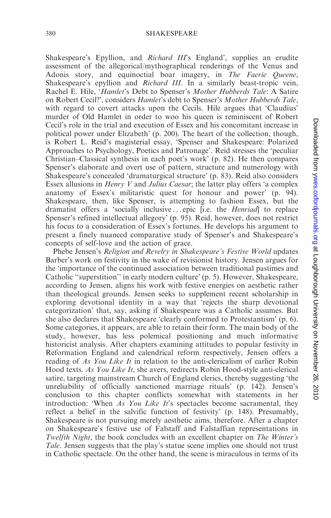Shakespeare's Epyllion, and *Richard III*'s England', supplies an erudite assessment of the allegorical/mythographical renderings of the Venus and Adonis story, and equinoctial boar imagery, in The Faerie Queene, Shakespeare's epyllion and Richard III. In a similarly beast-tropic vein, Rachel E. Hile, 'Hamlet's Debt to Spenser's Mother Hubberds Tale: A Satire on Robert Cecil?', considers Hamlet's debt to Spenser's Mother Hubberds Tale, with regard to covert attacks upon the Cecils. Hile argues that 'Claudius' murder of Old Hamlet in order to woo his queen is reminiscent of Robert Cecil's role in the trial and execution of Essex and his concomitant increase in political power under Elizabeth' (p. 200). The heart of the collection, though, is Robert L. Reid's magisterial essay, 'Spenser and Shakespeare: Polarized Approaches to Psychology, Poetics and Patronage'. Reid stresses the 'peculiar Christian–Classical synthesis in each poet's work' (p. 82). He then compares Spenser's elaborate and overt use of pattern, structure and numerology with Shakespeare's concealed 'dramaturgical structure' (p. 83). Reid also considers Essex allusions in *Henry V* and *Julius Caesar*; the latter play offers 'a complex anatomy of Essex's militaristic quest for honour and power' (p. 94). Shakespeare, then, like Spenser, is attempting to fashion Essex, but the dramatist offers a 'socially inclusive ... epic [i.e. the Henriad] to replace Spenser's refined intellectual allegory' (p. 95). Reid, however, does not restrict his focus to a consideration of Essex's fortunes. He develops his argument to present a finely nuanced comparative study of Spenser's and Shakespeare's concepts of self-love and the action of grace.

Phebe Jensen's Religion and Revelry in Shakespeare's Festive World updates Barber's work on festivity in the wake of revisionist history. Jensen argues for the 'importance of the continued association between traditional pastimes and Catholic "superstition" in early modern culture' (p. 5). However, Shakespeare, according to Jensen, aligns his work with festive energies on aesthetic rather than theological grounds. Jensen seeks to supplement recent scholarship in exploring devotional identity in a way that 'rejects the sharp devotional categorization' that, say, asking if Shakespeare was a Catholic assumes. But she also declares that Shakespeare 'clearly conformed to Protestantism' (p. 6). Some categories, it appears, are able to retain their form. The main body of the study, however, has less polemical positioning and much informative historicist analysis. After chapters examining attitudes to popular festivity in Reformation England and calendrical reform respectively, Jensen offers a reading of As You Like It in relation to the anti-clericalism of earlier Robin Hood texts. As You Like It, she avers, redirects Robin Hood-style anti-clerical satire, targeting mainstream Church of England clerics, thereby suggesting 'the unreliability of officially sanctioned marriage rituals' (p. 142). Jensen's conclusion to this chapter conflicts somewhat with statements in her introduction: 'When As You Like It's spectacles become sacramental, they reflect a belief in the salvific function of festivity' (p. 148). Presumably, Shakespeare is not pursuing merely aesthetic aims, therefore. After a chapter on Shakespeare's festive use of Falstaff and Falstaffian representations in Twelfth Night, the book concludes with an excellent chapter on The Winter's Tale. Jensen suggests that the play's statue scene implies one should not trust in Catholic spectacle. On the other hand, the scene is miraculous in terms of its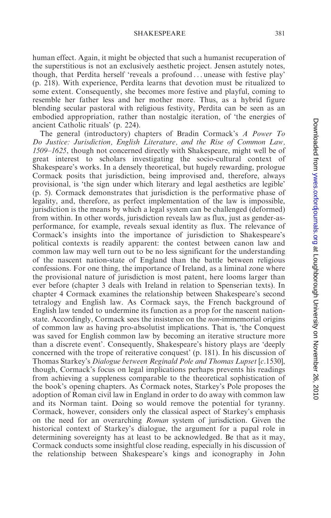human effect. Again, it might be objected that such a humanist recuperation of the superstitious is not an exclusively aesthetic project. Jensen astutely notes, though, that Perdita herself 'reveals a profound ... unease with festive play' (p. 218). With experience, Perdita learns that devotion must be ritualized to some extent. Consequently, she becomes more festive and playful, coming to resemble her father less and her mother more. Thus, as a hybrid figure blending secular pastoral with religious festivity, Perdita can be seen as an embodied appropriation, rather than nostalgic iteration, of 'the energies of ancient Catholic rituals' (p. 224).

The general (introductory) chapters of Bradin Cormack's A Power To Do Justice: Jurisdiction, English Literature, and the Rise of Common Law, 1509–1625, though not concerned directly with Shakespeare, might well be of great interest to scholars investigating the socio-cultural context of Shakespeare's works. In a densely theoretical, but hugely rewarding, prologue Cormack posits that jurisdiction, being improvised and, therefore, always provisional, is 'the sign under which literary and legal aesthetics are legible' (p. 5). Cormack demonstrates that jurisdiction is the performative phase of legality, and, therefore, as perfect implementation of the law is impossible, jurisdiction is the means by which a legal system can be challenged (deformed) from within. In other words, jurisdiction reveals law as flux, just as gender-asperformance, for example, reveals sexual identity as flux. The relevance of Cormack's insights into the importance of jurisdiction to Shakespeare's political contexts is readily apparent: the contest between canon law and common law may well turn out to be no less significant for the understanding of the nascent nation-state of England than the battle between religious confessions. For one thing, the importance of Ireland, as a liminal zone where the provisional nature of jurisdiction is most patent, here looms larger than ever before (chapter 3 deals with Ireland in relation to Spenserian texts). In chapter 4 Cormack examines the relationship between Shakespeare's second tetralogy and English law. As Cormack says, the French background of English law tended to undermine its function as a prop for the nascent nationstate. Accordingly, Cormack sees the insistence on the *non*-immemorial origins of common law as having pro-absolutist implications. That is, 'the Conquest was saved for English common law by becoming an iterative structure more than a discrete event'. Consequently, Shakespeare's history plays are 'deeply concerned with the trope of reiterative conquest' (p. 181). In his discussion of Thomas Starkey's Dialogue between Reginald Pole and Thomas Lupset [c.1530], though, Cormack's focus on legal implications perhaps prevents his readings from achieving a suppleness comparable to the theoretical sophistication of the book's opening chapters. As Cormack notes, Starkey's Pole proposes the adoption of Roman civil law in England in order to do away with common law and its Norman taint. Doing so would remove the potential for tyranny. Cormack, however, considers only the classical aspect of Starkey's emphasis on the need for an overarching Roman system of jurisdiction. Given the historical context of Starkey's dialogue, the argument for a papal role in determining sovereignty has at least to be acknowledged. Be that as it may, Cormack conducts some insightful close reading, especially in his discussion of the relationship between Shakespeare's kings and iconography in John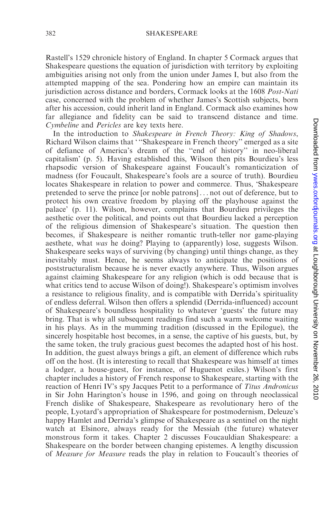Rastell's 1529 chronicle history of England. In chapter 5 Cormack argues that Shakespeare questions the equation of jurisdiction with territory by exploiting ambiguities arising not only from the union under James I, but also from the attempted mapping of the sea. Pondering how an empire can maintain its jurisdiction across distance and borders, Cormack looks at the 1608 Post-Nati case, concerned with the problem of whether James's Scottish subjects, born after his accession, could inherit land in England. Cormack also examines how far allegiance and fidelity can be said to transcend distance and time. Cymbeline and Pericles are key texts here.

In the introduction to Shakespeare in French Theory: King of Shadows, Richard Wilson claims that ' ''Shakespeare in French theory'' emerged as a site of defiance of America's dream of the ''end of history'' in neo-liberal capitalism' (p. 5). Having established this, Wilson then pits Bourdieu's less rhapsodic version of Shakespeare against Foucault's romanticization of madness (for Foucault, Shakespeare's fools are a source of truth). Bourdieu locates Shakespeare in relation to power and commerce. Thus, 'Shakespeare pretended to serve the prince [or noble patrons] ... not out of deference, but to protect his own creative freedom by playing off the playhouse against the palace' (p. 11). Wilson, however, complains that Bourdieu privileges the aesthetic over the political, and points out that Bourdieu lacked a perception of the religious dimension of Shakespeare's situation. The question then becomes, if Shakespeare is neither romantic truth-teller nor game-playing aesthete, what was he doing? Playing to (apparently) lose, suggests Wilson. Shakespeare seeks ways of surviving (by changing) until things change, as they inevitably must. Hence, he seems always to anticipate the positions of poststructuralism because he is never exactly anywhere. Thus, Wilson argues against claiming Shakespeare for any religion (which is odd because that is what critics tend to accuse Wilson of doing!). Shakespeare's optimism involves a resistance to religious finality, and is compatible with Derrida's spirituality of endless deferral. Wilson then offers a splendid (Derrida-influenced) account of Shakespeare's boundless hospitality to whatever 'guests' the future may bring. That is why all subsequent readings find such a warm welcome waiting in his plays. As in the mumming tradition (discussed in the Epilogue), the sincerely hospitable host becomes, in a sense, the captive of his guests, but, by the same token, the truly gracious guest becomes the adapted host of his host. In addition, the guest always brings a gift, an element of difference which rubs off on the host. (It is interesting to recall that Shakespeare was himself at times a lodger, a house-guest, for instance, of Huguenot exiles.) Wilson's first chapter includes a history of French response to Shakespeare, starting with the reaction of Henri IV's spy Jacques Petit to a performance of Titus Andronicus in Sir John Harington's house in 1596, and going on through neoclassical French dislike of Shakespeare, Shakespeare as revolutionary hero of the people, Lyotard's appropriation of Shakespeare for postmodernism, Deleuze's happy Hamlet and Derrida's glimpse of Shakespeare as a sentinel on the night watch at Elsinore, always ready for the Messiah (the future) whatever monstrous form it takes. Chapter 2 discusses Foucauldian Shakespeare: a Shakespeare on the border between changing epistemes. A lengthy discussion of Measure for Measure reads the play in relation to Foucault's theories of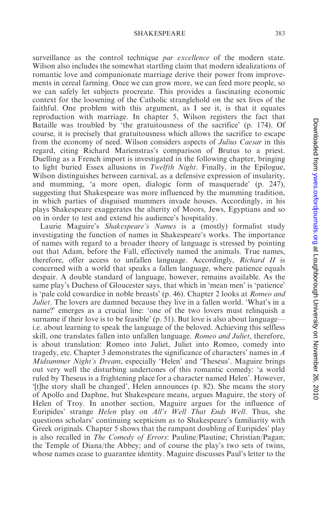surveillance as the control technique *par excellence* of the modern state. Wilson also includes the somewhat startling claim that modern idealizations of romantic love and companionate marriage derive their power from improvements in cereal farming. Once we can grow more, we can feed more people, so we can safely let subjects procreate. This provides a fascinating economic context for the loosening of the Catholic stranglehold on the sex lives of the faithful. One problem with this argument, as I see it, is that it equates reproduction with marriage. In chapter 5, Wilson registers the fact that Bataille was troubled by 'the gratuitousness of the sacrifice' (p. 174). Of course, it is precisely that gratuitousness which allows the sacrifice to escape from the economy of need. Wilson considers aspects of *Julius Caesar* in this regard, citing Richard Marienstras's comparison of Brutus to a priest. Duelling as a French import is investigated in the following chapter, bringing to light buried Essex allusions in Twelfth Night. Finally, in the Epilogue, Wilson distinguishes between carnival, as a defensive expression of insularity, and mumming, 'a more open, dialogic form of masquerade' (p. 247), suggesting that Shakespeare was more influenced by the mumming tradition, in which parties of disguised mummers invade houses. Accordingly, in his plays Shakespeare exaggerates the alterity of Moors, Jews, Egyptians and so on in order to test and extend his audience's hospitality.

Laurie Maguire's Shakespeare's Names is a (mostly) formalist study investigating the function of names in Shakespeare's works. The importance of names with regard to a broader theory of language is stressed by pointing out that Adam, before the Fall, effectively named the animals. True names, therefore, offer access to unfallen language. Accordingly, Richard II is concerned with a world that speaks a fallen language, where patience equals despair. A double standard of language, however, remains available. As the same play's Duchess of Gloucester says, that which in 'mean men' is 'patience' is 'pale cold cowardice in noble breasts' (p. 46). Chapter 2 looks at Romeo and Juliet. The lovers are damned because they live in a fallen world. 'What's in a name?' emerges as a crucial line: 'one of the two lovers must relinquish a surname if their love is to be feasible' (p. 51). But love is also about language i.e. about learning to speak the language of the beloved. Achieving this selfless skill, one translates fallen into unfallen language. Romeo and Juliet, therefore, is about translation: Romeo into Juliet, Juliet into Romeo, comedy into tragedy, etc. Chapter 3 demonstrates the significance of characters' names in A Midsummer Night's Dream, especially 'Helen' and 'Theseus'. Maguire brings out very well the disturbing undertones of this romantic comedy: 'a world ruled by Theseus is a frightening place for a character named Helen'. However, '[t]he story shall be changed', Helen announces (p. 82). She means the story of Apollo and Daphne, but Shakespeare means, argues Maguire, the story of Helen of Troy. In another section, Maguire argues for the influence of Euripides' strange Helen play on All's Well That Ends Well. Thus, she questions scholars' continuing scepticism as to Shakespeare's familiarity with Greek originals. Chapter 5 shows that the rampant doubling of Euripides' play is also recalled in The Comedy of Errors: Pauline/Plautine; Christian/Pagan; the Temple of Diana/the Abbey; and of course the play's two sets of twins, whose names cease to guarantee identity. Maguire discusses Paul's letter to the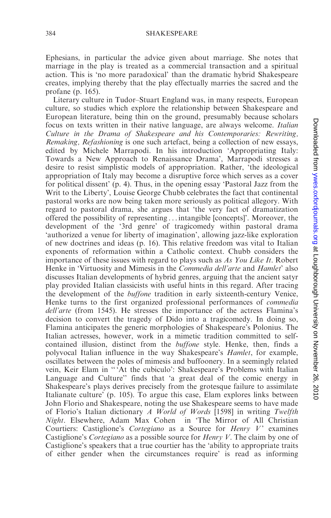Ephesians, in particular the advice given about marriage. She notes that marriage in the play is treated as a commercial transaction and a spiritual action. This is 'no more paradoxical' than the dramatic hybrid Shakespeare creates, implying thereby that the play effectually marries the sacred and the profane (p. 165).

Literary culture in Tudor–Stuart England was, in many respects, European culture, so studies which explore the relationship between Shakespeare and European literature, being thin on the ground, presumably because scholars focus on texts written in their native language, are always welcome. Italian Culture in the Drama of Shakespeare and his Contemporaries: Rewriting, Remaking, Refashioning is one such artefact, being a collection of new essays, edited by Michele Marrapodi. In his introduction 'Appropriating Italy: Towards a New Approach to Renaissance Drama', Marrapodi stresses a desire to resist simplistic models of appropriation. Rather, 'the ideological appropriation of Italy may become a disruptive force which serves as a cover for political dissent' (p. 4). Thus, in the opening essay 'Pastoral Jazz from the Writ to the Liberty', Louise George Chubb celebrates the fact that continental pastoral works are now being taken more seriously as political allegory. With regard to pastoral drama, she argues that 'the very fact of dramatization offered the possibility of representing ... intangible [concepts]'. Moreover, the development of the '3rd genre' of tragicomedy within pastoral drama 'authorized a venue for liberty of imagination', allowing jazz-like exploration of new doctrines and ideas (p. 16). This relative freedom was vital to Italian exponents of reformation within a Catholic context. Chubb considers the importance of these issues with regard to plays such as As You Like It. Robert Henke in 'Virtuosity and Mimesis in the Commedia dell'arte and Hamlet' also discusses Italian developments of hybrid genres, arguing that the ancient satyr play provided Italian classicists with useful hints in this regard. After tracing the development of the buffone tradition in early sixteenth-century Venice, Henke turns to the first organized professional performances of commedia dell'arte (from 1545). He stresses the importance of the actress Flamina's decision to convert the tragedy of Dido into a tragicomedy. In doing so, Flamina anticipates the generic morphologies of Shakespeare's Polonius. The Italian actresses, however, work in a mimetic tradition committed to selfcontained illusion, distinct from the buffone style. Henke, then, finds a polyvocal Italian influence in the way Shakespeare's Hamlet, for example, oscillates between the poles of mimesis and buffoonery. In a seemingly related vein, Keir Elam in '' 'At the cubiculo': Shakespeare's Problems with Italian Language and Culture'' finds that 'a great deal of the comic energy in Shakespeare's plays derives precisely from the grotesque failure to assimilate Italianate culture' (p. 105). To argue this case, Elam explores links between John Florio and Shakespeare, noting the use Shakespeare seems to have made of Florio's Italian dictionary A World of Words [1598] in writing Twelfth Night. Elsewhere, Adam Max Cohen in 'The Mirror of All Christian Courtiers: Castiglione's Cortegiano as a Source for Henry  $V$ ' examines Castiglione's Cortegiano as a possible source for Henry V. The claim by one of Castiglione's speakers that a true courtier has the 'ability to appropriate traits of either gender when the circumstances require' is read as informing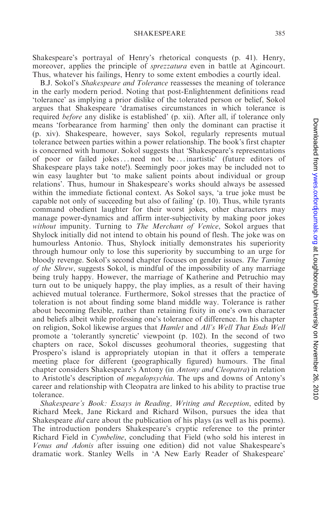Shakespeare's portrayal of Henry's rhetorical conquests (p. 41). Henry, moreover, applies the principle of sprezzatura even in battle at Agincourt. Thus, whatever his failings, Henry to some extent embodies a courtly ideal.

B.J. Sokol's Shakespeare and Tolerance reassesses the meaning of tolerance in the early modern period. Noting that post-Enlightenment definitions read 'tolerance' as implying a prior dislike of the tolerated person or belief, Sokol argues that Shakespeare 'dramatises circumstances in which tolerance is required before any dislike is established' (p. xii). After all, if tolerance only means 'forbearance from harming' then only the dominant can practise it (p. xiv). Shakespeare, however, says Sokol, regularly represents mutual tolerance between parties within a power relationship. The book's first chapter is concerned with humour. Sokol suggests that 'Shakespeare's representations of poor or failed jokes... need not be ... inartistic' (future editors of Shakespeare plays take note!). Seemingly poor jokes may be included not to win easy laughter but 'to make salient points about individual or group relations'. Thus, humour in Shakespeare's works should always be assessed within the immediate fictional context. As Sokol says, 'a true joke must be capable not only of succeeding but also of failing' (p. 10). Thus, while tyrants command obedient laughter for their worst jokes, other characters may manage power-dynamics and affirm inter-subjectivity by making poor jokes without impunity. Turning to *The Merchant of Venice*, Sokol argues that Shylock initially did not intend to obtain his pound of flesh. The joke was on humourless Antonio. Thus, Shylock initially demonstrates his superiority through humour only to lose this superiority by succumbing to an urge for bloody revenge. Sokol's second chapter focuses on gender issues. The Taming of the Shrew, suggests Sokol, is mindful of the impossibility of any marriage being truly happy. However, the marriage of Katherine and Petruchio may turn out to be uniquely happy, the play implies, as a result of their having achieved mutual tolerance. Furthermore, Sokol stresses that the practice of toleration is not about finding some bland middle way. Tolerance is rather about becoming flexible, rather than retaining fixity in one's own character and beliefs albeit while professing one's tolerance of difference. In his chapter on religion, Sokol likewise argues that Hamlet and All's Well That Ends Well promote a 'tolerantly syncretic' viewpoint (p. 102). In the second of two chapters on race, Sokol discusses geohumoral theories, suggesting that Prospero's island is appropriately utopian in that it offers a temperate meeting place for different (geographically figured) humours. The final chapter considers Shakespeare's Antony (in Antony and Cleopatra) in relation to Aristotle's description of megalopsychia. The ups and downs of Antony's career and relationship with Cleopatra are linked to his ability to practise true tolerance.

Shakespeare's Book: Essays in Reading, Writing and Reception, edited by Richard Meek, Jane Rickard and Richard Wilson, pursues the idea that Shakespeare did care about the publication of his plays (as well as his poems). The introduction ponders Shakespeare's cryptic reference to the printer Richard Field in Cymbeline, concluding that Field (who sold his interest in Venus and Adonis after issuing one edition) did not value Shakespeare's dramatic work. Stanley Wells in 'A New Early Reader of Shakespeare'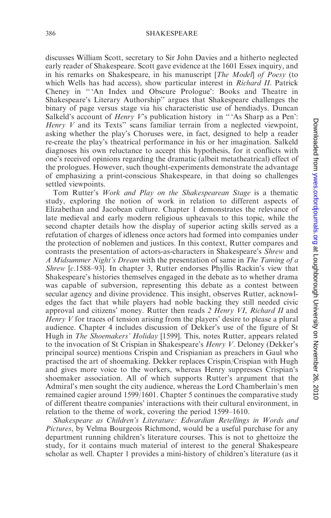discusses William Scott, secretary to Sir John Davies and a hitherto neglected early reader of Shakespeare. Scott gave evidence at the 1601 Essex inquiry, and in his remarks on Shakespeare, in his manuscript [The Model] of Poesy (to which Wells has had access), show particular interest in *Richard II*. Patrick Cheney in '' 'An Index and Obscure Prologue': Books and Theatre in Shakespeare's Literary Authorship'' argues that Shakespeare challenges the binary of page versus stage via his characteristic use of hendiadys. Duncan Salkeld's account of *Henry V*'s publication history in "'As Sharp as a Pen': Henry  $V$  and its Texts" scans familiar terrain from a neglected viewpoint, asking whether the play's Choruses were, in fact, designed to help a reader re-create the play's theatrical performance in his or her imagination. Salkeld diagnoses his own reluctance to accept this hypothesis, for it conflicts with one's received opinions regarding the dramatic (albeit metatheatrical) effect of the prologues. However, such thought-experiments demonstrate the advantage of emphasizing a print-conscious Shakespeare, in that doing so challenges settled viewpoints.

Tom Rutter's Work and Play on the Shakespearean Stage is a thematic study, exploring the notion of work in relation to different aspects of Elizabethan and Jacobean culture. Chapter 1 demonstrates the relevance of late medieval and early modern religious upheavals to this topic, while the second chapter details how the display of superior acting skills served as a refutation of charges of idleness once actors had formed into companies under the protection of noblemen and justices. In this context, Rutter compares and contrasts the presentation of actors-as-characters in Shakespeare's Shrew and A Midsummer Night's Dream with the presentation of same in The Taming of a Shrew [c.1588–93]. In chapter 3, Rutter endorses Phyllis Rackin's view that Shakespeare's histories themselves engaged in the debate as to whether drama was capable of subversion, representing this debate as a contest between secular agency and divine providence. This insight, observes Rutter, acknowledges the fact that while players had noble backing they still needed civic approval and citizens' money. Rutter then reads 2 Henry VI, Richard II and Henry  $V$  for traces of tension arising from the players' desire to please a plural audience. Chapter 4 includes discussion of Dekker's use of the figure of St Hugh in The Shoemakers' Holiday [1599]. This, notes Rutter, appears related to the invocation of St Crispian in Shakespeare's Henry V. Deloney (Dekker's principal source) mentions Crispin and Crispianian as preachers in Gaul who practised the art of shoemaking. Dekker replaces Crispin/Crispian with Hugh and gives more voice to the workers, whereas Henry suppresses Crispian's shoemaker association. All of which supports Rutter's argument that the Admiral's men sought the city audience, whereas the Lord Chamberlain's men remained cagier around 1599/1601. Chapter 5 continues the comparative study of different theatre companies' interactions with their cultural environment, in relation to the theme of work, covering the period 1599–1610.

Shakespeare as Children's Literature: Edwardian Retellings in Words and Pictures, by Velma Bourgeois Richmond, would be a useful purchase for any department running children's literature courses. This is not to ghettoize the study, for it contains much material of interest to the general Shakespeare scholar as well. Chapter 1 provides a mini-history of children's literature (as it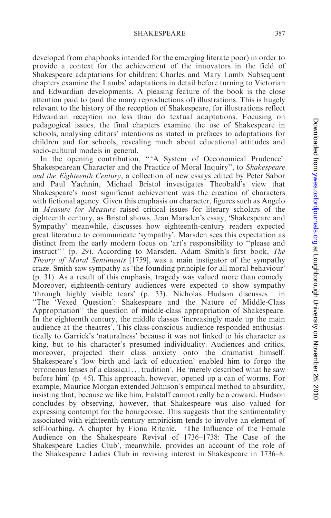developed from chapbooks intended for the emerging literate poor) in order to provide a context for the achievement of the innovators in the field of Shakespeare adaptations for children: Charles and Mary Lamb. Subsequent chapters examine the Lambs' adaptations in detail before turning to Victorian and Edwardian developments. A pleasing feature of the book is the close attention paid to (and the many reproductions of) illustrations. This is hugely relevant to the history of the reception of Shakespeare, for illustrations reflect Edwardian reception no less than do textual adaptations. Focusing on pedagogical issues, the final chapters examine the use of Shakespeare in schools, analysing editors' intentions as stated in prefaces to adaptations for children and for schools, revealing much about educational attitudes and socio-cultural models in general.

In the opening contribution, "'A System of Oeconomical Prudence': Shakespearean Character and the Practice of Moral Inquiry'', to Shakespeare and the Eighteenth Century, a collection of new essays edited by Peter Sabor and Paul Yachnin, Michael Bristol investigates Theobald's view that Shakespeare's most significant achievement was the creation of characters with fictional agency. Given this emphasis on character, figures such as Angelo in Measure for Measure raised critical issues for literary scholars of the eighteenth century, as Bristol shows. Jean Marsden's essay, 'Shakespeare and Sympathy' meanwhile, discusses how eighteenth-century readers expected great literature to communicate 'sympathy'. Marsden sees this expectation as distinct from the early modern focus on 'art's responsibility to ''please and instruct"' (p. 29). According to Marsden, Adam Smith's first book, The Theory of Moral Sentiments [1759], was a main instigator of the sympathy craze. Smith saw sympathy as 'the founding principle for all moral behaviour' (p. 31). As a result of this emphasis, tragedy was valued more than comedy. Moreover, eighteenth-century audiences were expected to show sympathy 'through highly visible tears' (p. 33). Nicholas Hudson discusses in ''The 'Vexed Question': Shakespeare and the Nature of Middle-Class Appropriation'' the question of middle-class appropriation of Shakespeare. In the eighteenth century, the middle classes 'increasingly made up the main audience at the theatres'. This class-conscious audience responded enthusiastically to Garrick's 'naturalness' because it was not linked to his character as king, but to his character's presumed individuality. Audiences and critics, moreover, projected their class anxiety onto the dramatist himself. Shakespeare's 'low birth and lack of education' enabled him to forgo the 'erroneous lenses of a classical ...tradition'. He 'merely described what he saw before him' (p. 45). This approach, however, opened up a can of worms. For example, Maurice Morgan extended Johnson's empirical method to absurdity, insisting that, because we like him, Falstaff cannot really be a coward. Hudson concludes by observing, however, that Shakespeare was also valued for expressing contempt for the bourgeoisie. This suggests that the sentimentality associated with eighteenth-century empiricism tends to involve an element of self-loathing. A chapter by Fiona Ritchie, 'The Influence of the Female Audience on the Shakespeare Revival of 1736–1738: The Case of the Shakespeare Ladies Club', meanwhile, provides an account of the role of the Shakespeare Ladies Club in reviving interest in Shakespeare in 1736–8.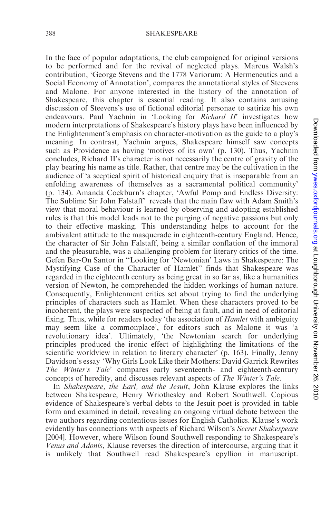In the face of popular adaptations, the club campaigned for original versions to be performed and for the revival of neglected plays. Marcus Walsh's contribution, 'George Stevens and the 1778 Variorum: A Hermeneutics and a Social Economy of Annotation', compares the annotational styles of Steevens and Malone. For anyone interested in the history of the annotation of Shakespeare, this chapter is essential reading. It also contains amusing discussion of Steevens's use of fictional editorial personae to satirize his own endeavours. Paul Yachnin in 'Looking for *Richard II*' investigates how modern interpretations of Shakespeare's history plays have been influenced by the Enlightenment's emphasis on character-motivation as the guide to a play's meaning. In contrast, Yachnin argues, Shakespeare himself saw concepts such as Providence as having 'motives of its own' (p. 130). Thus, Yachnin concludes, Richard II's character is not necessarily the centre of gravity of the play bearing his name as title. Rather, that centre may be the cultivation in the audience of 'a sceptical spirit of historical enquiry that is inseparable from an enfolding awareness of themselves as a sacramental political community' (p. 134). Amanda Cockburn's chapter, 'Awful Pomp and Endless Diversity: The Sublime Sir John Falstaff' reveals that the main flaw with Adam Smith's view that moral behaviour is learned by observing and adopting established rules is that this model leads not to the purging of negative passions but only to their effective masking. This understanding helps to account for the ambivalent attitude to the masquerade in eighteenth-century England. Hence, the character of Sir John Falstaff, being a similar conflation of the immoral and the pleasurable, was a challenging problem for literary critics of the time. Gefen Bar-On Santor in ''Looking for 'Newtonian' Laws in Shakespeare: The Mystifying Case of the Character of Hamlet'' finds that Shakespeare was regarded in the eighteenth century as being great in so far as, like a humanities version of Newton, he comprehended the hidden workings of human nature. Consequently, Enlightenment critics set about trying to find the underlying principles of characters such as Hamlet. When these characters proved to be incoherent, the plays were suspected of being at fault, and in need of editorial fixing. Thus, while for readers today 'the association of Hamlet with ambiguity may seem like a commonplace', for editors such as Malone it was 'a revolutionary idea'. Ultimately, 'the Newtonian search for underlying principles produced the ironic effect of highlighting the limitations of the scientific worldview in relation to literary character' (p. 163). Finally, Jenny Davidson's essay 'Why Girls Look Like their Mothers: David Garrick Rewrites The Winter's Tale' compares early seventeenth- and eighteenth-century concepts of heredity, and discusses relevant aspects of The Winter's Tale.

In *Shakespeare, the Earl, and the Jesuit*, John Klause explores the links between Shakespeare, Henry Wriothesley and Robert Southwell. Copious evidence of Shakespeare's verbal debts to the Jesuit poet is provided in table form and examined in detail, revealing an ongoing virtual debate between the two authors regarding contentious issues for English Catholics. Klause's work evidently has connections with aspects of Richard Wilson's Secret Shakespeare [2004]. However, where Wilson found Southwell responding to Shakespeare's Venus and Adonis, Klause reverses the direction of intercourse, arguing that it is unlikely that Southwell read Shakespeare's epyllion in manuscript.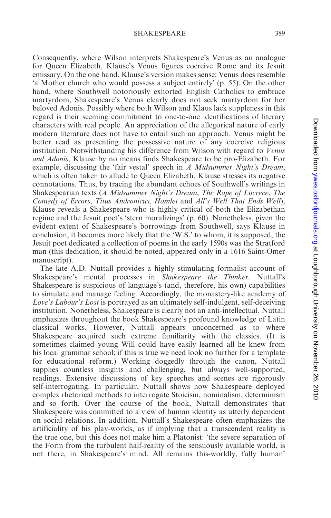Consequently, where Wilson interprets Shakespeare's Venus as an analogue for Queen Elizabeth, Klause's Venus figures coercive Rome and its Jesuit emissary. On the one hand, Klause's version makes sense: Venus does resemble 'a Mother church who would possess a subject entirely' (p. 55). On the other hand, where Southwell notoriously exhorted English Catholics to embrace martyrdom, Shakespeare's Venus clearly does not seek martyrdom for her beloved Adonis. Possibly where both Wilson and Klaus lack suppleness in this regard is their seeming commitment to one-to-one identifications of literary characters with real people. An appreciation of the allegorical nature of early modern literature does not have to entail such an approach. Venus might be better read as presenting the possessive nature of any coercive religious institution. Notwithstanding his difference from Wilson with regard to Venus and Adonis, Klause by no means finds Shakespeare to be pro-Elizabeth. For example, discussing the 'fair vestal' speech in A Midsummer Night's Dream, which is often taken to allude to Queen Elizabeth, Klause stresses its negative connotations. Thus, by tracing the abundant echoes of Southwell's writings in Shakespearian texts (A Midsummer Night's Dream, The Rape of Lucrece, The Comedy of Errors, Titus Andronicus, Hamlet and All's Well That Ends Well), Klause reveals a Shakespeare who is highly critical of both the Elizabethan regime and the Jesuit poet's 'stern moralizings' (p. 60). Nonetheless, given the evident extent of Shakespeare's borrowings from Southwell, says Klause in conclusion, it becomes more likely that the 'W.S.' to whom, it is supposed, the Jesuit poet dedicated a collection of poems in the early 1590s was the Stratford man (this dedication, it should be noted, appeared only in a 1616 Saint-Omer manuscript).

The late A.D. Nuttall provides a highly stimulating formalist account of Shakespeare's mental processes in Shakespeare the Thinker. Nuttall's Shakespeare is suspicious of language's (and, therefore, his own) capabilities to simulate and manage feeling. Accordingly, the monastery-like academy of Love's Labour's Lost is portrayed as an ultimately self-indulgent, self-deceiving institution. Nonetheless, Shakespeare is clearly not an anti-intellectual. Nuttall emphasizes throughout the book Shakespeare's profound knowledge of Latin classical works. However, Nuttall appears unconcerned as to where Shakespeare acquired such extreme familiarity with the classics. (It is sometimes claimed young Will could have easily learned all he knew from his local grammar school; if this is true we need look no further for a template for educational reform.) Working doggedly through the canon, Nuttall supplies countless insights and challenging, but always well-supported, readings. Extensive discussions of key speeches and scenes are rigorously self-interrogating. In particular, Nuttall shows how Shakespeare deployed complex rhetorical methods to interrogate Stoicism, nominalism, determinism and so forth. Over the course of the book, Nuttall demonstrates that Shakespeare was committed to a view of human identity as utterly dependent on social relations. In addition, Nuttall's Shakespeare often emphasizes the artificiality of his play-worlds, as if implying that a transcendent reality is the true one, but this does not make him a Platonist: 'the severe separation of the Form from the turbulent half-reality of the sensuously available world, is not there, in Shakespeare's mind. All remains this-worldly, fully human'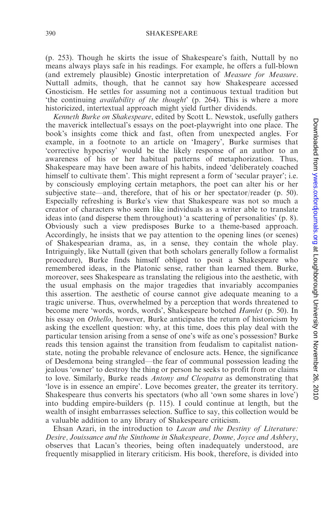(p. 253). Though he skirts the issue of Shakespeare's faith, Nuttall by no means always plays safe in his readings. For example, he offers a full-blown (and extremely plausible) Gnostic interpretation of Measure for Measure. Nuttall admits, though, that he cannot say how Shakespeare accessed Gnosticism. He settles for assuming not a continuous textual tradition but 'the continuing *availability of the thought*' (p. 264). This is where a more historicized, intertextual approach might yield further dividends.

Kenneth Burke on Shakespeare, edited by Scott L. Newstok, usefully gathers the maverick intellectual's essays on the poet-playwright into one place. The book's insights come thick and fast, often from unexpected angles. For example, in a footnote to an article on 'Imagery', Burke surmises that 'corrective hypocrisy' would be the likely response of an author to an awareness of his or her habitual patterns of metaphorization. Thus, Shakespeare may have been aware of his habits, indeed 'deliberately coached himself to cultivate them'. This might represent a form of 'secular prayer'; i.e. by consciously employing certain metaphors, the poet can alter his or her subjective state—and, therefore, that of his or her spectator/reader (p. 50). Especially refreshing is Burke's view that Shakespeare was not so much a creator of characters who seem like individuals as a writer able to translate ideas into (and disperse them throughout) 'a scattering of personalities' (p. 8). Obviously such a view predisposes Burke to a theme-based approach. Accordingly, he insists that we pay attention to the opening lines (or scenes) of Shakespearian drama, as, in a sense, they contain the whole play. Intriguingly, like Nuttall (given that both scholars generally follow a formalist procedure), Burke finds himself obliged to posit a Shakespeare who remembered ideas, in the Platonic sense, rather than learned them. Burke, moreover, sees Shakespeare as translating the religious into the aesthetic, with the usual emphasis on the major tragedies that invariably accompanies this assertion. The aesthetic of course cannot give adequate meaning to a tragic universe. Thus, overwhelmed by a perception that words threatened to become mere 'words, words, words', Shakespeare botched Hamlet (p. 50). In his essay on *Othello*, however, Burke anticipates the return of historicism by asking the excellent question: why, at this time, does this play deal with the particular tension arising from a sense of one's wife as one's possession? Burke reads this tension against the transition from feudalism to capitalist nationstate, noting the probable relevance of enclosure acts. Hence, the significance of Desdemona being strangled—the fear of communal possession leading the jealous 'owner' to destroy the thing or person he seeks to profit from or claims to love. Similarly, Burke reads Antony and Cleopatra as demonstrating that 'love is in essence an empire'. Love becomes greater, the greater its territory. Shakespeare thus converts his spectators (who all 'own some shares in love') into budding empire-builders (p. 115). I could continue at length, but the wealth of insight embarrasses selection. Suffice to say, this collection would be a valuable addition to any library of Shakespeare criticism.

Ehsan Azari, in the introduction to Lacan and the Destiny of Literature: Desire, Jouissance and the Sinthome in Shakespeare, Donne, Joyce and Ashbery, observes that Lacan's theories, being often inadequately understood, are frequently misapplied in literary criticism. His book, therefore, is divided into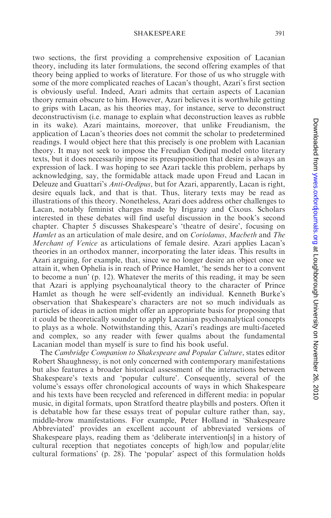two sections, the first providing a comprehensive exposition of Lacanian theory, including its later formulations, the second offering examples of that theory being applied to works of literature. For those of us who struggle with some of the more complicated reaches of Lacan's thought, Azari's first section is obviously useful. Indeed, Azari admits that certain aspects of Lacanian theory remain obscure to him. However, Azari believes it is worthwhile getting to grips with Lacan, as his theories may, for instance, serve to deconstruct deconstructivism (i.e. manage to explain what deconstruction leaves as rubble in its wake). Azari maintains, moreover, that unlike Freudianism, the application of Lacan's theories does not commit the scholar to predetermined readings. I would object here that this precisely is one problem with Lacanian theory. It may not seek to impose the Freudian Oedipal model onto literary texts, but it does necessarily impose its presupposition that desire is always an expression of lack. I was hoping to see Azari tackle this problem, perhaps by acknowledging, say, the formidable attack made upon Freud and Lacan in Deleuze and Guattari's *Anti-Oedipus*, but for Azari, apparently, Lacan is right, desire equals lack, and that is that. Thus, literary texts may be read as illustrations of this theory. Nonetheless, Azari does address other challenges to Lacan, notably feminist charges made by Irigaray and Cixous. Scholars interested in these debates will find useful discussion in the book's second chapter. Chapter 5 discusses Shakespeare's 'theatre of desire', focusing on Hamlet as an articulation of male desire, and on Coriolanus, Macbeth and The Merchant of Venice as articulations of female desire. Azari applies Lacan's theories in an orthodox manner, incorporating the later ideas. This results in Azari arguing, for example, that, since we no longer desire an object once we attain it, when Ophelia is in reach of Prince Hamlet, 'he sends her to a convent to become a nun' (p. 12). Whatever the merits of this reading, it may be seen that Azari is applying psychoanalytical theory to the character of Prince Hamlet as though he were self-evidently an individual. Kenneth Burke's observation that Shakespeare's characters are not so much individuals as particles of ideas in action might offer an appropriate basis for proposing that it could be theoretically sounder to apply Lacanian psychoanalytical concepts to plays as a whole. Notwithstanding this, Azari's readings are multi-faceted and complex, so any reader with fewer qualms about the fundamental Lacanian model than myself is sure to find his book useful.

The Cambridge Companion to Shakespeare and Popular Culture, states editor Robert Shaughnessy, is not only concerned with contemporary manifestations but also features a broader historical assessment of the interactions between Shakespeare's texts and 'popular culture'. Consequently, several of the volume's essays offer chronological accounts of ways in which Shakespeare and his texts have been recycled and referenced in different media: in popular music, in digital formats, upon Stratford theatre playbills and posters. Often it is debatable how far these essays treat of popular culture rather than, say, middle-brow manifestations. For example, Peter Holland in 'Shakespeare Abbreviated' provides an excellent account of abbreviated versions of Shakespeare plays, reading them as 'deliberate intervention[s] in a history of cultural reception that negotiates concepts of high/low and popular/elite cultural formations' (p. 28). The 'popular' aspect of this formulation holds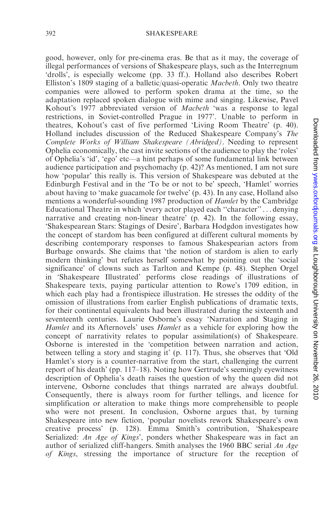good, however, only for pre-cinema eras. Be that as it may, the coverage of illegal performances of versions of Shakespeare plays, such as the Interregnum 'drolls', is especially welcome (pp. 33 ff.). Holland also describes Robert Elliston's 1809 staging of a balletic/quasi-operatic Macbeth. Only two theatre companies were allowed to perform spoken drama at the time, so the adaptation replaced spoken dialogue with mime and singing. Likewise, Pavel Kohout's 1977 abbreviated version of *Macbeth* 'was a response to legal restrictions, in Soviet-controlled Prague in 1977'. Unable to perform in theatres, Kohout's cast of five performed 'Living Room Theatre' (p. 40). Holland includes discussion of the Reduced Shakespeare Company's The Complete Works of William Shakespeare (Abridged). Needing to represent Ophelia economically, the cast invite sections of the audience to play the 'roles' of Ophelia's 'id', 'ego' etc—a hint perhaps of some fundamental link between audience participation and psychomachy (p. 42)? As mentioned, I am not sure how 'popular' this really is. This version of Shakespeare was debuted at the Edinburgh Festival and in the 'To be or not to be' speech, 'Hamlet' worries about having to 'make guacamole for twelve' (p. 43). In any case, Holland also mentions a wonderful-sounding 1987 production of Hamlet by the Cambridge Educational Theatre in which 'every actor played each ''character'' ... denying narrative and creating non-linear theatre' (p. 42). In the following essay, 'Shakespearean Stars: Stagings of Desire', Barbara Hodgdon investigates how the concept of stardom has been configured at different cultural moments by describing contemporary responses to famous Shakespearian actors from Burbage onwards. She claims that 'the notion of stardom is alien to early modern thinking' but refutes herself somewhat by pointing out the 'social significance' of clowns such as Tarlton and Kempe (p. 48). Stephen Orgel in 'Shakespeare Illustrated' performs close readings of illustrations of Shakespeare texts, paying particular attention to Rowe's 1709 edition, in which each play had a frontispiece illustration. He stresses the oddity of the omission of illustrations from earlier English publications of dramatic texts, for their continental equivalents had been illustrated during the sixteenth and seventeenth centuries. Laurie Osborne's essay 'Narration and Staging in Hamlet and its Afternovels' uses Hamlet as a vehicle for exploring how the concept of narrativity relates to popular assimilation(s) of Shakespeare. Osborne is interested in the 'competition between narration and action, between telling a story and staging it' (p. 117). Thus, she observes that 'Old Hamlet's story is a counter-narrative from the start, challenging the current report of his death' (pp. 117–18). Noting how Gertrude's seemingly eyewitness description of Ophelia's death raises the question of why the queen did not intervene, Osborne concludes that things narrated are always doubtful. Consequently, there is always room for further tellings, and licence for simplification or alteration to make things more comprehensible to people who were not present. In conclusion, Osborne argues that, by turning Shakespeare into new fiction, 'popular novelists rework Shakespeare's own creative process' (p. 128). Emma Smith's contribution, 'Shakespeare Serialized: An Age of Kings', ponders whether Shakespeare was in fact an author of serialized cliff-hangers. Smith analyses the 1960 BBC serial An Age of Kings, stressing the importance of structure for the reception of

Downloaded from ywes.oxfordjournals.org at Loughborough University on November 26, 2010 Downloaded from [ywes.oxfordjournals.org](http://ywes.oxfordjournals.org/) at Loughborough University on November 26, 2010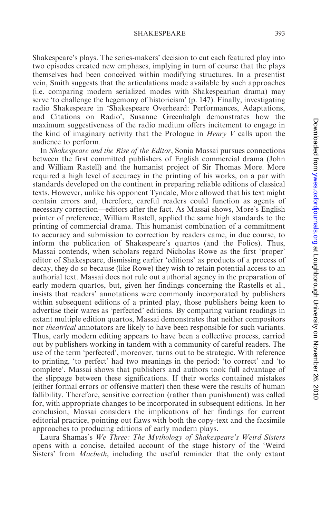Shakespeare's plays. The series-makers' decision to cut each featured play into two episodes created new emphases, implying in turn of course that the plays themselves had been conceived within modifying structures. In a presentist vein, Smith suggests that the articulations made available by such approaches (i.e. comparing modern serialized modes with Shakespearian drama) may serve 'to challenge the hegemony of historicism' (p. 147). Finally, investigating radio Shakespeare in 'Shakespeare Overheard: Performances, Adaptations, and Citations on Radio', Susanne Greenhalgh demonstrates how the maximum suggestiveness of the radio medium offers incitement to engage in the kind of imaginary activity that the Prologue in  $Henry V$  calls upon the audience to perform.

In Shakespeare and the Rise of the Editor, Sonia Massai pursues connections between the first committed publishers of English commercial drama (John and William Rastell) and the humanist project of Sir Thomas More. More required a high level of accuracy in the printing of his works, on a par with standards developed on the continent in preparing reliable editions of classical texts. However, unlike his opponent Tyndale, More allowed that his text might contain errors and, therefore, careful readers could function as agents of necessary correction—editors after the fact. As Massai shows, More's English printer of preference, William Rastell, applied the same high standards to the printing of commercial drama. This humanist combination of a commitment to accuracy and submission to correction by readers came, in due course, to inform the publication of Shakespeare's quartos (and the Folios). Thus, Massai contends, when scholars regard Nicholas Rowe as the first 'proper' editor of Shakespeare, dismissing earlier 'editions' as products of a process of decay, they do so because (like Rowe) they wish to retain potential access to an authorial text. Massai does not rule out authorial agency in the preparation of early modern quartos, but, given her findings concerning the Rastells et al., insists that readers' annotations were commonly incorporated by publishers within subsequent editions of a printed play, those publishers being keen to advertise their wares as 'perfected' editions. By comparing variant readings in extant multiple edition quartos, Massai demonstrates that neither compositors nor theatrical annotators are likely to have been responsible for such variants. Thus, early modern editing appears to have been a collective process, carried out by publishers working in tandem with a community of careful readers. The use of the term 'perfected', moreover, turns out to be strategic. With reference to printing, 'to perfect' had two meanings in the period: 'to correct' and 'to complete'. Massai shows that publishers and authors took full advantage of the slippage between these significations. If their works contained mistakes (either formal errors or offensive matter) then these were the results of human fallibility. Therefore, sensitive correction (rather than punishment) was called for, with appropriate changes to be incorporated in subsequent editions. In her conclusion, Massai considers the implications of her findings for current editorial practice, pointing out flaws with both the copy-text and the facsimile approaches to producing editions of early modern plays.

Laura Shamas's We Three: The Mythology of Shakespeare's Weird Sisters opens with a concise, detailed account of the stage history of the 'Weird Sisters' from Macbeth, including the useful reminder that the only extant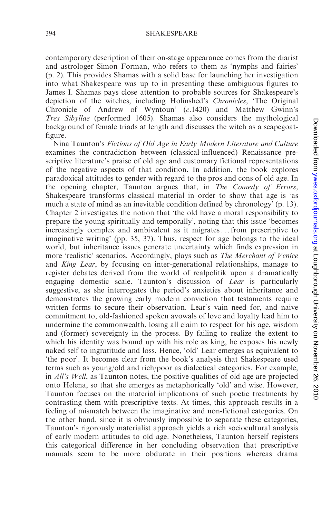contemporary description of their on-stage appearance comes from the diarist and astrologer Simon Forman, who refers to them as 'nymphs and fairies' (p. 2). This provides Shamas with a solid base for launching her investigation into what Shakespeare was up to in presenting these ambiguous figures to James I. Shamas pays close attention to probable sources for Shakespeare's depiction of the witches, including Holinshed's Chronicles, 'The Original Chronicle of Andrew of Wyntoun' (c.1420) and Matthew Gwinn's Tres Sibyllae (performed 1605). Shamas also considers the mythological background of female triads at length and discusses the witch as a scapegoatfigure.

Nina Taunton's Fictions of Old Age in Early Modern Literature and Culture examines the contradiction between (classical-influenced) Renaissance prescriptive literature's praise of old age and customary fictional representations of the negative aspects of that condition. In addition, the book explores paradoxical attitudes to gender with regard to the pros and cons of old age. In the opening chapter, Taunton argues that, in The Comedy of Errors, Shakespeare transforms classical material in order to show that age is 'as much a state of mind as an inevitable condition defined by chronology' (p. 13). Chapter 2 investigates the notion that 'the old have a moral responsibility to prepare the young spiritually and temporally', noting that this issue 'becomes increasingly complex and ambivalent as it migrates...from prescriptive to imaginative writing' (pp. 35, 37). Thus, respect for age belongs to the ideal world, but inheritance issues generate uncertainty which finds expression in more 'realistic' scenarios. Accordingly, plays such as The Merchant of Venice and King Lear, by focusing on inter-generational relationships, manage to register debates derived from the world of realpolitik upon a dramatically engaging domestic scale. Taunton's discussion of Lear is particularly suggestive, as she interrogates the period's anxieties about inheritance and demonstrates the growing early modern conviction that testaments require written forms to secure their observation. Lear's vain need for, and naive commitment to, old-fashioned spoken avowals of love and loyalty lead him to undermine the commonwealth, losing all claim to respect for his age, wisdom and (former) sovereignty in the process. By failing to realize the extent to which his identity was bound up with his role as king, he exposes his newly naked self to ingratitude and loss. Hence, 'old' Lear emerges as equivalent to 'the poor'. It becomes clear from the book's analysis that Shakespeare used terms such as young/old and rich/poor as dialectical categories. For example, in All's Well, as Taunton notes, the positive qualities of old age are projected onto Helena, so that she emerges as metaphorically 'old' and wise. However, Taunton focuses on the material implications of such poetic treatments by contrasting them with prescriptive texts. At times, this approach results in a feeling of mismatch between the imaginative and non-fictional categories. On the other hand, since it is obviously impossible to separate these categories, Taunton's rigorously materialist approach yields a rich sociocultural analysis of early modern attitudes to old age. Nonetheless, Taunton herself registers this categorical difference in her concluding observation that prescriptive manuals seem to be more obdurate in their positions whereas drama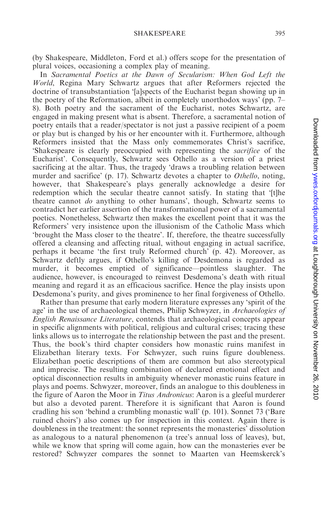(by Shakespeare, Middleton, Ford et al.) offers scope for the presentation of plural voices, occasioning a complex play of meaning.

In Sacramental Poetics at the Dawn of Secularism: When God Left the World, Regina Mary Schwartz argues that after Reformers rejected the doctrine of transubstantiation '[a]spects of the Eucharist began showing up in the poetry of the Reformation, albeit in completely unorthodox ways' (pp. 7– 8). Both poetry and the sacrament of the Eucharist, notes Schwartz, are engaged in making present what is absent. Therefore, a sacramental notion of poetry entails that a reader/spectator is not just a passive recipient of a poem or play but is changed by his or her encounter with it. Furthermore, although Reformers insisted that the Mass only commemorates Christ's sacrifice, 'Shakespeare is clearly preoccupied with representing the sacrifice of the Eucharist'. Consequently, Schwartz sees Othello as a version of a priest sacrificing at the altar. Thus, the tragedy 'draws a troubling relation between murder and sacrifice' (p. 17). Schwartz devotes a chapter to *Othello*, noting, however, that Shakespeare's plays generally acknowledge a desire for redemption which the secular theatre cannot satisfy. In stating that '[t]he theatre cannot do anything to other humans', though, Schwartz seems to contradict her earlier assertion of the transformational power of a sacramental poetics. Nonetheless, Schwartz then makes the excellent point that it was the Reformers' very insistence upon the illusionism of the Catholic Mass which 'brought the Mass closer to the theatre'. If, therefore, the theatre successfully offered a cleansing and affecting ritual, without engaging in actual sacrifice, perhaps it became 'the first truly Reformed church' (p. 42). Moreover, as Schwartz deftly argues, if Othello's killing of Desdemona is regarded as murder, it becomes emptied of significance—pointless slaughter. The audience, however, is encouraged to reinvest Desdemona's death with ritual meaning and regard it as an efficacious sacrifice. Hence the play insists upon Desdemona's purity, and gives prominence to her final forgiveness of Othello.

Rather than presume that early modern literature expresses any 'spirit of the age' in the use of archaeological themes, Philip Schwyzer, in Archaeologies of English Renaissance Literature, contends that archaeological concepts appear in specific alignments with political, religious and cultural crises; tracing these links allows us to interrogate the relationship between the past and the present. Thus, the book's third chapter considers how monastic ruins manifest in Elizabethan literary texts. For Schwyzer, such ruins figure doubleness. Elizabethan poetic descriptions of them are common but also stereotypical and imprecise. The resulting combination of declared emotional effect and optical disconnection results in ambiguity whenever monastic ruins feature in plays and poems. Schwyzer, moreover, finds an analogue to this doubleness in the figure of Aaron the Moor in Titus Andronicus: Aaron is a gleeful murderer but also a devoted parent. Therefore it is significant that Aaron is found cradling his son 'behind a crumbling monastic wall' (p. 101). Sonnet 73 ('Bare ruined choirs') also comes up for inspection in this context. Again there is doubleness in the treatment: the sonnet represents the monasteries' dissolution as analogous to a natural phenomenon (a tree's annual loss of leaves), but, while we know that spring will come again, how can the monasteries ever be restored? Schwyzer compares the sonnet to Maarten van Heemskerck's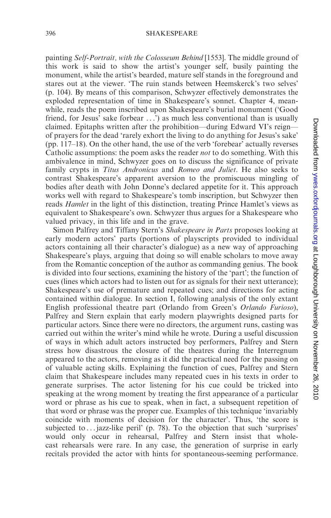painting Self-Portrait, with the Colosseum Behind [1553]. The middle ground of this work is said to show the artist's younger self, busily painting the monument, while the artist's bearded, mature self stands in the foreground and stares out at the viewer. 'The ruin stands between Heemskerck's two selves' (p. 104). By means of this comparison, Schwyzer effectively demonstrates the exploded representation of time in Shakespeare's sonnet. Chapter 4, meanwhile, reads the poem inscribed upon Shakespeare's burial monument ('Good friend, for Jesus' sake forbear ...') as much less conventional than is usually claimed. Epitaphs written after the prohibition—during Edward VI's reign of prayers for the dead 'rarely exhort the living to do anything for Jesus's sake' (pp. 117–18). On the other hand, the use of the verb 'forebear' actually reverses Catholic assumptions: the poem asks the reader not to do something. With this ambivalence in mind, Schwyzer goes on to discuss the significance of private family crypts in Titus Andronicus and Romeo and Juliet. He also seeks to contrast Shakespeare's apparent aversion to the promiscuous mingling of bodies after death with John Donne's declared appetite for it. This approach works well with regard to Shakespeare's tomb inscription, but Schwyzer then reads Hamlet in the light of this distinction, treating Prince Hamlet's views as equivalent to Shakespeare's own. Schwyzer thus argues for a Shakespeare who valued privacy, in this life and in the grave.

Simon Palfrey and Tiffany Stern's Shakespeare in Parts proposes looking at early modern actors' parts (portions of playscripts provided to individual actors containing all their character's dialogue) as a new way of approaching Shakespeare's plays, arguing that doing so will enable scholars to move away from the Romantic conception of the author as commanding genius. The book is divided into four sections, examining the history of the 'part'; the function of cues (lines which actors had to listen out for as signals for their next utterance); Shakespeare's use of premature and repeated cues; and directions for acting contained within dialogue. In section I, following analysis of the only extant English professional theatre part (Orlando from Green's Orlando Furioso), Palfrey and Stern explain that early modern playwrights designed parts for particular actors. Since there were no directors, the argument runs, casting was carried out within the writer's mind while he wrote. During a useful discussion of ways in which adult actors instructed boy performers, Palfrey and Stern stress how disastrous the closure of the theatres during the Interregnum appeared to the actors, removing as it did the practical need for the passing on of valuable acting skills. Explaining the function of cues, Palfrey and Stern claim that Shakespeare includes many repeated cues in his texts in order to generate surprises. The actor listening for his cue could be tricked into speaking at the wrong moment by treating the first appearance of a particular word or phrase as his cue to speak, when in fact, a subsequent repetition of that word or phrase was the proper cue. Examples of this technique 'invariably coincide with moments of decision for the character'. Thus, 'the score is subjected to ... jazz-like peril' (p. 78). To the objection that such 'surprises' would only occur in rehearsal, Palfrey and Stern insist that wholecast rehearsals were rare. In any case, the generation of surprise in early recitals provided the actor with hints for spontaneous-seeming performance.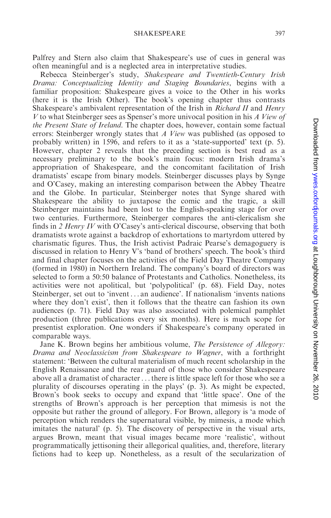Palfrey and Stern also claim that Shakespeare's use of cues in general was often meaningful and is a neglected area in interpretative studies.

Rebecca Steinberger's study, Shakespeare and Twentieth-Century Irish Drama: Conceptualizing Identity and Staging Boundaries, begins with a familiar proposition: Shakespeare gives a voice to the Other in his works (here it is the Irish Other). The book's opening chapter thus contrasts Shakespeare's ambivalent representation of the Irish in Richard II and Henry V to what Steinberger sees as Spenser's more univocal position in his A View of the Present State of Ireland. The chapter does, however, contain some factual errors: Steinberger wrongly states that A View was published (as opposed to probably written) in 1596, and refers to it as a 'state-supported' text (p. 5). However, chapter 2 reveals that the preceding section is best read as a necessary preliminary to the book's main focus: modern Irish drama's appropriation of Shakespeare, and the concomitant facilitation of Irish dramatists' escape from binary models. Steinberger discusses plays by Synge and O'Casey, making an interesting comparison between the Abbey Theatre and the Globe. In particular, Steinberger notes that Synge shared with Shakespeare the ability to juxtapose the comic and the tragic, a skill Steinberger maintains had been lost to the English-speaking stage for over two centuries. Furthermore, Steinberger compares the anti-clericalism she finds in 2 Henry IV with O'Casey's anti-clerical discourse, observing that both dramatists wrote against a backdrop of exhortations to martyrdom uttered by charismatic figures. Thus, the Irish activist Padraic Pearse's demagoguery is discussed in relation to Henry V's 'band of brothers' speech. The book's third and final chapter focuses on the activities of the Field Day Theatre Company (formed in 1980) in Northern Ireland. The company's board of directors was selected to form a 50:50 balance of Protestants and Catholics. Nonetheless, its activities were not apolitical, but 'polypolitical' (p. 68). Field Day, notes Steinberger, set out to 'invent ... an audience'. If nationalism 'invents nations where they don't exist', then it follows that the theatre can fashion its own audiences (p. 71). Field Day was also associated with polemical pamphlet production (three publications every six months). Here is much scope for presentist exploration. One wonders if Shakespeare's company operated in comparable ways.

Jane K. Brown begins her ambitious volume, The Persistence of Allegory: Drama and Neoclassicism from Shakespeare to Wagner, with a forthright statement: 'Between the cultural materialism of much recent scholarship in the English Renaissance and the rear guard of those who consider Shakespeare above all a dramatist of character...there is little space left for those who see a plurality of discourses operating in the plays' (p. 3). As might be expected, Brown's book seeks to occupy and expand that 'little space'. One of the strengths of Brown's approach is her perception that mimesis is not the opposite but rather the ground of allegory. For Brown, allegory is 'a mode of perception which renders the supernatural visible, by mimesis, a mode which imitates the natural' (p. 5). The discovery of perspective in the visual arts, argues Brown, meant that visual images became more 'realistic', without programmatically jettisoning their allegorical qualities, and, therefore, literary fictions had to keep up. Nonetheless, as a result of the secularization of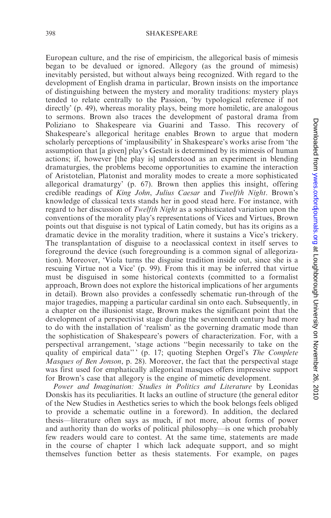European culture, and the rise of empiricism, the allegorical basis of mimesis began to be devalued or ignored. Allegory (as the ground of mimesis) inevitably persisted, but without always being recognized. With regard to the development of English drama in particular, Brown insists on the importance of distinguishing between the mystery and morality traditions: mystery plays tended to relate centrally to the Passion, 'by typological reference if not directly' (p. 49), whereas morality plays, being more homiletic, are analogous to sermons. Brown also traces the development of pastoral drama from Poliziano to Shakespeare via Guarini and Tasso. This recovery of Shakespeare's allegorical heritage enables Brown to argue that modern scholarly perceptions of 'implausibility' in Shakespeare's works arise from 'the assumption that [a given] play's Gestalt is determined by its mimesis of human actions; if, however [the play is] understood as an experiment in blending dramaturgies, the problems become opportunities to examine the interaction of Aristotelian, Platonist and morality modes to create a more sophisticated allegorical dramaturgy' (p. 67). Brown then applies this insight, offering credible readings of King John, Julius Caesar and Twelfth Night. Brown's knowledge of classical texts stands her in good stead here. For instance, with regard to her discussion of Twelfth Night as a sophisticated variation upon the conventions of the morality play's representations of Vices and Virtues, Brown points out that disguise is not typical of Latin comedy, but has its origins as a dramatic device in the morality tradition, where it sustains a Vice's trickery. The transplantation of disguise to a neoclassical context in itself serves to foreground the device (such foregrounding is a common signal of allegorization). Moreover, 'Viola turns the disguise tradition inside out, since she is a rescuing Virtue not a Vice' (p. 99). From this it may be inferred that virtue must be disguised in some historical contexts (committed to a formalist approach, Brown does not explore the historical implications of her arguments in detail). Brown also provides a confessedly schematic run-through of the major tragedies, mapping a particular cardinal sin onto each. Subsequently, in a chapter on the illusionist stage, Brown makes the significant point that the development of a perspectivist stage during the seventeenth century had more to do with the installation of 'realism' as the governing dramatic mode than the sophistication of Shakespeare's powers of characterization. For, with a perspectival arrangement, 'stage actions ''begin necessarily to take on the quality of empirical data"' (p. 17; quoting Stephen Orgel's The Complete Masques of Ben Jonson, p. 28). Moreover, the fact that the perspectival stage was first used for emphatically allegorical masques offers impressive support for Brown's case that allegory is the engine of mimetic development.

Power and Imagination: Studies in Politics and Literature by Leonidas Donskis has its peculiarities. It lacks an outline of structure (the general editor of the New Studies in Aesthetics series to which the book belongs feels obliged to provide a schematic outline in a foreword). In addition, the declared thesis—literature often says as much, if not more, about forms of power and authority than do works of political philosophy—is one which probably few readers would care to contest. At the same time, statements are made in the course of chapter 1 which lack adequate support, and so might themselves function better as thesis statements. For example, on pages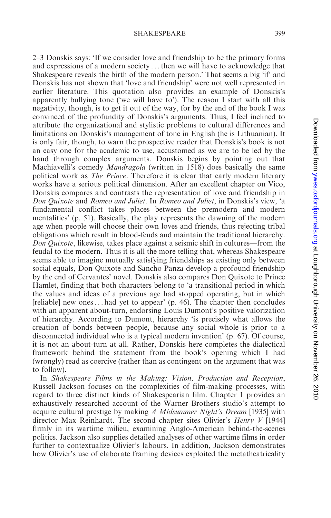2–3 Donskis says: 'If we consider love and friendship to be the primary forms and expressions of a modern society ...then we will have to acknowledge that Shakespeare reveals the birth of the modern person.' That seems a big 'if' and Donskis has not shown that 'love and friendship' were not well represented in earlier literature. This quotation also provides an example of Donskis's apparently bullying tone ('we will have to'). The reason I start with all this negativity, though, is to get it out of the way, for by the end of the book I was convinced of the profundity of Donskis's arguments. Thus, I feel inclined to attribute the organizational and stylistic problems to cultural differences and limitations on Donskis's management of tone in English (he is Lithuanian). It is only fair, though, to warn the prospective reader that Donskis's book is not an easy one for the academic to use, accustomed as we are to be led by the hand through complex arguments. Donskis begins by pointing out that Machiavelli's comedy Mandragola (written in 1518) does basically the same political work as The Prince. Therefore it is clear that early modern literary works have a serious political dimension. After an excellent chapter on Vico, Donskis compares and contrasts the representation of love and friendship in Don Quixote and Romeo and Juliet. In Romeo and Juliet, in Donskis's view, 'a fundamental conflict takes places between the premodern and modern mentalities' (p. 51). Basically, the play represents the dawning of the modern age when people will choose their own loves and friends, thus rejecting tribal obligations which result in blood-feuds and maintain the traditional hierarchy. Don Quixote, likewise, takes place against a seismic shift in cultures—from the feudal to the modern. Thus it is all the more telling that, whereas Shakespeare seems able to imagine mutually satisfying friendships as existing only between social equals, Don Quixote and Sancho Panza develop a profound friendship by the end of Cervantes' novel. Donskis also compares Don Quixote to Prince Hamlet, finding that both characters belong to 'a transitional period in which the values and ideas of a previous age had stopped operating, but in which [reliable] new ones... had yet to appear' (p. 46). The chapter then concludes with an apparent about-turn, endorsing Louis Dumont's positive valorization of hierarchy. According to Dumont, hierarchy 'is precisely what allows the creation of bonds between people, because any social whole is prior to a disconnected individual who is a typical modern invention' (p. 67). Of course, it is not an about-turn at all. Rather, Donskis here completes the dialectical framework behind the statement from the book's opening which I had (wrongly) read as coercive (rather than as contingent on the argument that was to follow).

In Shakespeare Films in the Making: Vision, Production and Reception, Russell Jackson focuses on the complexities of film-making processes, with regard to three distinct kinds of Shakespearian film. Chapter 1 provides an exhaustively researched account of the Warner Brothers studio's attempt to acquire cultural prestige by making A Midsummer Night's Dream [1935] with director Max Reinhardt. The second chapter sites Olivier's Henry  $V$  [1944] firmly in its wartime milieu, examining Anglo-American behind-the-scenes politics. Jackson also supplies detailed analyses of other wartime films in order further to contextualize Olivier's labours. In addition, Jackson demonstrates how Olivier's use of elaborate framing devices exploited the metatheatricality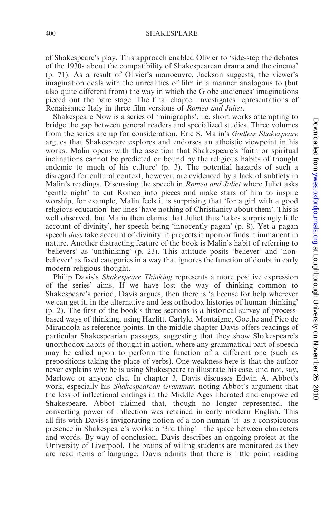of Shakespeare's play. This approach enabled Olivier to 'side-step the debates of the 1930s about the compatibility of Shakespearean drama and the cinema' (p. 71). As a result of Olivier's manoeuvre, Jackson suggests, the viewer's imagination deals with the unrealities of film in a manner analogous to (but also quite different from) the way in which the Globe audiences' imaginations pieced out the bare stage. The final chapter investigates representations of Renaissance Italy in three film versions of Romeo and Juliet.

Shakespeare Now is a series of 'minigraphs', i.e. short works attempting to bridge the gap between general readers and specialized studies. Three volumes from the series are up for consideration. Eric S. Malin's Godless Shakespeare argues that Shakespeare explores and endorses an atheistic viewpoint in his works. Malin opens with the assertion that Shakespeare's 'faith or spiritual inclinations cannot be predicted or bound by the religious habits of thought endemic to much of his culture' (p. 3). The potential hazards of such a disregard for cultural context, however, are evidenced by a lack of subtlety in Malin's readings. Discussing the speech in *Romeo and Juliet* where Juliet asks 'gentle night' to cut Romeo into pieces and make stars of him to inspire worship, for example, Malin feels it is surprising that 'for a girl with a good religious education' her lines 'have nothing of Christianity about them'. This is well observed, but Malin then claims that Juliet thus 'takes surprisingly little account of divinity', her speech being 'innocently pagan' (p. 8). Yet a pagan speech *does* take account of divinity: it projects it upon or finds it immanent in nature. Another distracting feature of the book is Malin's habit of referring to 'believers' as 'unthinking' (p. 23). This attitude posits 'believer' and 'nonbeliever' as fixed categories in a way that ignores the function of doubt in early modern religious thought.

Philip Davis's Shakespeare Thinking represents a more positive expression of the series' aims. If we have lost the way of thinking common to Shakespeare's period, Davis argues, then there is 'a license for help wherever we can get it, in the alternative and less orthodox histories of human thinking' (p. 2). The first of the book's three sections is a historical survey of processbased ways of thinking, using Hazlitt. Carlyle, Montaigne, Goethe and Pico de Mirandola as reference points. In the middle chapter Davis offers readings of particular Shakespearian passages, suggesting that they show Shakespeare's unorthodox habits of thought in action, where any grammatical part of speech may be called upon to perform the function of a different one (such as prepositions taking the place of verbs). One weakness here is that the author never explains why he is using Shakespeare to illustrate his case, and not, say, Marlowe or anyone else. In chapter 3, Davis discusses Edwin A. Abbot's work, especially his Shakespearean Grammar, noting Abbot's argument that the loss of inflectional endings in the Middle Ages liberated and empowered Shakespeare. Abbot claimed that, though no longer represented, the converting power of inflection was retained in early modern English. This all fits with Davis's invigorating notion of a non-human 'it' as a conspicuous presence in Shakespeare's works: a '3rd thing'—the space between characters and words. By way of conclusion, Davis describes an ongoing project at the University of Liverpool. The brains of willing students are monitored as they are read items of language. Davis admits that there is little point reading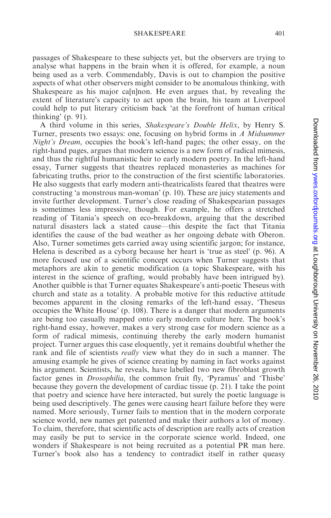passages of Shakespeare to these subjects yet, but the observers are trying to analyse what happens in the brain when it is offered, for example, a noun being used as a verb. Commendably, Davis is out to champion the positive aspects of what other observers might consider to be anomalous thinking, with Shakespeare as his major ca[n]non. He even argues that, by revealing the extent of literature's capacity to act upon the brain, his team at Liverpool could help to put literary criticism back 'at the forefront of human critical thinking' (p. 91).

A third volume in this series, Shakespeare's Double Helix, by Henry S. Turner, presents two essays: one, focusing on hybrid forms in A Midsummer Night's Dream, occupies the book's left-hand pages; the other essay, on the right-hand pages, argues that modern science is a new form of radical mimesis, and thus the rightful humanistic heir to early modern poetry. In the left-hand essay, Turner suggests that theatres replaced monasteries as machines for fabricating truths, prior to the construction of the first scientific laboratories. He also suggests that early modern anti-theatricalists feared that theatres were constructing 'a monstrous man-woman' (p. 10). These are juicy statements and invite further development. Turner's close reading of Shakespearian passages is sometimes less impressive, though. For example, he offers a stretched reading of Titania's speech on eco-breakdown, arguing that the described natural disasters lack a stated cause—this despite the fact that Titania identifies the cause of the bad weather as her ongoing debate with Oberon. Also, Turner sometimes gets carried away using scientific jargon; for instance, Helena is described as a cyborg because her heart is 'true as steel' (p. 96). A more focused use of a scientific concept occurs when Turner suggests that metaphors are akin to genetic modification (a topic Shakespeare, with his interest in the science of grafting, would probably have been intrigued by). Another quibble is that Turner equates Shakespeare's anti-poetic Theseus with church and state as a totality. A probable motive for this reductive attitude becomes apparent in the closing remarks of the left-hand essay, 'Theseus occupies the White House' (p. 108). There is a danger that modern arguments are being too casually mapped onto early modern culture here. The book's right-hand essay, however, makes a very strong case for modern science as a form of radical mimesis, continuing thereby the early modern humanist project. Turner argues this case eloquently, yet it remains doubtful whether the rank and file of scientists *really* view what they do in such a manner. The amusing example he gives of science creating by naming in fact works against his argument. Scientists, he reveals, have labelled two new fibroblast growth factor genes in Drosophilia, the common fruit fly, 'Pyramus' and 'Thisbe' because they govern the development of cardiac tissue (p. 21). I take the point that poetry and science have here interacted, but surely the poetic language is being used descriptively. The genes were causing heart failure before they were named. More seriously, Turner fails to mention that in the modern corporate science world, new names get patented and make their authors a lot of money. To claim, therefore, that scientific acts of description are really acts of creation may easily be put to service in the corporate science world. Indeed, one wonders if Shakespeare is not being recruited as a potential PR man here. Turner's book also has a tendency to contradict itself in rather queasy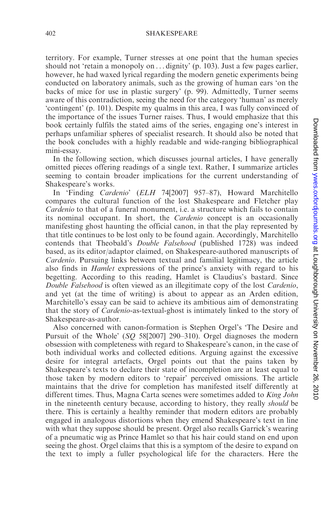territory. For example, Turner stresses at one point that the human species should not 'retain a monopoly on ... dignity' (p. 103). Just a few pages earlier, however, he had waxed lyrical regarding the modern genetic experiments being conducted on laboratory animals, such as the growing of human ears 'on the backs of mice for use in plastic surgery' (p. 99). Admittedly, Turner seems aware of this contradiction, seeing the need for the category 'human' as merely 'contingent' (p. 101). Despite my qualms in this area, I was fully convinced of the importance of the issues Turner raises. Thus, I would emphasize that this book certainly fulfils the stated aims of the series, engaging one's interest in perhaps unfamiliar spheres of specialist research. It should also be noted that the book concludes with a highly readable and wide-ranging bibliographical mini-essay.

In the following section, which discusses journal articles, I have generally omitted pieces offering readings of a single text. Rather, I summarize articles seeming to contain broader implications for the current understanding of Shakespeare's works.

In 'Finding Cardenio' (ELH 74[2007] 957–87), Howard Marchitello compares the cultural function of the lost Shakespeare and Fletcher play Cardenio to that of a funeral monument, i.e. a structure which fails to contain its nominal occupant. In short, the Cardenio concept is an occasionally manifesting ghost haunting the official canon, in that the play represented by that title continues to be lost only to be found again. Accordingly, Marchitello contends that Theobald's Double Falsehood (published 1728) was indeed based, as its editor/adaptor claimed, on Shakespeare-authored manuscripts of Cardenio. Pursuing links between textual and familial legitimacy, the article also finds in Hamlet expressions of the prince's anxiety with regard to his begetting. According to this reading, Hamlet is Claudius's bastard. Since Double Falsehood is often viewed as an illegitimate copy of the lost Cardenio, and yet (at the time of writing) is about to appear as an Arden edition, Marchitello's essay can be said to achieve its ambitious aim of demonstrating that the story of Cardenio-as-textual-ghost is intimately linked to the story of Shakespeare-as-author.

Also concerned with canon-formation is Stephen Orgel's 'The Desire and Pursuit of the Whole' (SQ 58[2007] 290–310). Orgel diagnoses the modern obsession with completeness with regard to Shakespeare's canon, in the case of both individual works and collected editions. Arguing against the excessive desire for integral artefacts, Orgel points out that the pains taken by Shakespeare's texts to declare their state of incompletion are at least equal to those taken by modern editors to 'repair' perceived omissions. The article maintains that the drive for completion has manifested itself differently at different times. Thus, Magna Carta scenes were sometimes added to King John in the nineteenth century because, according to history, they really should be there. This is certainly a healthy reminder that modern editors are probably engaged in analogous distortions when they emend Shakespeare's text in line with what they suppose should be present. Orgel also recalls Garrick's wearing of a pneumatic wig as Prince Hamlet so that his hair could stand on end upon seeing the ghost. Orgel claims that this is a symptom of the desire to expand on the text to imply a fuller psychological life for the characters. Here the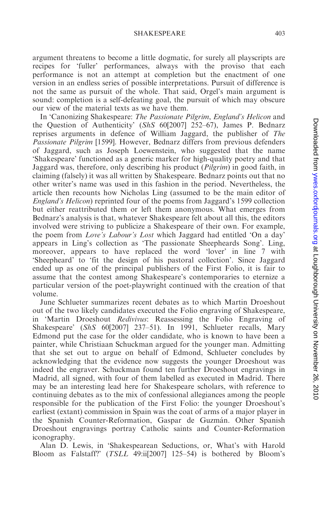argument threatens to become a little dogmatic, for surely all playscripts are recipes for 'fuller' performances, always with the proviso that each performance is not an attempt at completion but the enactment of one version in an endless series of possible interpretations. Pursuit of difference is not the same as pursuit of the whole. That said, Orgel's main argument is sound: completion is a self-defeating goal, the pursuit of which may obscure our view of the material texts as we have them.

In 'Canonizing Shakespeare: The Passionate Pilgrim, England's Helicon and the Question of Authenticity' (ShS 60[2007] 252–67), James P. Bednarz reprises arguments in defence of William Jaggard, the publisher of The Passionate Pilgrim [1599]. However, Bednarz differs from previous defenders of Jaggard, such as Joseph Loewenstein, who suggested that the name 'Shakespeare' functioned as a generic marker for high-quality poetry and that Jaggard was, therefore, only describing his product (Pilgrim) in good faith, in claiming (falsely) it was all written by Shakespeare. Bednarz points out that no other writer's name was used in this fashion in the period. Nevertheless, the article then recounts how Nicholas Ling (assumed to be the main editor of England's Helicon) reprinted four of the poems from Jaggard's 1599 collection but either reattributed them or left them anonymous. What emerges from Bednarz's analysis is that, whatever Shakespeare felt about all this, the editors involved were striving to publicize a Shakespeare of their own. For example, the poem from Love's Labour's Lost which Jaggard had entitled 'On a day' appears in Ling's collection as 'The passionate Sheepheards Song'. Ling, moreover, appears to have replaced the word 'lover' in line 7 with 'Sheepheard' to 'fit the design of his pastoral collection'. Since Jaggard ended up as one of the principal publishers of the First Folio, it is fair to assume that the contest among Shakespeare's contemporaries to eternize a particular version of the poet-playwright continued with the creation of that volume.

June Schlueter summarizes recent debates as to which Martin Droeshout out of the two likely candidates executed the Folio engraving of Shakespeare, in 'Martin Droeshout Redivivus: Reassessing the Folio Engraving of Shakespeare' (ShS 60[2007] 237–51). In 1991, Schlueter recalls, Mary Edmond put the case for the older candidate, who is known to have been a painter, while Christiaan Schuckman argued for the younger man. Admitting that she set out to argue on behalf of Edmond, Schlueter concludes by acknowledging that the evidence now suggests the younger Droeshout was indeed the engraver. Schuckman found ten further Droeshout engravings in Madrid, all signed, with four of them labelled as executed in Madrid. There may be an interesting lead here for Shakespeare scholars, with reference to continuing debates as to the mix of confessional allegiances among the people responsible for the publication of the First Folio: the younger Droeshout's earliest (extant) commission in Spain was the coat of arms of a major player in the Spanish Counter-Reformation, Gaspar de Guzmán. Other Spanish Droeshout engravings portray Catholic saints and Counter-Reformation iconography.

Alan D. Lewis, in 'Shakespearean Seductions, or, What's with Harold Bloom as Falstaff?' (TSLL 49:ii[2007] 125–54) is bothered by Bloom's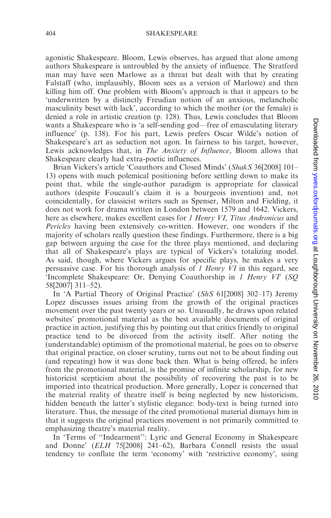agonistic Shakespeare. Bloom, Lewis observes, has argued that alone among authors Shakespeare is untroubled by the anxiety of influence. The Stratford man may have seen Marlowe as a threat but dealt with that by creating Falstaff (who, implausibly, Bloom sees as a version of Marlowe) and then killing him off. One problem with Bloom's approach is that it appears to be 'underwritten by a distinctly Freudian notion of an anxious, melancholic masculinity beset with lack', according to which the mother (or the female) is denied a role in artistic creation (p. 128). Thus, Lewis concludes that Bloom wants a Shakespeare who is 'a self-sending god—free of emasculating literary influence' (p. 138). For his part, Lewis prefers Oscar Wilde's notion of Shakespeare's art as seduction not agon. In fairness to his target, however, Lewis acknowledges that, in The Anxiety of Influence, Bloom allows that Shakespeare clearly had extra-poetic influences.

Brian Vickers's article 'Coauthors and Closed Minds' (ShakS 36[2008] 101– 13) opens with much polemical positioning before settling down to make its point that, while the single-author paradigm is appropriate for classical authors (despite Foucault's claim it is a bourgeois invention) and, not coincidentally, for classicist writers such as Spenser, Milton and Fielding, it does not work for drama written in London between 1579 and 1642. Vickers, here as elsewhere, makes excellent cases for 1 Henry VI, Titus Andronicus and Pericles having been extensively co-written. However, one wonders if the majority of scholars really question these findings. Furthermore, there is a big gap between arguing the case for the three plays mentioned, and declaring that all of Shakespeare's plays are typical of Vickers's totalizing model. As said, though, where Vickers argues for specific plays, he makes a very persuasive case. For his thorough analysis of 1 Henry VI in this regard, see 'Incomplete Shakespeare: Or, Denying Coauthorship in 1 Henry VI' (SQ 58[2007] 311–52).

In 'A Partial Theory of Original Practice' (ShS 61[2008] 302–17) Jeremy Lopez discusses issues arising from the growth of the original practices movement over the past twenty years or so. Unusually, he draws upon related websites' promotional material as the best available documents of original practice in action, justifying this by pointing out that critics friendly to original practice tend to be divorced from the activity itself. After noting the (understandable) optimism of the promotional material, he goes on to observe that original practice, on closer scrutiny, turns out not to be about finding out (and repeating) how it was done back then. What is being offered, he infers from the promotional material, is the promise of infinite scholarship, for new historicist scepticism about the possibility of recovering the past is to be imported into theatrical production. More generally, Lopez is concerned that the material reality of theatre itself is being neglected by new historicism, hidden beneath the latter's stylistic elegance: body-text is being turned into literature. Thus, the message of the cited promotional material dismays him in that it suggests the original practices movement is not primarily committed to emphasizing theatre's material reality.

In 'Terms of ''Indearment'': Lyric and General Economy in Shakespeare and Donne' (ELH 75[2008] 241–62), Barbara Connell resists the usual tendency to conflate the term 'economy' with 'restrictive economy', using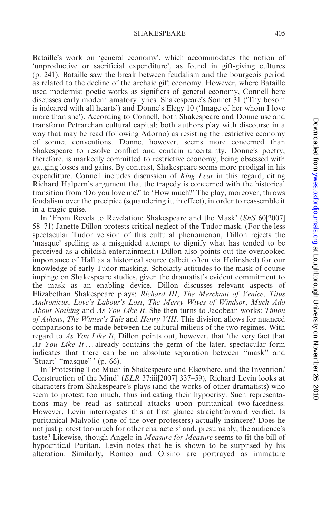Bataille's work on 'general economy', which accommodates the notion of 'unproductive or sacrificial expenditure', as found in gift-giving cultures (p. 241). Bataille saw the break between feudalism and the bourgeois period as related to the decline of the archaic gift economy. However, where Bataille used modernist poetic works as signifiers of general economy, Connell here discusses early modern amatory lyrics: Shakespeare's Sonnet 31 ('Thy bosom is indeared with all hearts') and Donne's Elegy 10 ('Image of her whom I love more than she'). According to Connell, both Shakespeare and Donne use and transform Petrarchan cultural capital; both authors play with discourse in a way that may be read (following Adorno) as resisting the restrictive economy of sonnet conventions. Donne, however, seems more concerned than Shakespeare to resolve conflict and contain uncertainty. Donne's poetry, therefore, is markedly committed to restrictive economy, being obsessed with gauging losses and gains. By contrast, Shakespeare seems more prodigal in his expenditure. Connell includes discussion of *King Lear* in this regard, citing Richard Halpern's argument that the tragedy is concerned with the historical transition from 'Do you love me?' to 'How much?' The play, moreover, throws feudalism over the precipice (squandering it, in effect), in order to reassemble it in a tragic guise.

In 'From Revels to Revelation: Shakespeare and the Mask' (ShS 60[2007] 58–71) Janette Dillon protests critical neglect of the Tudor mask. (For the less spectacular Tudor version of this cultural phenomenon, Dillon rejects the 'masque' spelling as a misguided attempt to dignify what has tended to be perceived as a childish entertainment.) Dillon also points out the overlooked importance of Hall as a historical source (albeit often via Holinshed) for our knowledge of early Tudor masking. Scholarly attitudes to the mask of course impinge on Shakespeare studies, given the dramatist's evident commitment to the mask as an enabling device. Dillon discusses relevant aspects of Elizabethan Shakespeare plays: Richard III, The Merchant of Venice, Titus Andronicus, Love's Labour's Lost, The Merry Wives of Windsor, Much Ado About Nothing and As You Like It. She then turns to Jacobean works: Timon of Athens, The Winter's Tale and Henry VIII. This division allows for nuanced comparisons to be made between the cultural milieus of the two regimes. With regard to As You Like It, Dillon points out, however, that 'the very fact that As You Like It... already contains the germ of the later, spectacular form indicates that there can be no absolute separation between ''mask'' and [Stuart] ''masque'' ' (p. 66).

In 'Protesting Too Much in Shakespeare and Elsewhere, and the Invention/ Construction of the Mind' (ELR 37:iii[2007] 337–59), Richard Levin looks at characters from Shakespeare's plays (and the works of other dramatists) who seem to protest too much, thus indicating their hypocrisy. Such representations may be read as satirical attacks upon puritanical two-facedness. However, Levin interrogates this at first glance straightforward verdict. Is puritanical Malvolio (one of the over-protesters) actually insincere? Does he not just protest too much for other characters' and, presumably, the audience's taste? Likewise, though Angelo in Measure for Measure seems to fit the bill of hypocritical Puritan, Levin notes that he is shown to be surprised by his alteration. Similarly, Romeo and Orsino are portrayed as immature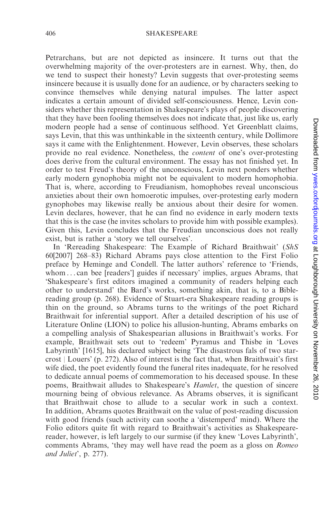Petrarchans, but are not depicted as insincere. It turns out that the overwhelming majority of the over-protesters are in earnest. Why, then, do we tend to suspect their honesty? Levin suggests that over-protesting seems insincere because it is usually done for an audience, or by characters seeking to convince themselves while denying natural impulses. The latter aspect indicates a certain amount of divided self-consciousness. Hence, Levin considers whether this representation in Shakespeare's plays of people discovering that they have been fooling themselves does not indicate that, just like us, early modern people had a sense of continuous selfhood. Yet Greenblatt claims, says Levin, that this was unthinkable in the sixteenth century, while Dollimore says it came with the Enlightenment. However, Levin observes, these scholars provide no real evidence. Nonetheless, the content of one's over-protesting does derive from the cultural environment. The essay has not finished yet. In order to test Freud's theory of the unconscious, Levin next ponders whether early modern gynophobia might not be equivalent to modern homophobia. That is, where, according to Freudianism, homophobes reveal unconscious anxieties about their own homoerotic impulses, over-protesting early modern gynophobes may likewise really be anxious about their desire for women. Levin declares, however, that he can find no evidence in early modern texts that this is the case (he invites scholars to provide him with possible examples). Given this, Levin concludes that the Freudian unconscious does not really exist, but is rather a 'story we tell ourselves'.

In 'Rereading Shakespeare: The Example of Richard Braithwait' (ShS 60[2007] 268–83) Richard Abrams pays close attention to the First Folio preface by Heminge and Condell. The latter authors' reference to 'Friends, whom ... can bee [readers'] guides if necessary' implies, argues Abrams, that 'Shakespeare's first editors imagined a community of readers helping each other to understand' the Bard's works, something akin, that is, to a Biblereading group (p. 268). Evidence of Stuart-era Shakespeare reading groups is thin on the ground, so Abrams turns to the writings of the poet Richard Braithwait for inferential support. After a detailed description of his use of Literature Online (LION) to police his allusion-hunting, Abrams embarks on a compelling analysis of Shakespearian allusions in Braithwait's works. For example, Braithwait sets out to 'redeem' Pyramus and Thisbe in 'Loves Labyrinth' [1615], his declared subject being 'The disastrous fals of two starcrost | Louers' (p. 272). Also of interest is the fact that, when Braithwait's first wife died, the poet evidently found the funeral rites inadequate, for he resolved to dedicate annual poems of commemoration to his deceased spouse. In these poems, Braithwait alludes to Shakespeare's Hamlet, the question of sincere mourning being of obvious relevance. As Abrams observes, it is significant that Braithwait chose to allude to a secular work in such a context. In addition, Abrams quotes Braithwait on the value of post-reading discussion with good friends (such activity can soothe a 'distemperd' mind). Where the Folio editors quite fit with regard to Braithwait's activities as Shakespearereader, however, is left largely to our surmise (if they knew 'Loves Labyrinth', comments Abrams, 'they may well have read the poem as a gloss on Romeo and Juliet', p. 277).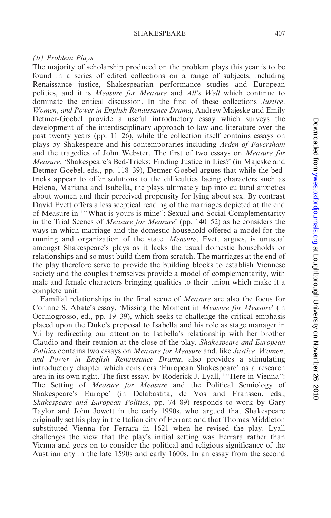## (b) Problem Plays

The majority of scholarship produced on the problem plays this year is to be found in a series of edited collections on a range of subjects, including Renaissance justice, Shakespearian performance studies and European politics, and it is Measure for Measure and All's Well which continue to dominate the critical discussion. In the first of these collections Justice, Women, and Power in English Renaissance Drama, Andrew Majeske and Emily Detmer-Goebel provide a useful introductory essay which surveys the development of the interdisciplinary approach to law and literature over the past twenty years (pp.  $11-26$ ), while the collection itself contains essays on plays by Shakespeare and his contemporaries including Arden of Faversham and the tragedies of John Webster. The first of two essays on Measure for Measure, 'Shakespeare's Bed-Tricks: Finding Justice in Lies?' (in Majeske and Detmer-Goebel, eds., pp. 118–39), Detmer-Goebel argues that while the bedtricks appear to offer solutions to the difficulties facing characters such as Helena, Mariana and Isabella, the plays ultimately tap into cultural anxieties about women and their perceived propensity for lying about sex. By contrast David Evett offers a less sceptical reading of the marriages depicted at the end of Measure in ' ''What is yours is mine'': Sexual and Social Complementarity in the Trial Scenes of Measure for Measure' (pp. 140–52) as he considers the ways in which marriage and the domestic household offered a model for the running and organization of the state. Measure, Evett argues, is unusual amongst Shakespeare's plays as it lacks the usual domestic households or relationships and so must build them from scratch. The marriages at the end of the play therefore serve to provide the building blocks to establish Viennese society and the couples themselves provide a model of complementarity, with male and female characters bringing qualities to their union which make it a complete unit.

Familial relationships in the final scene of Measure are also the focus for Corinne S. Abate's essay, 'Missing the Moment in Measure for Measure' (in Occhiogrosso, ed., pp. 19–39), which seeks to challenge the critical emphasis placed upon the Duke's proposal to Isabella and his role as stage manager in V.i by redirecting our attention to Isabella's relationship with her brother Claudio and their reunion at the close of the play. Shakespeare and European Politics contains two essays on Measure for Measure and, like Justice, Women, and Power in English Renaissance Drama, also provides a stimulating introductory chapter which considers 'European Shakespeare' as a research area in its own right. The first essay, by Roderick J. Lyall, ' ''Here in Vienna'': The Setting of Measure for Measure and the Political Semiology of Shakespeare's Europe' (in Delabastita, de Vos and Franssen, eds., Shakespeare and European Politics, pp. 74–89) responds to work by Gary Taylor and John Jowett in the early 1990s, who argued that Shakespeare originally set his play in the Italian city of Ferrara and that Thomas Middleton substituted Vienna for Ferrara in 1621 when he revised the play. Lyall challenges the view that the play's initial setting was Ferrara rather than Vienna and goes on to consider the political and religious significance of the Austrian city in the late 1590s and early 1600s. In an essay from the second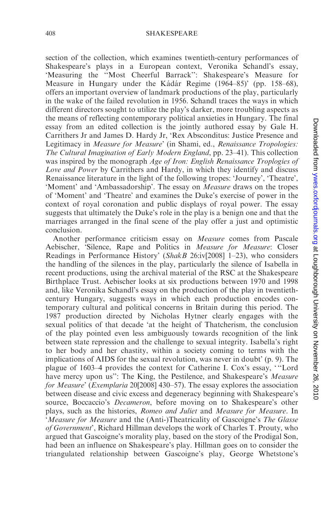section of the collection, which examines twentieth-century performances of Shakespeare's plays in a European context, Veronika Schandl's essay, 'Measuring the ''Most Cheerful Barrack'': Shakespeare's Measure for Measure in Hungary under the Kádár Regime (1964–85)' (pp. 158–68), offers an important overview of landmark productions of the play, particularly in the wake of the failed revolution in 1956. Schandl traces the ways in which different directors sought to utilize the play's darker, more troubling aspects as the means of reflecting contemporary political anxieties in Hungary. The final essay from an edited collection is the jointly authored essay by Gale H. Carrithers Jr and James D. Hardy Jr, 'Rex Absconditus: Justice Presence and Legitimacy in *Measure for Measure'* (in Shami, ed., *Renaissance Tropologies:* The Cultural Imagination of Early Modern England, pp. 23–41). This collection was inspired by the monograph Age of Iron: English Renaissance Troplogies of Love and Power by Carrithers and Hardy, in which they identify and discuss Renaissance literature in the light of the following tropes: 'Journey', 'Theatre', 'Moment' and 'Ambassadorship'. The essay on Measure draws on the tropes of 'Moment' and 'Theatre' and examines the Duke's exercise of power in the context of royal coronation and public displays of royal power. The essay suggests that ultimately the Duke's role in the play is a benign one and that the marriages arranged in the final scene of the play offer a just and optimistic conclusion.

Another performance criticism essay on Measure comes from Pascale Aebischer, 'Silence, Rape and Politics in Measure for Measure: Closer Readings in Performance History' (ShakB 26:iv[2008] 1–23), who considers the handling of the silences in the play, particularly the silence of Isabella in recent productions, using the archival material of the RSC at the Shakespeare Birthplace Trust. Aebischer looks at six productions between 1970 and 1998 and, like Veronika Schandl's essay on the production of the play in twentiethcentury Hungary, suggests ways in which each production encodes contemporary cultural and political concerns in Britain during this period. The 1987 production directed by Nicholas Hytner clearly engages with the sexual politics of that decade 'at the height of Thatcherism, the conclusion of the play pointed even less ambiguously towards recognition of the link between state repression and the challenge to sexual integrity. Isabella's right to her body and her chastity, within a society coming to terms with the implications of AIDS for the sexual revolution, was never in doubt' (p. 9). The plague of 1603–4 provides the context for Catherine I. Cox's essay, ' ''Lord have mercy upon us": The King, the Pestilence, and Shakespeare's Measure for Measure' (Exemplaria 20[2008] 430–57). The essay explores the association between disease and civic excess and degeneracy beginning with Shakespeare's source, Boccaccio's *Decameron*, before moving on to Shakespeare's other plays, such as the histories, Romeo and Juliet and Measure for Measure. In 'Measure for Measure and the (Anti-)Theatricality of Gascoigne's The Glasse of Government', Richard Hillman develops the work of Charles T. Prouty, who argued that Gascoigne's morality play, based on the story of the Prodigal Son, had been an influence on Shakespeare's play. Hillman goes on to consider the triangulated relationship between Gascoigne's play, George Whetstone's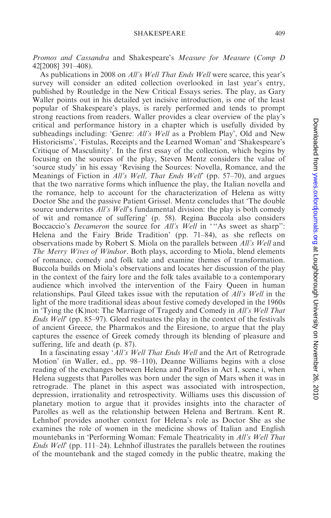Promos and Cassandra and Shakespeare's Measure for Measure (Comp D 42[2008] 391–408).

As publications in 2008 on All's Well That Ends Well were scarce, this year's survey will consider an edited collection overlooked in last year's entry, published by Routledge in the New Critical Essays series. The play, as Gary Waller points out in his detailed yet incisive introduction, is one of the least popular of Shakespeare's plays, is rarely performed and tends to prompt strong reactions from readers. Waller provides a clear overview of the play's critical and performance history in a chapter which is usefully divided by subheadings including: 'Genre: All's Well as a Problem Play', Old and New Historicisms', 'Fistulas, Receipts and the Learned Woman' and 'Shakespeare's Critique of Masculinity'. In the first essay of the collection, which begins by focusing on the sources of the play, Steven Mentz considers the value of 'source study' in his essay 'Revising the Sources: Novella, Romance, and the Meanings of Fiction in All's Well, That Ends Well' (pp. 57–70), and argues that the two narrative forms which influence the play, the Italian novella and the romance, help to account for the characterization of Helena as witty Doctor She and the passive Patient Grissel. Mentz concludes that 'The double source underwrites *All's Well's* fundamental division: the play is both comedy of wit and romance of suffering' (p. 58). Regina Buccola also considers Boccaccio's *Decameron* the source for *All's Well* in "As sweet as sharp": Helena and the Fairy Bride Tradition' (pp. 71–84), as she reflects on observations made by Robert S. Miola on the parallels between All's Well and The Merry Wives of Windsor. Both plays, according to Miola, blend elements of romance, comedy and folk tale and examine themes of transformation. Buccola builds on Miola's observations and locates her discussion of the play in the context of the fairy lore and the folk tales available to a contemporary audience which involved the intervention of the Fairy Queen in human relationships. Paul Gleed takes issue with the reputation of All's Well in the light of the more traditional ideas about festive comedy developed in the 1960s in 'Tying the (K)not: The Marriage of Tragedy and Comedy in All's Well That *Ends Well* (pp. 85–97). Gleed resituates the play in the context of the festivals of ancient Greece, the Pharmakos and the Eiresione, to argue that the play captures the essence of Greek comedy through its blending of pleasure and suffering, life and death (p. 87).

In a fascinating essay 'All's Well That Ends Well and the Art of Retrograde Motion' (in Waller, ed., pp. 98–110), Deanne Williams begins with a close reading of the exchanges between Helena and Parolles in Act I, scene i, when Helena suggests that Parolles was born under the sign of Mars when it was in retrograde. The planet in this aspect was associated with introspection, depression, irrationality and retrospectivity. Williams uses this discussion of planetary motion to argue that it provides insights into the character of Parolles as well as the relationship between Helena and Bertram. Kent R. Lehnhof provides another context for Helena's role as Doctor She as she examines the role of women in the medicine shows of Italian and English mountebanks in 'Performing Woman: Female Theatricality in All's Well That *Ends Well'* (pp.  $111-24$ ). Lehnhof illustrates the parallels between the routines of the mountebank and the staged comedy in the public theatre, making the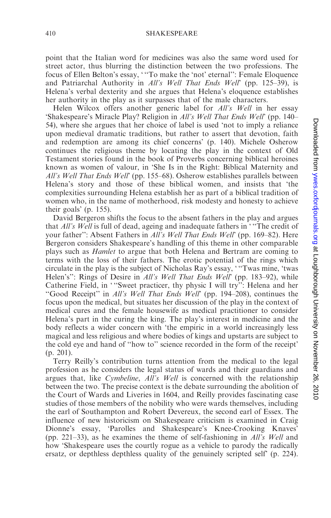point that the Italian word for medicines was also the same word used for street actor, thus blurring the distinction between the two professions. The focus of Ellen Belton's essay, ' ''To make the 'not' eternal'': Female Eloquence and Patriarchal Authority in All's Well That Ends Well' (pp. 125–39), is Helena's verbal dexterity and she argues that Helena's eloquence establishes her authority in the play as it surpasses that of the male characters.

Helen Wilcox offers another generic label for *All's Well* in her essay 'Shakespeare's Miracle Play? Religion in All's Well That Ends Well' (pp. 140– 54), where she argues that her choice of label is used 'not to imply a reliance upon medieval dramatic traditions, but rather to assert that devotion, faith and redemption are among its chief concerns' (p. 140). Michele Osherow continues the religious theme by locating the play in the context of Old Testament stories found in the book of Proverbs concerning biblical heroines known as women of valour, in 'She Is in the Right: Biblical Maternity and All's Well That Ends Well' (pp. 155–68). Osherow establishes parallels between Helena's story and those of these biblical women, and insists that 'the complexities surrounding Helena establish her as part of a biblical tradition of women who, in the name of motherhood, risk modesty and honesty to achieve their goals' (p. 155).

David Bergeron shifts the focus to the absent fathers in the play and argues that All's Well is full of dead, ageing and inadequate fathers in "The credit of your father": Absent Fathers in All's Well That Ends Well' (pp. 169–82). Here Bergeron considers Shakespeare's handling of this theme in other comparable plays such as Hamlet to argue that both Helena and Bertram are coming to terms with the loss of their fathers. The erotic potential of the rings which circulate in the play is the subject of Nicholas Ray's essay, ' ''Twas mine, 'twas Helen's": Rings of Desire in *All's Well That Ends Well*' (pp. 183–92), while Catherine Field, in "'Sweet practicer, thy physic I will try": Helena and her "Good Receipt" in All's Well That Ends Well" (pp. 194–208), continues the focus upon the medical, but situates her discussion of the play in the context of medical cures and the female housewife as medical practitioner to consider Helena's part in the curing the king. The play's interest in medicine and the body reflects a wider concern with 'the empiric in a world increasingly less magical and less religious and where bodies of kings and upstarts are subject to the cold eye and hand of ''how to'' science recorded in the form of the receipt' (p. 201).

Terry Reilly's contribution turns attention from the medical to the legal profession as he considers the legal status of wards and their guardians and argues that, like Cymbeline, All's Well is concerned with the relationship between the two. The precise context is the debate surrounding the abolition of the Court of Wards and Liveries in 1604, and Reilly provides fascinating case studies of those members of the nobility who were wards themselves, including the earl of Southampton and Robert Devereux, the second earl of Essex. The influence of new historicism on Shakespeare criticism is examined in Craig Dionne's essay, 'Parolles and Shakespeare's Knee-Crooking Knaves' (pp. 221–33), as he examines the theme of self-fashioning in All's Well and how 'Shakespeare uses the courtly rogue as a vehicle to parody the radically ersatz, or depthless depthless quality of the genuinely scripted self' (p. 224).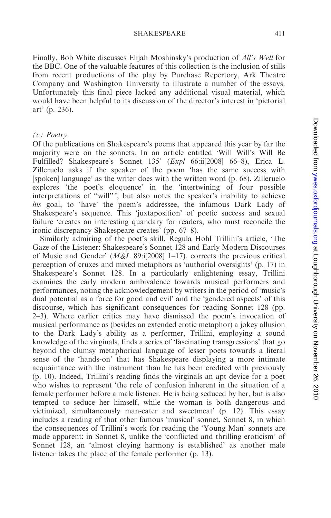Finally, Bob White discusses Elijah Moshinsky's production of All's Well for the BBC. One of the valuable features of this collection is the inclusion of stills from recent productions of the play by Purchase Repertory, Ark Theatre Company and Washington University to illustrate a number of the essays. Unfortunately this final piece lacked any additional visual material, which would have been helpful to its discussion of the director's interest in 'pictorial art' (p. 236).

# (c) Poetry

Of the publications on Shakespeare's poems that appeared this year by far the majority were on the sonnets. In an article entitled 'Will Will's Will Be Fulfilled? Shakespeare's Sonnet 135' (Expl 66:ii[2008] 66–8), Erica L. Zilleruelo asks if the speaker of the poem 'has the same success with [spoken] language' as the writer does with the written word (p. 68). Zilleruelo explores 'the poet's eloquence' in the 'intertwining of four possible interpretations of ''will'' ', but also notes the speaker's inability to achieve his goal, to 'have' the poem's addressee, the infamous Dark Lady of Shakespeare's sequence. This 'juxtaposition' of poetic success and sexual failure 'creates an interesting quandary for readers, who must reconcile the ironic discrepancy Shakespeare creates' (pp. 67–8).

Similarly admiring of the poet's skill, Regula Hohl Trillini's article, 'The Gaze of the Listener: Shakespeare's Sonnet 128 and Early Modern Discourses of Music and Gender' ( $M&L$  89:i[2008] 1–17), corrects the previous critical perception of cruxes and mixed metaphors as 'authorial oversights' (p. 17) in Shakespeare's Sonnet 128. In a particularly enlightening essay, Trillini examines the early modern ambivalence towards musical performers and performances, noting the acknowledgement by writers in the period of 'music's dual potential as a force for good and evil' and the 'gendered aspects' of this discourse, which has significant consequences for reading Sonnet 128 (pp. 2–3). Where earlier critics may have dismissed the poem's invocation of musical performance as (besides an extended erotic metaphor) a jokey allusion to the Dark Lady's ability as a performer, Trillini, employing a sound knowledge of the virginals, finds a series of 'fascinating transgressions' that go beyond the clumsy metaphorical language of lesser poets towards a literal sense of the 'hands-on' that has Shakespeare displaying a more intimate acquaintance with the instrument than he has been credited with previously (p. 10). Indeed, Trillini's reading finds the virginals an apt device for a poet who wishes to represent 'the role of confusion inherent in the situation of a female performer before a male listener. He is being seduced by her, but is also tempted to seduce her himself, while the woman is both dangerous and victimized, simultaneously man-eater and sweetmeat' (p. 12). This essay includes a reading of that other famous 'musical' sonnet, Sonnet 8, in which the consequences of Trillini's work for reading the 'Young Man' sonnets are made apparent: in Sonnet 8, unlike the 'conflicted and thrilling eroticism' of Sonnet 128, an 'almost cloying harmony is established' as another male listener takes the place of the female performer (p. 13).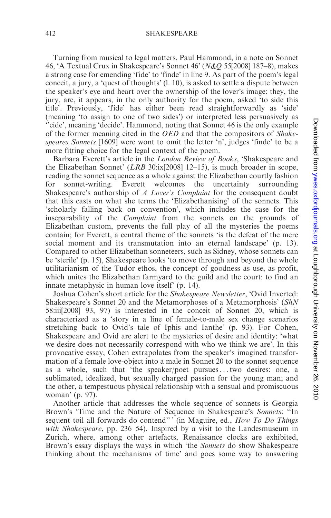Turning from musical to legal matters, Paul Hammond, in a note on Sonnet 46, 'A Textual Crux in Shakespeare's Sonnet 46' (N&Q 55[2008] 187–8), makes a strong case for emending 'fide' to 'finde' in line 9. As part of the poem's legal conceit, a jury, a 'quest of thoughts' (l. 10), is asked to settle a dispute between the speaker's eye and heart over the ownership of the lover's image: they, the jury, are, it appears, in the only authority for the poem, asked 'to side this title'. Previously, 'Qide' has either been read straightforwardly as 'side' (meaning 'to assign to one of two sides') or interpreted less persuasively as ''cide', meaning 'decide'. Hammond, noting that Sonnet 46 is the only example of the former meaning cited in the OED and that the compositors of Shakespeares Sonnets [1609] were wont to omit the letter 'n', judges 'finde' to be a more fitting choice for the legal context of the poem.

Barbara Everett's article in the London Review of Books, 'Shakespeare and the Elizabethan Sonnet' (LRB 30:ix[2008] 12–15), is much broader in scope, reading the sonnet sequence as a whole against the Elizabethan courtly fashion<br>for sonnet-writing. Everett welcomes the uncertainty surrounding for sonnet-writing. Shakespeare's authorship of A Lover's Complaint for the consequent doubt that this casts on what she terms the 'Elizabethanising' of the sonnets. This 'scholarly falling back on convention', which includes the case for the inseparability of the Complaint from the sonnets on the grounds of Elizabethan custom, prevents the full play of all the mysteries the poems contain; for Everett, a central theme of the sonnets 'is the defeat of the mere social moment and its transmutation into an eternal landscape' (p. 13). Compared to other Elizabethan sonneteers, such as Sidney, whose sonnets can be 'sterile' (p. 15), Shakespeare looks 'to move through and beyond the whole utilitarianism of the Tudor ethos, the concept of goodness as use, as profit, which unites the Elizabethan farmyard to the guild and the court: to find an innate metaphysic in human love itself' (p. 14).

Joshua Cohen's short article for the Shakespeare Newsletter, 'Ovid Inverted: Shakespeare's Sonnet 20 and the Metamorphoses of a Metamorphosis' (ShN 58:iii[2008] 93, 97) is interested in the conceit of Sonnet 20, which is characterized as a 'story in a line of female-to-male sex change scenarios stretching back to Ovid's tale of Iphis and Ianthe' (p. 93). For Cohen, Shakespeare and Ovid are alert to the mysteries of desire and identity: 'what we desire does not necessarily correspond with who we think we are'. In this provocative essay, Cohen extrapolates from the speaker's imagined transformation of a female love-object into a male in Sonnet 20 to the sonnet sequence as a whole, such that 'the speaker/poet pursues...two desires: one, a sublimated, idealized, but sexually charged passion for the young man; and the other, a tempestuous physical relationship with a sensual and promiscuous woman' (p. 97).

Another article that addresses the whole sequence of sonnets is Georgia Brown's 'Time and the Nature of Sequence in Shakespeare's Sonnets: ''In sequent toil all forwards do contend"' (in Maguire, ed., How To Do Things with Shakespeare, pp. 236–54). Inspired by a visit to the Landesmuseum in Zurich, where, among other artefacts, Renaissance clocks are exhibited, Brown's essay displays the ways in which 'the Sonnets do show Shakespeare thinking about the mechanisms of time' and goes some way to answering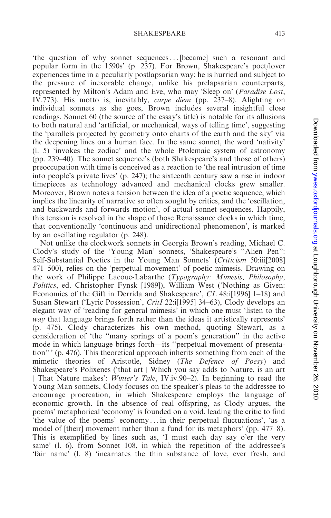'the question of why sonnet sequences... [became] such a resonant and popular form in the 1590s' (p. 237). For Brown, Shakespeare's poet/lover experiences time in a peculiarly postlapsarian way: he is hurried and subject to the pressure of inexorable change, unlike his prelapsarian counterparts, represented by Milton's Adam and Eve, who may 'Sleep on' (Paradise Lost, IV.773). His motto is, inevitably, carpe diem (pp. 237–8). Alighting on individual sonnets as she goes, Brown includes several insightful close readings. Sonnet 60 (the source of the essay's title) is notable for its allusions to both natural and 'artificial, or mechanical, ways of telling time', suggesting the 'parallels projected by geometry onto charts of the earth and the sky' via the deepening lines on a human face. In the same sonnet, the word 'nativity' (l. 5) 'invokes the zodiac' and the whole Ptolemaic system of astronomy (pp. 239–40). The sonnet sequence's (both Shakespeare's and those of others) preoccupation with time is conceived as a reaction to 'the real intrusion of time into people's private lives' (p. 247); the sixteenth century saw a rise in indoor timepieces as technology advanced and mechanical clocks grew smaller. Moreover, Brown notes a tension between the idea of a poetic sequence, which implies the linearity of narrative so often sought by critics, and the 'oscillation, and backwards and forwards motion', of actual sonnet sequences. Happily, this tension is resolved in the shape of those Renaissance clocks in which time, that conventionally 'continuous and unidirectional phenomenon', is marked by an oscillating regulator (p. 248).

Not unlike the clockwork sonnets in Georgia Brown's reading, Michael C. Clody's study of the 'Young Man' sonnets, 'Shakespeare's ''Alien Pen'': Self-Substantial Poetics in the Young Man Sonnets' (Criticism 50:iii[2008] 471–500), relies on the 'perpetual movement' of poetic mimesis. Drawing on the work of Philippe Lacoue-Labarthe (Typography: Mimesis, Philosophy, Politics, ed. Christopher Fynsk [1989]), William West ('Nothing as Given: Economies of the Gift in Derrida and Shakespeare', CL 48:i[1996] 1–18) and Susan Stewart ('Lyric Possession', CritI 22:i[1995] 34–63), Clody develops an elegant way of 'reading for general mimesis' in which one must 'listen to the way that language brings forth rather than the ideas it artistically represents' (p. 475). Clody characterizes his own method, quoting Stewart, as a consideration of 'the ''many springs of a poem's generation'' in the active mode in which language brings forth—its ''perpetual movement of presentation'' ' (p. 476). This theoretical approach inherits something from each of the mimetic theories of Aristotle, Sidney (The Defence of Poesy) and Shakespeare's Polixenes ('that art | Which you say adds to Nature, is an art | That Nature makes': Winter's Tale, IV.iv.90–2). In beginning to read the Young Man sonnets, Clody focuses on the speaker's pleas to the addressee to encourage procreation, in which Shakespeare employs the language of economic growth. In the absence of real offspring, as Clody argues, the poems' metaphorical 'economy' is founded on a void, leading the critic to find 'the value of the poems' economy ... in their perpetual fluctuations', 'as a model of [their] movement rather than a fund for its metaphors' (pp. 477–8). This is exemplified by lines such as, 'I must each day say o'er the very same' (l. 6), from Sonnet 108, in which the repetition of the addressee's 'fair name' (l. 8) 'incarnates the thin substance of love, ever fresh, and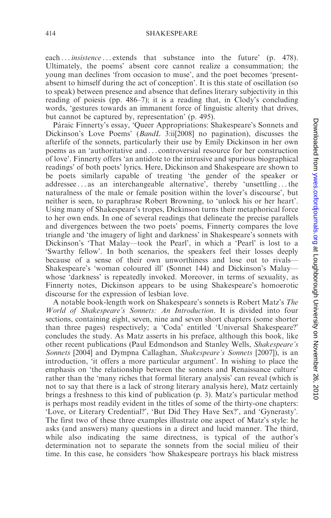each ... *insistence* ... extends that substance into the future' (p. 478). Ultimately, the poems' absent core cannot realize a consummation; the young man declines 'from occasion to muse', and the poet becomes 'presentabsent to himself during the act of conception'. It is this state of oscillation (so to speak) between presence and absence that defines literary subjectivity in this reading of poiesis (pp. 486–7); it is a reading that, in Clody's concluding words, 'gestures towards an immanent force of linguistic alterity that drives, but cannot be captured by, representation' (p. 495).

Páraic Finnerty's essay, 'Oueer Appropriations: Shakespeare's Sonnets and Dickinson's Love Poems' (BandL 3:ii[2008] no pagination), discusses the afterlife of the sonnets, particularly their use by Emily Dickinson in her own poems as an 'authoritative and ... controversial resource for her construction of love'. Finnerty offers 'an antidote to the intrusive and spurious biographical readings' of both poets' lyrics. Here, Dickinson and Shakespeare are shown to be poets similarly capable of treating 'the gender of the speaker or addressee ... as an interchangeable alternative', thereby 'unsettling ... the naturalness of the male or female position within the lover's discourse', but neither is seen, to paraphrase Robert Browning, to 'unlock his or her heart'. Using many of Shakespeare's tropes, Dickinson turns their metaphorical force to her own ends. In one of several readings that delineate the precise parallels and divergences between the two poets' poems, Finnerty compares the love triangle and 'the imagery of light and darkness' in Shakespeare's sonnets with Dickinson's 'That Malay—took the Pearl', in which a 'Pearl' is lost to a 'Swarthy fellow'. In both scenarios, the speakers feel their losses deeply because of a sense of their own unworthiness and lose out to rivals— Shakespeare's 'woman coloured ill' (Sonnet 144) and Dickinson's Malay whose 'darkness' is repeatedly invoked. Moreover, in terms of sexuality, as Finnerty notes, Dickinson appears to be using Shakespeare's homoerotic discourse for the expression of lesbian love.

A notable book-length work on Shakespeare's sonnets is Robert Matz's The World of Shakespeare's Sonnets: An Introduction. It is divided into four sections, containing eight, seven, nine and seven short chapters (some shorter than three pages) respectively; a 'Coda' entitled 'Universal Shakespeare?' concludes the study. As Matz asserts in his preface, although this book, like other recent publications (Paul Edmondson and Stanley Wells, Shakespeare's Sonnets [2004] and Dympna Callaghan, Shakespeare's Sonnets [2007]), is an introduction, 'it offers a more particular argument'. In wishing to place the emphasis on 'the relationship between the sonnets and Renaissance culture' rather than the 'many riches that formal literary analysis' can reveal (which is not to say that there is a lack of strong literary analysis here), Matz certainly brings a freshness to this kind of publication (p. 3). Matz's particular method is perhaps most readily evident in the titles of some of the thirty-one chapters: 'Love, or Literary Credential?', 'But Did They Have Sex?', and 'Gynerasty'. The first two of these three examples illustrate one aspect of Matz's style: he asks (and answers) many questions in a direct and lucid manner. The third, while also indicating the same directness, is typical of the author's determination not to separate the sonnets from the social milieu of their time. In this case, he considers 'how Shakespeare portrays his black mistress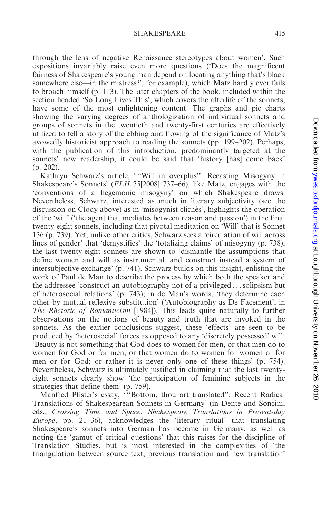through the lens of negative Renaissance stereotypes about women'. Such expositions invariably raise even more questions ('Does the magnificent fairness of Shakespeare's young man depend on locating anything that's black somewhere else—in the mistress?', for example), which Matz hardly ever fails to broach himself (p. 113). The later chapters of the book, included within the section headed 'So Long Lives This', which covers the afterlife of the sonnets, have some of the most enlightening content. The graphs and pie charts showing the varying degrees of anthologization of individual sonnets and groups of sonnets in the twentieth and twenty-first centuries are effectively utilized to tell a story of the ebbing and flowing of the significance of Matz's avowedly historicist approach to reading the sonnets (pp. 199–202). Perhaps, with the publication of this introduction, predominantly targeted at the sonnets' new readership, it could be said that 'history [has] come back' (p. 202).

Kathryn Schwarz's article, "Will in overplus": Recasting Misogyny in Shakespeare's Sonnets' (ELH 75[2008] 737–66), like Matz, engages with the 'conventions of a hegemonic misogyny' on which Shakespeare draws. Nevertheless, Schwarz, interested as much in literary subjectivity (see the discussion on Clody above) as in 'misogynist clichés', highlights the operation of the 'will' ('the agent that mediates between reason and passion') in the final twenty-eight sonnets, including that pivotal meditation on 'Will' that is Sonnet 136 (p. 739). Yet, unlike other critics, Schwarz sees a 'circulation of will across lines of gender' that 'demystifies' the 'totalizing claims' of misogyny (p. 738); the last twenty-eight sonnets are shown to 'dismantle the assumptions that define women and will as instrumental, and construct instead a system of intersubjective exchange' (p. 741). Schwarz builds on this insight, enlisting the work of Paul de Man to describe the process by which both the speaker and the addressee 'construct an autobiography not of a privileged ...solipsism but of heterosocial relations' (p. 743); in de Man's words, 'they determine each other by mutual reflexive substitution' ('Autobiography as De-Facement', in The Rhetoric of Romanticism [1984]). This leads quite naturally to further observations on the notions of beauty and truth that are invoked in the sonnets. As the earlier conclusions suggest, these 'effects' are seen to be produced by 'heterosocial' forces as opposed to any 'discretely possessed' will: 'Beauty is not something that God does to women for men, or that men do to women for God or for men, or that women do to women for women or for men or for God; or rather it is never only one of these things' (p. 754). Nevertheless, Schwarz is ultimately justified in claiming that the last twentyeight sonnets clearly show 'the participation of feminine subjects in the strategies that define them' (p. 759).

Manfred Pfister's essay, ""Bottom, thou art translated": Recent Radical Translations of Shakespearean Sonnets in Germany' (in Dente and Soncini, eds., Crossing Time and Space: Shakespeare Translations in Present-day Europe, pp. 21–36), acknowledges the 'literary ritual' that translating Shakespeare's sonnets into German has become in Germany, as well as noting the 'gamut of critical questions' that this raises for the discipline of Translation Studies, but is most interested in the complexities of 'the triangulation between source text, previous translation and new translation'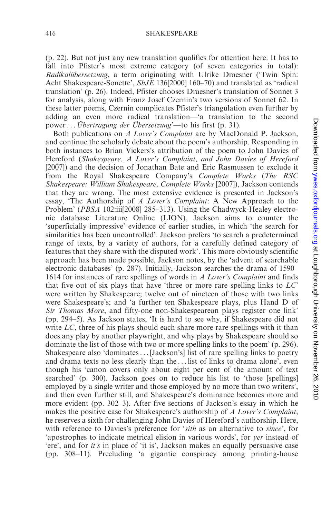(p. 22). But not just any new translation qualifies for attention here. It has to fall into Pfister's most extreme category (of seven categories in total): Radikalübersetzung, a term originating with Ulrike Draesner ('Twin Spin: Acht Shakespeare-Sonette', ShJE 136[2000] 160–70) and translated as 'radical translation' (p. 26). Indeed, Pfister chooses Draesner's translation of Sonnet 3 for analysis, along with Franz Josef Czernin's two versions of Sonnet 62. In these latter poems, Czernin complicates Pfister's triangulation even further by adding an even more radical translation—'a translation to the second power... Übertragung der Übersetzung'—to his first (p. 31).

Both publications on A Lover's Complaint are by MacDonald P. Jackson, and continue the scholarly debate about the poem's authorship. Responding in both instances to Brian Vickers's attribution of the poem to John Davies of Hereford (Shakespeare, A Lover's Complaint, and John Davies of Hereford [2007]) and the decision of Jonathan Bate and Eric Rasmussen to exclude it from the Royal Shakespeare Company's Complete Works (The RSC Shakespeare: William Shakespeare. Complete Works [2007]), Jackson contends that they are wrong. The most extensive evidence is presented in Jackson's essay, 'The Authorship of A Lover's Complaint: A New Approach to the Problem' (PBSA 102:iii[2008] 285–313). Using the Chadwyck-Healey electronic database Literature Online (LION), Jackson aims to counter the 'superficially impressive' evidence of earlier studies, in which 'the search for similarities has been uncontrolled'. Jackson prefers 'to search a predetermined range of texts, by a variety of authors, for a carefully defined category of features that they share with the disputed work'. This more obviously scientific approach has been made possible, Jackson notes, by the 'advent of searchable electronic databases' (p. 287). Initially, Jackson searches the drama of 1590– 1614 for instances of rare spellings of words in A Lover's Complaint and finds that five out of six plays that have 'three or more rare spelling links to  $LC$ ' were written by Shakespeare; twelve out of nineteen of those with two links were Shakespeare's; and 'a further ten Shakespeare plays, plus Hand D of Sir Thomas More, and fifty-one non-Shakespearean plays register one link' (pp. 294–5). As Jackson states, 'It is hard to see why, if Shakespeare did not write LC, three of his plays should each share more rare spellings with it than does any play by another playwright, and why plays by Shakespeare should so dominate the list of those with two or more spelling links to the poem' (p. 296). Shakespeare also 'dominates... [Jackson's] list of rare spelling links to poetry and drama texts no less clearly than the ... list of links to drama alone', even though his 'canon covers only about eight per cent of the amount of text searched' (p. 300). Jackson goes on to reduce his list to 'those [spellings] employed by a single writer and those employed by no more than two writers', and then even further still, and Shakespeare's dominance becomes more and more evident (pp. 302–3). After five sections of Jackson's essay in which he makes the positive case for Shakespeare's authorship of A Lover's Complaint, he reserves a sixth for challenging John Davies of Hereford's authorship. Here, with reference to Davies's preference for 'sith as an alternative to *since*', for 'apostrophes to indicate metrical elision in various words', for yer instead of 'ere', and for it's in place of 'it is', Jackson makes an equally persuasive case (pp. 308–11). Precluding 'a gigantic conspiracy among printing-house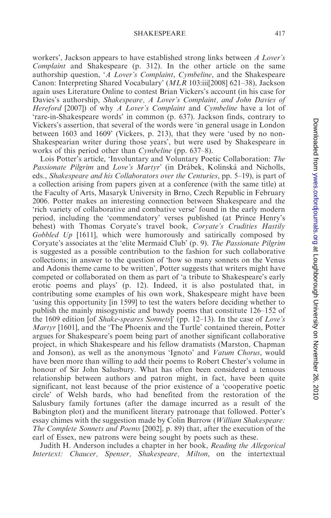workers', Jackson appears to have established strong links between A Lover's Complaint and Shakespeare (p. 312). In the other article on the same authorship question, 'A Lover's Complaint, Cymbeline, and the Shakespeare Canon: Interpreting Shared Vocabulary' (MLR 103:iii[2008] 621–38), Jackson again uses Literature Online to contest Brian Vickers's account (in his case for Davies's authorship, Shakespeare, A Lover's Complaint, and John Davies of Hereford [2007]) of why A Lover's Complaint and Cymbeline have a lot of 'rare-in-Shakespeare words' in common (p. 637). Jackson finds, contrary to Vickers's assertion, that several of the words were 'in general usage in London between 1603 and 1609' (Vickers, p. 213), that they were 'used by no non-Shakespearian writer during those years', but were used by Shakespeare in works of this period other than Cymbeline (pp. 637–8).

Lois Potter's article, 'Involuntary and Voluntary Poetic Collaboration: The Passionate Pilgrim and Love's Martyr' (in Drábek, Kolinská and Nicholls, eds., Shakespeare and his Collaborators over the Centuries, pp. 5–19), is part of a collection arising from papers given at a conference (with the same title) at the Faculty of Arts, Masaryk University in Brno, Czech Republic in February 2006. Potter makes an interesting connection between Shakespeare and the 'rich variety of collaborative and combative verse' found in the early modern period, including the 'commendatory' verses published (at Prince Henry's behest) with Thomas Coryate's travel book, Coryate's Crudities Hastily Gobbled Up [1611], which were humorously and satirically composed by Coryate's associates at the 'elite Mermaid Club' (p. 9). The Passionate Pilgrim is suggested as a possible contribution to the fashion for such collaborative collections; in answer to the question of 'how so many sonnets on the Venus and Adonis theme came to be written', Potter suggests that writers might have competed or collaborated on them as part of 'a tribute to Shakespeare's early erotic poems and plays' (p. 12). Indeed, it is also postulated that, in contributing some examples of his own work, Shakespeare might have been 'using this opportunity [in 1599] to test the waters before deciding whether to publish the mainly misogynistic and bawdy poems that constitute 126–152 of the 1609 edition [of Shake-speares Sonnets]' (pp. 12–13). In the case of Love's Martyr [1601], and the 'The Phoenix and the Turtle' contained therein, Potter argues for Shakespeare's poem being part of another significant collaborative project, in which Shakespeare and his fellow dramatists (Marston, Chapman and Jonson), as well as the anonymous 'Ignoto' and Vatum Chorus, would have been more than willing to add their poems to Robert Chester's volume in honour of Sir John Salusbury. What has often been considered a tenuous relationship between authors and patron might, in fact, have been quite significant, not least because of the prior existence of a 'cooperative poetic circle' of Welsh bards, who had benefited from the restoration of the Salusbury family fortunes (after the damage incurred as a result of the Babington plot) and the munificent literary patronage that followed. Potter's essay chimes with the suggestion made by Colin Burrow (*William Shakespeare:* The Complete Sonnets and Poems [2002], p. 89) that, after the execution of the earl of Essex, new patrons were being sought by poets such as these.

Judith H. Anderson includes a chapter in her book, Reading the Allegorical Intertext: Chaucer, Spenser, Shakespeare, Milton, on the intertextual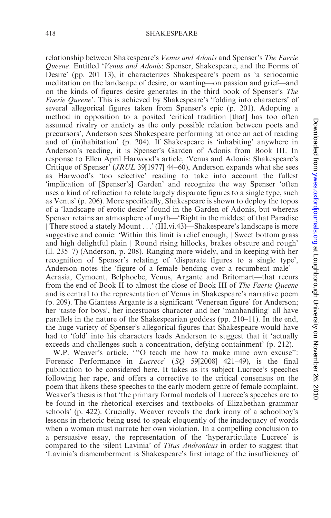relationship between Shakespeare's Venus and Adonis and Spenser's The Faerie Queene. Entitled 'Venus and Adonis: Spenser, Shakespeare, and the Forms of Desire' (pp. 201–13), it characterizes Shakespeare's poem as 'a seriocomic meditation on the landscape of desire, or wanting—on passion and grief—and on the kinds of figures desire generates in the third book of Spenser's The Faerie Queene'. This is achieved by Shakespeare's 'folding into characters' of several allegorical figures taken from Spenser's epic (p. 201). Adopting a method in opposition to a posited 'critical tradition [that] has too often assumed rivalry or anxiety as the only possible relation between poets and precursors', Anderson sees Shakespeare performing 'at once an act of reading and of (in)habitation' (p. 204). If Shakespeare is 'inhabiting' anywhere in Anderson's reading, it is Spenser's Garden of Adonis from Book III. In response to Ellen April Harwood's article, 'Venus and Adonis: Shakespeare's Critique of Spenser' (JRUL 39[1977] 44–60), Anderson expands what she sees as Harwood's 'too selective' reading to take into account the fullest 'implication of [Spenser's] Garden' and recognize the way Spenser 'often uses a kind of refraction to relate largely disparate figures to a single type, such as Venus' (p. 206). More specifically, Shakespeare is shown to deploy the topos of a 'landscape of erotic desire' found in the Garden of Adonis, but whereas Spenser retains an atmosphere of myth—'Right in the middest of that Paradise | There stood a stately Mount ...' (III.vi.43)—Shakespeare's landscape is more suggestive and comic: 'Within this limit is relief enough, | Sweet bottom grass and high delightful plain | Round rising hillocks, brakes obscure and rough' (ll. 235–7) (Anderson, p. 208). Ranging more widely, and in keeping with her recognition of Spenser's relating of 'disparate figures to a single type', Anderson notes the 'figure of a female bending over a recumbent male'-Acrasia, Cymoent, Belphoebe, Venus, Argante and Britomart—that recurs from the end of Book II to almost the close of Book III of The Faerie Queene and is central to the representation of Venus in Shakespeare's narrative poem (p. 209). The Giantess Argante is a significant 'Venerean figure' for Anderson; her 'taste for boys', her incestuous character and her 'manhandling' all have parallels in the nature of the Shakespearian goddess (pp. 210–11). In the end, the huge variety of Spenser's allegorical figures that Shakespeare would have had to 'fold' into his characters leads Anderson to suggest that it 'actually exceeds and challenges such a concentration, defying containment' (p. 212).

W.P. Weaver's article, "O teach me how to make mine own excuse": Forensic Performance in *Lucrece*' (SQ 59[2008] 421–49), is the final publication to be considered here. It takes as its subject Lucrece's speeches following her rape, and offers a corrective to the critical consensus on the poem that likens these speeches to the early modern genre of female complaint. Weaver's thesis is that 'the primary formal models of Lucrece's speeches are to be found in the rhetorical exercises and textbooks of Elizabethan grammar schools' (p. 422). Crucially, Weaver reveals the dark irony of a schoolboy's lessons in rhetoric being used to speak eloquently of the inadequacy of words when a woman must narrate her own violation. In a compelling conclusion to a persuasive essay, the representation of the 'hyperarticulate Lucrece' is compared to the 'silent Lavinia' of Titus Andronicus in order to suggest that 'Lavinia's dismemberment is Shakespeare's first image of the insufficiency of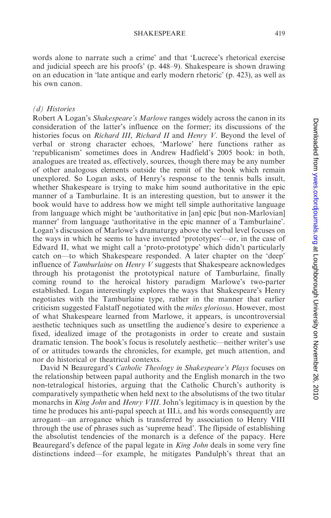words alone to narrate such a crime' and that 'Lucrece's rhetorical exercise and judicial speech are his proofs' (p. 448–9). Shakespeare is shown drawing on an education in 'late antique and early modern rhetoric' (p. 423), as well as his own canon.

# (d) Histories

Robert A Logan's Shakespeare's Marlowe ranges widely across the canon in its consideration of the latter's influence on the former; its discussions of the histories focus on *Richard III*, *Richard II* and *Henry V*. Beyond the level of verbal or strong character echoes, 'Marlowe' here functions rather as 'republicanism' sometimes does in Andrew Hadfield's 2005 book: in both, analogues are treated as, effectively, sources, though there may be any number of other analogous elements outside the remit of the book which remain unexplored. So Logan asks, of Henry's response to the tennis balls insult, whether Shakespeare is trying to make him sound authoritative in the epic manner of a Tamburlaine. It is an interesting question, but to answer it the book would have to address how we might tell simple authoritative language from language which might be 'authoritative in [an] epic [but non-Marlovian] manner' from language 'authoritative in the epic manner of a Tamburlaine'. Logan's discussion of Marlowe's dramaturgy above the verbal level focuses on the ways in which he seems to have invented 'prototypes'—or, in the case of Edward II, what we might call a 'proto-prototype' which didn't particularly catch on—to which Shakespeare responded. A later chapter on the 'deep' influence of Tamburlaine on Henry V suggests that Shakespeare acknowledges through his protagonist the prototypical nature of Tamburlaine, finally coming round to the heroical history paradigm Marlowe's two-parter established. Logan interestingly explores the ways that Shakespeare's Henry negotiates with the Tamburlaine type, rather in the manner that earlier criticism suggested Falstaff negotiated with the miles gloriosus. However, most of what Shakespeare learned from Marlowe, it appears, is uncontroversial aesthetic techniques such as unsettling the audience's desire to experience a fixed, idealized image of the protagonists in order to create and sustain dramatic tension. The book's focus is resolutely aesthetic—neither writer's use of or attitudes towards the chronicles, for example, get much attention, and nor do historical or theatrical contexts.

David N Beauregard's Catholic Theology in Shakespeare's Plays focuses on the relationship between papal authority and the English monarch in the two non-tetralogical histories, arguing that the Catholic Church's authority is comparatively sympathetic when held next to the absolutisms of the two titular monarchs in *King John* and *Henry VIII*. John's legitimacy is in question by the time he produces his anti-papal speech at III.i, and his words consequently are arrogant—an arrogance which is transferred by association to Henry VIII through the use of phrases such as 'supreme head'. The flipside of establishing the absolutist tendencies of the monarch is a defence of the papacy. Here Beauregard's defence of the papal legate in King John deals in some very fine distinctions indeed—for example, he mitigates Pandulph's threat that an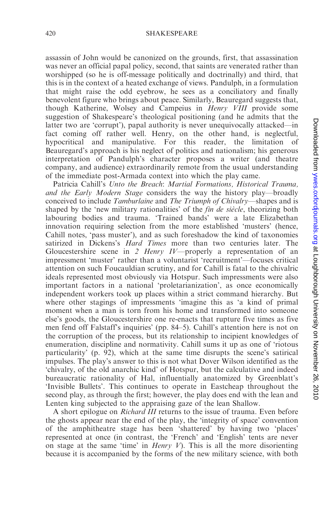assassin of John would be canonized on the grounds, first, that assassination was never an official papal policy, second, that saints are venerated rather than worshipped (so he is off-message politically and doctrinally) and third, that this is in the context of a heated exchange of views. Pandulph, in a formulation that might raise the odd eyebrow, he sees as a conciliatory and finally benevolent figure who brings about peace. Similarly, Beauregard suggests that, though Katherine, Wolsey and Campeius in Henry VIII provide some suggestion of Shakespeare's theological positioning (and he admits that the latter two are 'corrupt'), papal authority is never unequivocally attacked—in fact coming off rather well. Henry, on the other hand, is neglectful, hypocritical and manipulative. For this reader, the limitation of hypocritical and manipulative. For this reader, the limitation Beauregard's approach is his neglect of politics and nationalism; his generous interpretation of Pandulph's character proposes a writer (and theatre company, and audience) extraordinarily remote from the usual understanding of the immediate post-Armada context into which the play came.

Patricia Cahill's Unto the Breach: Martial Formations, Historical Trauma, and the Early Modern Stage considers the way the history play—broadly conceived to include *Tamburlaine* and *The Triumph of Chivalry*—shapes and is shaped by the 'new military rationalities' of the *fin de siècle*, theorizing both labouring bodies and trauma. 'Trained bands' were a late Elizabethan innovation requiring selection from the more established 'musters' (hence, Cahill notes, 'pass muster'), and as such foreshadow the kind of taxonomies satirized in Dickens's *Hard Times* more than two centuries later. The Gloucestershire scene in 2 Henry IV—properly a representation of an impressment 'muster' rather than a voluntarist 'recruitment'—focuses critical attention on such Foucauldian scrutiny, and for Cahill is fatal to the chivalric ideals represented most obviously via Hotspur. Such impressments were also important factors in a national 'proletarianization', as once economically independent workers took up places within a strict command hierarchy. But where other stagings of impressments 'imagine this as 'a kind of primal moment when a man is torn from his home and transformed into someone else's goods, the Gloucestershire one re-enacts that rupture five times as five men fend off Falstaff's inquiries' (pp. 84–5). Cahill's attention here is not on the corruption of the process, but its relationship to incipient knowledges of enumeration, discipline and normativity. Cahill sums it up as one of 'riotous particularity' (p. 92), which at the same time disrupts the scene's satirical impulses. The play's answer to this is not what Dover Wilson identified as the 'chivalry, of the old anarchic kind' of Hotspur, but the calculative and indeed bureaucratic rationality of Hal, influentially anatomized by Greenblatt's 'Invisible Bullets'. This continues to operate in Eastcheap throughout the second play, as through the first; however, the play does end with the lean and Lenten king subjected to the appraising gaze of the lean Shallow.

A short epilogue on Richard III returns to the issue of trauma. Even before the ghosts appear near the end of the play, the 'integrity of space' convention of the amphitheatre stage has been 'shattered' by having two 'places' represented at once (in contrast, the 'French' and 'English' tents are never on stage at the same 'time' in *Henry V*). This is all the more disorienting because it is accompanied by the forms of the new military science, with both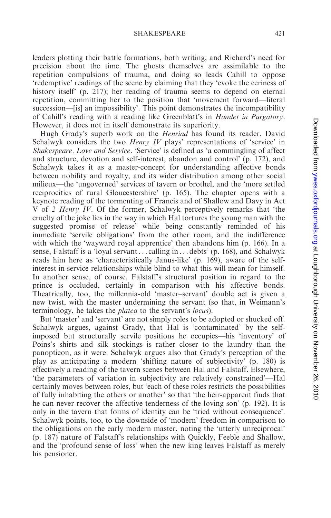leaders plotting their battle formations, both writing, and Richard's need for precision about the time. The ghosts themselves are assimilable to the repetition compulsions of trauma, and doing so leads Cahill to oppose 'redemptive' readings of the scene by claiming that they 'evoke the eeriness of history itself' (p. 217); her reading of trauma seems to depend on eternal repetition, committing her to the position that 'movement forward—literal succession—[is] an impossibility'. This point demonstrates the incompatibility of Cahill's reading with a reading like Greenblatt's in Hamlet in Purgatory. However, it does not in itself demonstrate its superiority.

Hugh Grady's superb work on the *Henriad* has found its reader. David Schalwyk considers the two *Henry IV* plays' representations of 'service' in Shakespeare, Love and Service. 'Service' is defined as 'a commingling of affect and structure, devotion and self-interest, abandon and control' (p. 172), and Schalwyk takes it as a master-concept for understanding affective bonds between nobility and royalty, and its wider distribution among other social milieux—the 'ungoverned' services of tavern or brothel, and the 'more settled reciprocities of rural Gloucestershire' (p. 165). The chapter opens with a keynote reading of the tormenting of Francis and of Shallow and Davy in Act V of 2 Henry IV. Of the former, Schalwyk perceptively remarks that 'the cruelty of the joke lies in the way in which Hal tortures the young man with the suggested promise of release' while being constantly reminded of his immediate 'servile obligations' from the other room, and the indifference with which the 'wayward royal apprentice' then abandons him (p. 166). In a sense, Falstaff is a 'loyal servant ... calling in ... debts' (p. 168), and Schalwyk reads him here as 'characteristically Janus-like' (p. 169), aware of the selfinterest in service relationships while blind to what this will mean for himself. In another sense, of course, Falstaff's structural position in regard to the prince is occluded, certainly in comparison with his affective bonds. Theatrically, too, the millennia-old 'master–servant' double act is given a new twist, with the master undermining the servant (so that, in Weimann's terminology, he takes the platea to the servant's locus).

But 'master' and 'servant' are not simply roles to be adopted or shucked off. Schalwyk argues, against Grady, that Hal is 'contaminated' by the selfimposed but structurally servile positions he occupies—his 'inventory' of Poins's shirts and silk stockings is rather closer to the laundry than the panopticon, as it were. Schalwyk argues also that Grady's perception of the play as anticipating a modern 'shifting nature of subjectivity' (p. 180) is effectively a reading of the tavern scenes between Hal and Falstaff. Elsewhere, 'the parameters of variation in subjectivity are relatively constrained'—Hal certainly moves between roles, but 'each of these roles restricts the possibilities of fully inhabiting the others or another' so that 'the heir-apparent finds that he can never recover the affective tenderness of the loving son' (p. 192). It is only in the tavern that forms of identity can be 'tried without consequence'. Schalwyk points, too, to the downside of 'modern' freedom in comparison to the obligations on the early modern master, noting the 'utterly unreciprocal' (p. 187) nature of Falstaff's relationships with Quickly, Feeble and Shallow, and the 'profound sense of loss' when the new king leaves Falstaff as merely his pensioner.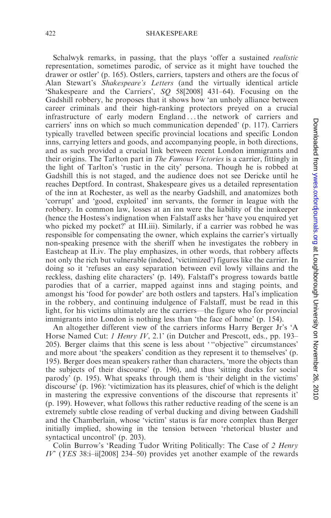Schalwyk remarks, in passing, that the plays 'offer a sustained *realistic* representation, sometimes parodic, of service as it might have touched the drawer or ostler' (p. 165). Ostlers, carriers, tapsters and others are the focus of Alan Stewart's Shakespeare's Letters (and the virtually identical article 'Shakespeare and the Carriers', SQ 58[2008] 431–64). Focusing on the Gadshill robbery, he proposes that it shows how 'an unholy alliance between career criminals and their high-ranking protectors preyed on a crucial infrastructure of early modern England ...the network of carriers and carriers' inns on which so much communication depended' (p. 117). Carriers typically travelled between specific provincial locations and specific London inns, carrying letters and goods, and accompanying people, in both directions, and as such provided a crucial link between recent London immigrants and their origins. The Tarlton part in The Famous Victories is a carrier, fittingly in the light of Tarlton's 'rustic in the city' persona. Though he is robbed at Gadshill this is not staged, and the audience does not see Dericke until he reaches Deptford. In contrast, Shakespeare gives us a detailed representation of the inn at Rochester, as well as the nearby Gadshill, and anatomizes both 'corrupt' and 'good, exploited' inn servants, the former in league with the robbery. In common law, losses at an inn were the liability of the innkeeper (hence the Hostess's indignation when Falstaff asks her 'have you enquired yet who picked my pocket?' at III.iii). Similarly, if a carrier was robbed he was responsible for compensating the owner, which explains the carrier's virtually non-speaking presence with the sheriff when he investigates the robbery in Eastcheap at II.iv. The play emphasizes, in other words, that robbery affects not only the rich but vulnerable (indeed, 'victimized') figures like the carrier. In doing so it 'refuses an easy separation between evil lowly villains and the reckless, dashing elite characters' (p. 149). Falstaff's progress towards battle parodies that of a carrier, mapped against inns and staging points, and amongst his 'food for powder' are both ostlers and tapsters. Hal's implication in the robbery, and continuing indulgence of Falstaff, must be read in this light, for his victims ultimately are the carriers—the figure who for provincial immigrants into London is nothing less than 'the face of home' (p. 154).

An altogether different view of the carriers informs Harry Berger Jr's 'A Horse Named Cut: 1 Henry IV, 2.1' (in Dutcher and Prescott, eds., pp. 193– 205). Berger claims that this scene is less about ' ''objective'' circumstances' and more about 'the speakers' condition as they represent it to themselves' (p. 195). Berger does mean speakers rather than characters, 'more the objects than the subjects of their discourse' (p. 196), and thus 'sitting ducks for social parody' (p. 195). What speaks through them is 'their delight in the victims' discourse' (p. 196): 'victimization has its pleasures, chief of which is the delight in mastering the expressive conventions of the discourse that represents it' (p. 199). However, what follows this rather reductive reading of the scene is an extremely subtle close reading of verbal ducking and diving between Gadshill and the Chamberlain, whose 'victim' status is far more complex than Berger initially implied, showing in the tension between 'rhetorical bluster and syntactical uncontrol' (p. 203).

Colin Burrow's 'Reading Tudor Writing Politically: The Case of 2 Henry IV' (YES 38:i–ii[2008] 234–50) provides yet another example of the rewards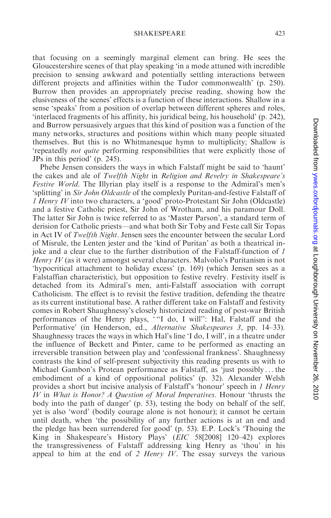that focusing on a seemingly marginal element can bring. He sees the Gloucestershire scenes of that play speaking 'in a mode attuned with incredible precision to sensing awkward and potentially settling interactions between different projects and affinities within the Tudor commonwealth' (p. 250). Burrow then provides an appropriately precise reading, showing how the elusiveness of the scenes' effects is a function of these interactions. Shallow in a sense 'speaks' from a position of overlap between different spheres and roles, 'interlaced fragments of his affinity, his juridical being, his household' (p. 242), and Burrow persuasively argues that this kind of position was a function of the many networks, structures and positions within which many people situated themselves. But this is no Whitmanesque hymn to multiplicity; Shallow is 'repeatedly not quite performing responsibilities that were explicitly those of JPs in this period' (p. 245).

Phebe Jensen considers the ways in which Falstaff might be said to 'haunt' the cakes and ale of Twelfth Night in Religion and Revelry in Shakespeare's Festive World. The Illyrian play itself is a response to the Admiral's men's 'splitting' in Sir John Oldcastle of the complexly Puritan-and-festive Falstaff of 1 Henry IV into two characters, a 'good' proto-Protestant Sir John (Oldcastle) and a festive Catholic priest, Sir John of Wrotham, and his paramour Doll. The latter Sir John is twice referred to as 'Master Parson', a standard term of derision for Catholic priests—and what both Sir Toby and Feste call Sir Topas in Act IV of Twelfth Night. Jensen sees the encounter between the secular Lord of Misrule, the Lenten jester and the 'kind of Puritan' as both a theatrical injoke and a clear clue to the further distribution of the Falstaff-function of 1 Henry IV (as it were) amongst several characters. Malvolio's Puritanism is not 'hypocritical attachment to holiday excess' (p. 169) (which Jensen sees as a Falstaffian characteristic), but opposition to festive revelry. Festivity itself is detached from its Admiral's men, anti-Falstaff association with corrupt Catholicism. The effect is to revisit the festive tradition, defending the theatre as its current institutional base. A rather different take on Falstaff and festivity comes in Robert Shaughnessy's closely historicized reading of post-war British performances of the Henry plays, "'I do, I will": Hal, Falstaff and the Performative' (in Henderson, ed., Alternative Shakespeares 3, pp. 14–33). Shaughnessy traces the ways in which Hal's line 'I do, I will', in a theatre under the influence of Beckett and Pinter, came to be performed as enacting an irreversible transition between play and 'confessional frankness'. Shaughnessy contrasts the kind of self-present subjectivity this reading presents us with to Michael Gambon's Protean performance as Falstaff, as 'just possibly ...the embodiment of a kind of oppositional politics' (p. 32). Alexander Welsh provides a short but incisive analysis of Falstaff's 'honour' speech in 1 Henry IV in What is Honor? A Question of Moral Imperatives. Honour 'thrusts the body into the path of danger' (p. 53), testing the body on behalf of the self, yet is also 'word' (bodily courage alone is not honour); it cannot be certain until death, when 'the possibility of any further actions is at an end and the pledge has been surrendered for good' (p. 53). E.P. Lock's 'Thouing the King in Shakespeare's History Plays' (EIC 58[2008] 120–42) explores the transgressiveness of Falstaff addressing king Henry as 'thou' in his appeal to him at the end of 2 Henry IV. The essay surveys the various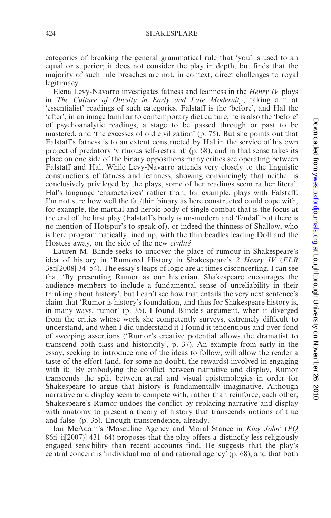categories of breaking the general grammatical rule that 'you' is used to an equal or superior; it does not consider the play in depth, but finds that the majority of such rule breaches are not, in context, direct challenges to royal legitimacy.

Elena Levy-Navarro investigates fatness and leanness in the Henry IV plays in The Culture of Obesity in Early and Late Modernity, taking aim at 'essentialist' readings of such categories. Falstaff is the 'before', and Hal the 'after', in an image familiar to contemporary diet culture; he is also the 'before' of psychoanalytic readings, a stage to be passed through or past to be mastered, and 'the excesses of old civilization' (p. 75). But she points out that Falstaff's fatness is to an extent constructed by Hal in the service of his own project of predatory 'virtuous self-restraint' (p. 68), and in that sense takes its place on one side of the binary oppositions many critics see operating between Falstaff and Hal. While Levy-Navarro attends very closely to the linguistic constructions of fatness and leanness, showing convincingly that neither is conclusively privileged by the plays, some of her readings seem rather literal. Hal's language 'characterizes' rather than, for example, plays with Falstaff. I'm not sure how well the fat/thin binary as here constructed could cope with, for example, the martial and heroic body of single combat that is the focus at the end of the first play (Falstaff's body is un-modern and 'feudal' but there is no mention of Hotspur's to speak of), or indeed the thinness of Shallow, who is here programmatically lined up, with the thin beadles leading Doll and the Hostess away, on the side of the new *civilité*.

Lauren M. Blinde seeks to uncover the place of rumour in Shakespeare's idea of history in 'Rumored History in Shakespeare's 2 Henry IV (ELR 38:i[2008] 34–54). The essay's leaps of logic are at times disconcerting. I can see that 'By presenting Rumor as our historian, Shakespeare encourages the audience members to include a fundamental sense of unreliability in their thinking about history', but I can't see how that entails the very next sentence's claim that 'Rumor is history's foundation, and thus for Shakespeare history is, in many ways, rumor' (p. 35). I found Blinde's argument, when it diverged from the critics whose work she competently surveys, extremely difficult to understand, and when I did understand it I found it tendentious and over-fond of sweeping assertions ('Rumor's creative potential allows the dramatist to transcend both class and historicity', p. 37). An example from early in the essay, seeking to introduce one of the ideas to follow, will allow the reader a taste of the effort (and, for some no doubt, the rewards) involved in engaging with it: 'By embodying the conflict between narrative and display, Rumor transcends the split between aural and visual epistemologies in order for Shakespeare to argue that history is fundamentally imaginative. Although narrative and display seem to compete with, rather than reinforce, each other, Shakespeare's Rumor undoes the conflict by replacing narrative and display with anatomy to present a theory of history that transcends notions of true and false' (p. 35). Enough transcendence, already.

Ian McAdam's 'Masculine Agency and Moral Stance in King John' (PQ 86:i–ii[2007)] 431–64) proposes that the play offers a distinctly less religiously engaged sensibility than recent accounts find. He suggests that the play's central concern is 'individual moral and rational agency' (p. 68), and that both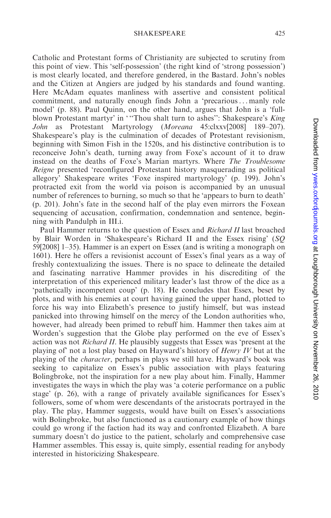Catholic and Protestant forms of Christianity are subjected to scrutiny from this point of view. This 'self-possession' (the right kind of 'strong possession') is most clearly located, and therefore gendered, in the Bastard. John's nobles and the Citizen at Angiers are judged by his standards and found wanting. Here McAdam equates manliness with assertive and consistent political commitment, and naturally enough finds John a 'precarious... manly role model' (p. 88). Paul Quinn, on the other hand, argues that John is a 'fullblown Protestant martyr' in "Thou shalt turn to ashes": Shakespeare's King John as Protestant Martyrology (Moreana 45:clxxv[2008] 189–207). Shakespeare's play is the culmination of decades of Protestant revisionism, beginning with Simon Fish in the 1520s, and his distinctive contribution is to reconceive John's death, turning away from Foxe's account of it to draw instead on the deaths of Foxe's Marian martyrs. Where The Troublesome Reigne presented 'reconfigured Protestant history masquerading as political allegory' Shakespeare writes 'Foxe inspired martyrology' (p. 199). John's protracted exit from the world via poison is accompanied by an unusual number of references to burning, so much so that he 'appears to burn to death' (p. 201). John's fate in the second half of the play even mirrors the Foxean sequencing of accusation, confirmation, condemnation and sentence, beginning with Pandulph in III.i.

Paul Hammer returns to the question of Essex and Richard II last broached by Blair Worden in 'Shakespeare's Richard II and the Essex rising' (SQ 59[2008] 1–35). Hammer is an expert on Essex (and is writing a monograph on 1601). Here he offers a revisionist account of Essex's final years as a way of freshly contextualizing the issues. There is no space to delineate the detailed and fascinating narrative Hammer provides in his discrediting of the interpretation of this experienced military leader's last throw of the dice as a 'pathetically incompetent coup' (p. 18). He concludes that Essex, beset by plots, and with his enemies at court having gained the upper hand, plotted to force his way into Elizabeth's presence to justify himself, but was instead panicked into throwing himself on the mercy of the London authorities who, however, had already been primed to rebuff him. Hammer then takes aim at Worden's suggestion that the Globe play performed on the eve of Essex's action was not Richard II. He plausibly suggests that Essex was 'present at the playing of' not a lost play based on Hayward's history of Henry IV but at the playing of the character, perhaps in plays we still have. Hayward's book was seeking to capitalize on Essex's public association with plays featuring Bolingbroke, not the inspiration for a new play about him. Finally, Hammer investigates the ways in which the play was 'a coterie performance on a public stage' (p. 26), with a range of privately available significances for Essex's followers, some of whom were descendants of the aristocrats portrayed in the play. The play, Hammer suggests, would have built on Essex's associations with Bolingbroke, but also functioned as a cautionary example of how things could go wrong if the faction had its way and confronted Elizabeth. A bare summary doesn't do justice to the patient, scholarly and comprehensive case Hammer assembles. This essay is, quite simply, essential reading for anybody interested in historicizing Shakespeare.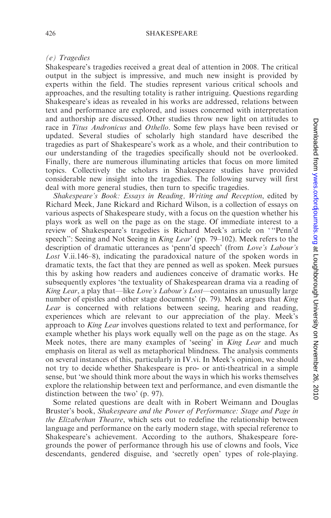# (e) Tragedies

Shakespeare's tragedies received a great deal of attention in 2008. The critical output in the subject is impressive, and much new insight is provided by experts within the field. The studies represent various critical schools and approaches, and the resulting totality is rather intriguing. Questions regarding Shakespeare's ideas as revealed in his works are addressed, relations between text and performance are explored, and issues concerned with interpretation and authorship are discussed. Other studies throw new light on attitudes to race in Titus Andronicus and Othello. Some few plays have been revised or updated. Several studies of scholarly high standard have described the tragedies as part of Shakespeare's work as a whole, and their contribution to our understanding of the tragedies specifically should not be overlooked. Finally, there are numerous illuminating articles that focus on more limited topics. Collectively the scholars in Shakespeare studies have provided considerable new insight into the tragedies. The following survey will first deal with more general studies, then turn to specific tragedies.

Shakespeare's Book: Essays in Reading, Writing and Reception, edited by Richard Meek, Jane Rickard and Richard Wilson, is a collection of essays on various aspects of Shakespeare study, with a focus on the question whether his plays work as well on the page as on the stage. Of immediate interest to a review of Shakespeare's tragedies is Richard Meek's article on ' ''Penn'd speech'': Seeing and Not Seeing in *King Lear*' (pp. 79–102). Meek refers to the description of dramatic utterances as 'penn'd speech' (from Love's Labour's Lost V.ii.146–8), indicating the paradoxical nature of the spoken words in dramatic texts, the fact that they are penned as well as spoken. Meek pursues this by asking how readers and audiences conceive of dramatic works. He subsequently explores 'the textuality of Shakespearean drama via a reading of King Lear, a play that—like Love's Labour's Lost—contains an unusually large number of epistles and other stage documents' (p. 79). Meek argues that *King* Lear is concerned with relations between seeing, hearing and reading, experiences which are relevant to our appreciation of the play. Meek's approach to King Lear involves questions related to text and performance, for example whether his plays work equally well on the page as on the stage. As Meek notes, there are many examples of 'seeing' in King Lear and much emphasis on literal as well as metaphorical blindness. The analysis comments on several instances of this, particularly in IV.vi. In Meek's opinion, we should not try to decide whether Shakespeare is pro- or anti-theatrical in a simple sense, but 'we should think more about the ways in which his works themselves explore the relationship between text and performance, and even dismantle the distinction between the two' (p. 97).

Some related questions are dealt with in Robert Weimann and Douglas Bruster's book, Shakespeare and the Power of Performance: Stage and Page in the Elizabethan Theatre, which sets out to redefine the relationship between language and performance on the early modern stage, with special reference to Shakespeare's achievement. According to the authors, Shakespeare foregrounds the power of performance through his use of clowns and fools, Vice descendants, gendered disguise, and 'secretly open' types of role-playing.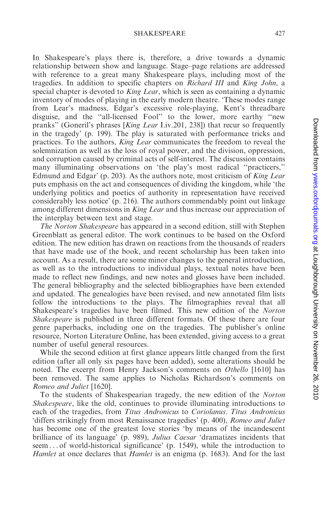In Shakespeare's plays there is, therefore, a drive towards a dynamic relationship between show and language. Stage–page relations are addressed with reference to a great many Shakespeare plays, including most of the tragedies. In addition to specific chapters on Richard III and King John, a special chapter is devoted to *King Lear*, which is seen as containing a dynamic inventory of modes of playing in the early modern theatre. 'These modes range from Lear's madness, Edgar's excessive role-playing, Kent's threadbare disguise, and the ''all-licensed Fool'' to the lower, more earthy ''new pranks'' (Goneril's phrases [King Lear I.iv.201, 238]) that recur so frequently in the tragedy' (p. 199). The play is saturated with performance tricks and practices. To the authors, King Lear communicates the freedom to reveal the solemnization as well as the loss of royal power, and the division, oppression, and corruption caused by criminal acts of self-interest. The discussion contains many illuminating observations on 'the play's most radical ''practicers,'' Edmund and Edgar' (p. 203). As the authors note, most criticism of King Lear puts emphasis on the act and consequences of dividing the kingdom, while 'the underlying politics and poetics of authority in representation have received considerably less notice' (p. 216). The authors commendably point out linkage among different dimensions in *King Lear* and thus increase our appreciation of the interplay between text and stage.

The Norton Shakespeare has appeared in a second edition, still with Stephen Greenblatt as general editor. The work continues to be based on the Oxford edition. The new edition has drawn on reactions from the thousands of readers that have made use of the book, and recent scholarship has been taken into account. As a result, there are some minor changes to the general introduction, as well as to the introductions to individual plays, textual notes have been made to reflect new findings, and new notes and glosses have been included. The general bibliography and the selected bibliographies have been extended and updated. The genealogies have been revised, and new annotated film lists follow the introductions to the plays. The filmographies reveal that all Shakespeare's tragedies have been filmed. This new edition of the Norton Shakespeare is published in three different formats. Of these there are four genre paperbacks, including one on the tragedies. The publisher's online resource, Norton Literature Online, has been extended, giving access to a great number of useful general resources.

While the second edition at first glance appears little changed from the first edition (after all only six pages have been added), some alterations should be noted. The excerpt from Henry Jackson's comments on Othello [1610] has been removed. The same applies to Nicholas Richardson's comments on Romeo and Juliet [1620].

To the students of Shakespearian tragedy, the new edition of the Norton Shakespeare, like the old, continues to provide illuminating introductions to each of the tragedies, from Titus Andronicus to Coriolanus. Titus Andronicus 'differs strikingly from most Renaissance tragedies' (p. 400), Romeo and Juliet has become one of the greatest love stories 'by means of the incandescent brilliance of its language' (p. 989), Julius Caesar 'dramatizes incidents that seem ... of world-historical significance' (p. 1549), while the introduction to Hamlet at once declares that *Hamlet* is an enigma (p. 1683). And for the last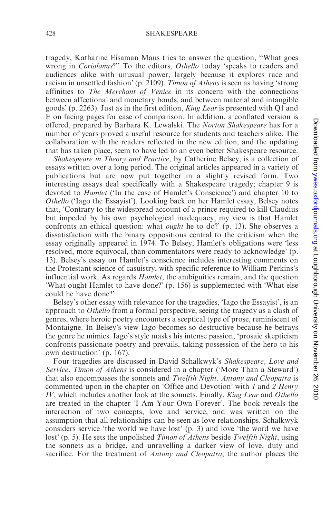tragedy, Katharine Eisaman Maus tries to answer the question, ''What goes wrong in Coriolanus?'' To the editors, Othello today 'speaks to readers and audiences alike with unusual power, largely because it explores race and racism in unsettled fashion' (p. 2109). Timon of Athens is seen as having 'strong affinities to The Merchant of Venice in its concern with the connections between affectional and monetary bonds, and between material and intangible goods' (p. 2263). Just as in the first edition, King Lear is presented with Q1 and F on facing pages for ease of comparison. In addition, a conflated version is offered, prepared by Barbara K. Lewalski. The Norton Shakespeare has for a number of years proved a useful resource for students and teachers alike. The collaboration with the readers reflected in the new edition, and the updating that has taken place, seem to have led to an even better Shakespeare resource.

Shakespeare in Theory and Practice, by Catherine Belsey, is a collection of essays written over a long period. The original articles appeared in a variety of publications but are now put together in a slightly revised form. Two interesting essays deal specifically with a Shakespeare tragedy; chapter 9 is devoted to Hamlet ('In the case of Hamlet's Conscience') and chapter 10 to Othello ('Iago the Essayist'). Looking back on her Hamlet essay, Belsey notes that, 'Contrary to the widespread account of a prince required to kill Claudius but impeded by his own psychological inadequacy, my view is that Hamlet confronts an ethical question: what *ought* he to do?' (p. 13). She observes a dissatisfaction with the binary oppositions central to the criticism when the essay originally appeared in 1974. To Belsey, Hamlet's obligations were 'less resolved, more equivocal, than commentators were ready to acknowledge' (p. 13). Belsey's essay on Hamlet's conscience includes interesting comments on the Protestant science of casuistry, with specific reference to William Perkins's influential work. As regards *Hamlet*, the ambiguities remain, and the question 'What ought Hamlet to have done?' (p. 156) is supplemented with 'What else could he have done?'

Belsey's other essay with relevance for the tragedies, 'Iago the Essayist', is an approach to Othello from a formal perspective, seeing the tragedy as a clash of genres, where heroic poetry encounters a sceptical type of prose, reminiscent of Montaigne. In Belsey's view Iago becomes so destructive because he betrays the genre he mimics. Iago's style masks his intense passion, 'prosaic skepticism confronts passionate poetry and prevails, taking possession of the hero to his own destruction' (p. 167).

Four tragedies are discussed in David Schalkwyk's Shakespeare, Love and Service. Timon of Athens is considered in a chapter ('More Than a Steward') that also encompasses the sonnets and Twelfth Night. Antony and Cleopatra is commented upon in the chapter on 'Office and Devotion' with 1 and 2 Henry IV, which includes another look at the sonnets. Finally, King Lear and Othello are treated in the chapter 'I Am Your Own Forever'. The book reveals the interaction of two concepts, love and service, and was written on the assumption that all relationships can be seen as love relationships. Schalkwyk considers service 'the world we have lost' (p. 3) and love 'the word we have lost' (p. 5). He sets the unpolished Timon of Athens beside Twelfth Night, using the sonnets as a bridge, and unravelling a darker view of love, duty and sacrifice. For the treatment of *Antony and Cleopatra*, the author places the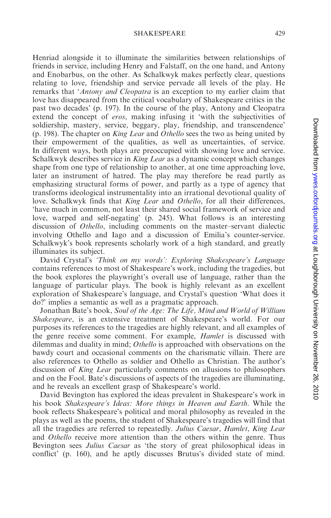Henriad alongside it to illuminate the similarities between relationships of friends in service, including Henry and Falstaff, on the one hand, and Antony and Enobarbus, on the other. As Schalkwyk makes perfectly clear, questions relating to love, friendship and service pervade all levels of the play. He remarks that 'Antony and Cleopatra is an exception to my earlier claim that love has disappeared from the critical vocabulary of Shakespeare critics in the past two decades' (p. 197). In the course of the play, Antony and Cleopatra extend the concept of *eros*, making infusing it 'with the subjectivities of soldiership, mastery, service, beggary, play, friendship, and transcendence' (p. 198). The chapter on King Lear and Othello sees the two as being united by their empowerment of the qualities, as well as uncertainties, of service. In different ways, both plays are preoccupied with showing love and service. Schalkwyk describes service in *King Lear* as a dynamic concept which changes shape from one type of relationship to another, at one time approaching love, later an instrument of hatred. The play may therefore be read partly as emphasizing structural forms of power, and partly as a type of agency that transforms ideological instrumentality into an irrational devotional quality of love. Schalkwyk finds that *King Lear* and *Othello*, for all their differences, 'have much in common, not least their shared social framework of service and love, warped and self-negating' (p. 245). What follows is an interesting discussion of Othello, including comments on the master–servant dialectic involving Othello and Iago and a discussion of Emilia's counter-service. Schalkwyk's book represents scholarly work of a high standard, and greatly illuminates its subject.

David Crystal's 'Think on my words': Exploring Shakespeare's Language contains references to most of Shakespeare's work, including the tragedies, but the book explores the playwright's overall use of language, rather than the language of particular plays. The book is highly relevant as an excellent exploration of Shakespeare's language, and Crystal's question 'What does it do?' implies a semantic as well as a pragmatic approach.

Jonathan Bate's book, Soul of the Age: The Life, Mind and World of William Shakespeare, is an extensive treatment of Shakespeare's world. For our purposes its references to the tragedies are highly relevant, and all examples of the genre receive some comment. For example, Hamlet is discussed with dilemmas and duality in mind; Othello is approached with observations on the bawdy court and occasional comments on the charismatic villain. There are also references to Othello as soldier and Othello as Christian. The author's discussion of King Lear particularly comments on allusions to philosophers and on the Fool. Bate's discussions of aspects of the tragedies are illuminating, and he reveals an excellent grasp of Shakespeare's world.

David Bevington has explored the ideas prevalent in Shakespeare's work in his book Shakespeare's Ideas: More things in Heaven and Earth. While the book reflects Shakespeare's political and moral philosophy as revealed in the plays as well as the poems, the student of Shakespeare's tragedies will find that all the tragedies are referred to repeatedly. Julius Caesar, Hamlet, King Lear and Othello receive more attention than the others within the genre. Thus Bevington sees Julius Caesar as 'the story of great philosophical ideas in conflict' (p. 160), and he aptly discusses Brutus's divided state of mind.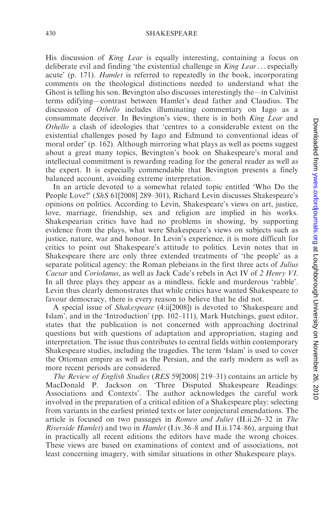His discussion of King Lear is equally interesting, containing a focus on deliberate evil and finding 'the existential challenge in King Lear... especially acute' (p. 171). Hamlet is referred to repeatedly in the book, incorporating comments on the theological distinctions needed to understand what the Ghost is telling his son. Bevington also discusses interestingly the—in Calvinist terms edifying—contrast between Hamlet's dead father and Claudius. The discussion of Othello includes illuminating commentary on Iago as a consummate deceiver. In Bevington's view, there is in both King Lear and Othello a clash of ideologies that 'centres to a considerable extent on the existential challenges posed by Iago and Edmund to conventional ideas of moral order' (p. 162). Although mirroring what plays as well as poems suggest about a great many topics, Bevington's book on Shakespeare's moral and intellectual commitment is rewarding reading for the general reader as well as the expert. It is especially commendable that Bevington presents a finely balanced account, avoiding extreme interpretation.

In an article devoted to a somewhat related topic entitled 'Who Do the People Love?' (ShS 61[2008] 289–301), Richard Levin discusses Shakespeare's opinions on politics. According to Levin, Shakespeare's views on art, justice, love, marriage, friendship, sex and religion are implied in his works. Shakespearian critics have had no problems in showing, by supporting evidence from the plays, what were Shakespeare's views on subjects such as justice, nature, war and honour. In Levin's experience, it is more difficult for critics to point out Shakespeare's attitude to politics. Levin notes that in Shakespeare there are only three extended treatments of 'the people' as a separate political agency: the Roman plebeians in the first three acts of *Julius* Caesar and Coriolanus, as well as Jack Cade's rebels in Act IV of 2 Henry VI. In all three plays they appear as a mindless, fickle and murderous 'rabble'. Levin thus clearly demonstrates that while critics have wanted Shakespeare to favour democracy, there is every reason to believe that he did not.

A special issue of Shakespeare (4:ii[2008]) is devoted to 'Shakespeare and Islam', and in the 'Introduction' (pp. 102–111), Mark Hutchings, guest editor, states that the publication is not concerned with approaching doctrinal questions but with questions of adaptation and appropriation, staging and interpretation. The issue thus contributes to central fields within contemporary Shakespeare studies, including the tragedies. The term 'Islam' is used to cover the Ottoman empire as well as the Persian, and the early modern as well as more recent periods are considered.

The Review of English Studies (RES 59[2008] 219–31) contains an article by MacDonald P. Jackson on 'Three Disputed Shakespeare Readings: Associations and Contexts'. The author acknowledges the careful work involved in the preparation of a critical edition of a Shakespeare play: selecting from variants in the earliest printed texts or later conjectural emendations. The article is focused on two passages in Romeo and Juliet (II.ii.26–32 in The Riverside Hamlet) and two in Hamlet (I.iv.36–8 and II.ii.174–86), arguing that in practically all recent editions the editors have made the wrong choices. These views are based on examinations of context and of associations, not least concerning imagery, with similar situations in other Shakespeare plays.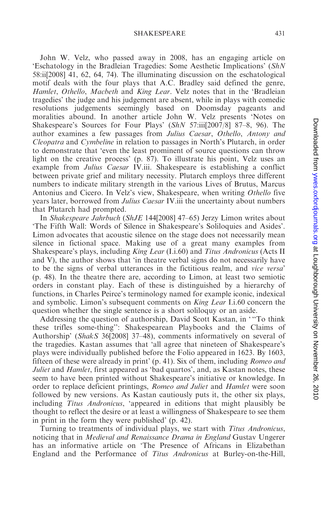John W. Velz, who passed away in 2008, has an engaging article on 'Eschatology in the Bradleian Tragedies: Some Aesthetic Implications' (ShN 58:ii[2008] 41, 62, 64, 74). The illuminating discussion on the eschatological motif deals with the four plays that A.C. Bradley said defined the genre, Hamlet, Othello, Macbeth and King Lear. Velz notes that in the 'Bradleian tragedies' the judge and his judgement are absent, while in plays with comedic resolutions judgements seemingly based on Doomsday pageants and moralities abound. In another article John W. Velz presents 'Notes on Shakespeare's Sources for Four Plays' (ShN 57:iii[2007/8] 87–8, 96). The author examines a few passages from Julius Caesar, Othello, Antony and Cleopatra and Cymbeline in relation to passages in North's Plutarch, in order to demonstrate that 'even the least prominent of source questions can throw light on the creative process' (p. 87). To illustrate his point, Velz uses an example from Julius Caesar IV.iii. Shakespeare is establishing a conflict between private grief and military necessity. Plutarch employs three different numbers to indicate military strength in the various Lives of Brutus, Marcus Antonius and Cicero. In Velz's view, Shakespeare, when writing Othello five years later, borrowed from Julius Caesar IV.iii the uncertainty about numbers that Plutarch had prompted.

In Shakespeare Jahrbuch (ShJE 144[2008] 47–65) Jerzy Limon writes about 'The Fifth Wall: Words of Silence in Shakespeare's Soliloquies and Asides'. Limon advocates that acoustic silence on the stage does not necessarily mean silence in fictional space. Making use of a great many examples from Shakespeare's plays, including King Lear (I.i.60) and Titus Andronicus (Acts II and V), the author shows that 'in theatre verbal signs do not necessarily have to be the signs of verbal utterances in the fictitious realm, and vice versa' (p. 48). In the theatre there are, according to Limon, at least two semiotic orders in constant play. Each of these is distinguished by a hierarchy of functions, in Charles Peirce's terminology named for example iconic, indexical and symbolic. Limon's subsequent comments on King Lear I.i.60 concern the question whether the single sentence is a short soliloquy or an aside.

Addressing the question of authorship, David Scott Kastan, in ' ''To think these trifles some-thing'': Shakespearean Playbooks and the Claims of Authorship' (ShakS 36[2008] 37–48), comments informatively on several of the tragedies. Kastan assumes that 'all agree that nineteen of Shakespeare's plays were individually published before the Folio appeared in 1623. By 1603, fifteen of these were already in print' (p. 41). Six of them, including Romeo and Juliet and Hamlet, first appeared as 'bad quartos', and, as Kastan notes, these seem to have been printed without Shakespeare's initiative or knowledge. In order to replace deficient printings, Romeo and Juliet and Hamlet were soon followed by new versions. As Kastan cautiously puts it, the other six plays, including Titus Andronicus, 'appeared in editions that might plausibly be thought to reflect the desire or at least a willingness of Shakespeare to see them in print in the form they were published' (p. 42).

Turning to treatments of individual plays, we start with Titus Andronicus, noticing that in Medieval and Renaissance Drama in England Gustav Ungerer has an informative article on 'The Presence of Africans in Elizabethan England and the Performance of Titus Andronicus at Burley-on-the-Hill,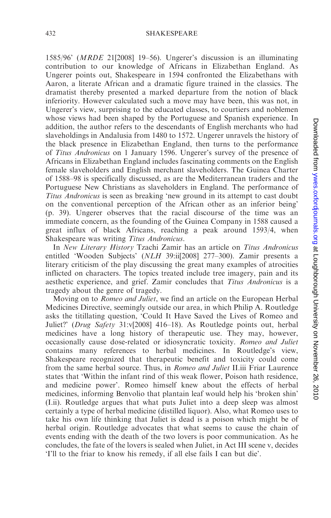1585/96' (MRDE 21[2008] 19–56). Ungerer's discussion is an illuminating contribution to our knowledge of Africans in Elizabethan England. As Ungerer points out, Shakespeare in 1594 confronted the Elizabethans with Aaron, a literate African and a dramatic figure trained in the classics. The dramatist thereby presented a marked departure from the notion of black inferiority. However calculated such a move may have been, this was not, in Ungerer's view, surprising to the educated classes, to courtiers and noblemen whose views had been shaped by the Portuguese and Spanish experience. In addition, the author refers to the descendants of English merchants who had slaveholdings in Andalusia from 1480 to 1572. Ungerer unravels the history of the black presence in Elizabethan England, then turns to the performance of Titus Andronicus on 1 January 1596. Ungerer's survey of the presence of Africans in Elizabethan England includes fascinating comments on the English female slaveholders and English merchant slaveholders. The Guinea Charter of 1588–98 is specifically discussed, as are the Mediterranean traders and the Portuguese New Christians as slaveholders in England. The performance of Titus Andronicus is seen as breaking 'new ground in its attempt to cast doubt on the conventional perception of the African other as an inferior being' (p. 39). Ungerer observes that the racial discourse of the time was an immediate concern, as the founding of the Guinea Company in 1588 caused a great influx of black Africans, reaching a peak around 1593/4, when Shakespeare was writing Titus Andronicus.

In New Literary History Tzachi Zamir has an article on Titus Andronicus entitled 'Wooden Subjects' (NLH 39:ii[2008] 277–300). Zamir presents a literary criticism of the play discussing the great many examples of atrocities inflicted on characters. The topics treated include tree imagery, pain and its aesthetic experience, and grief. Zamir concludes that Titus Andronicus is a tragedy about the genre of tragedy.

Moving on to Romeo and Juliet, we find an article on the European Herbal Medicines Directive, seemingly outside our area, in which Philip A. Routledge asks the titillating question, 'Could It Have Saved the Lives of Romeo and Juliet?' (Drug Safety 31:v[2008] 416–18). As Routledge points out, herbal medicines have a long history of therapeutic use. They may, however, occasionally cause dose-related or idiosyncratic toxicity. Romeo and Juliet contains many references to herbal medicines. In Routledge's view, Shakespeare recognized that therapeutic benefit and toxicity could come from the same herbal source. Thus, in Romeo and Juliet II.iii Friar Laurence states that 'Within the infant rind of this weak flower, Poison hath residence, and medicine power'. Romeo himself knew about the effects of herbal medicines, informing Benvolio that plantain leaf would help his 'broken shin' (I.ii). Routledge argues that what puts Juliet into a deep sleep was almost certainly a type of herbal medicine (distilled liquor). Also, what Romeo uses to take his own life thinking that Juliet is dead is a poison which might be of herbal origin. Routledge advocates that what seems to cause the chain of events ending with the death of the two lovers is poor communication. As he concludes, the fate of the lovers is sealed when Juliet, in Act III scene v, decides 'I'll to the friar to know his remedy, if all else fails I can but die'.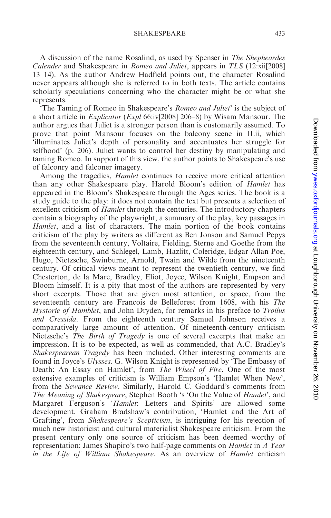A discussion of the name Rosalind, as used by Spenser in The Shepheardes Calender and Shakespeare in Romeo and Juliet, appears in TLS (12:xii[2008] 13–14). As the author Andrew Hadfield points out, the character Rosalind never appears although she is referred to in both texts. The article contains scholarly speculations concerning who the character might be or what she represents.

The Taming of Romeo in Shakespeare's Romeo and Juliet' is the subject of a short article in Explicator (Expl 66:iv[2008] 206–8) by Wisam Mansour. The author argues that Juliet is a stronger person than is customarily assumed. To prove that point Mansour focuses on the balcony scene in II.ii, which 'illuminates Juliet's depth of personality and accentuates her struggle for selfhood' (p. 206). Juliet wants to control her destiny by manipulating and taming Romeo. In support of this view, the author points to Shakespeare's use of falconry and falconer imagery.

Among the tragedies, *Hamlet* continues to receive more critical attention than any other Shakespeare play. Harold Bloom's edition of Hamlet has appeared in the Bloom's Shakespeare through the Ages series. The book is a study guide to the play: it does not contain the text but presents a selection of excellent criticism of *Hamlet* through the centuries. The introductory chapters contain a biography of the playwright, a summary of the play, key passages in Hamlet, and a list of characters. The main portion of the book contains criticism of the play by writers as different as Ben Jonson and Samuel Pepys from the seventeenth century, Voltaire, Fielding, Sterne and Goethe from the eighteenth century, and Schlegel, Lamb, Hazlitt, Coleridge, Edgar Allan Poe, Hugo, Nietzsche, Swinburne, Arnold, Twain and Wilde from the nineteenth century. Of critical views meant to represent the twentieth century, we find Chesterton, de la Mare, Bradley, Eliot, Joyce, Wilson Knight, Empson and Bloom himself. It is a pity that most of the authors are represented by very short excerpts. Those that are given most attention, or space, from the seventeenth century are Francois de Belleforest from 1608, with his The Hystorie of Hamblet, and John Dryden, for remarks in his preface to Troilus and Cressida. From the eighteenth century Samuel Johnson receives a comparatively large amount of attention. Of nineteenth-century criticism Nietzsche's The Birth of Tragedy is one of several excerpts that make an impression. It is to be expected, as well as commended, that A.C. Bradley's Shakespearean Tragedy has been included. Other interesting comments are found in Joyce's Ulysses. G. Wilson Knight is represented by 'The Embassy of Death: An Essay on Hamlet', from The Wheel of Fire. One of the most extensive examples of criticism is William Empson's 'Hamlet When New', from the Sewanee Review. Similarly, Harold C. Goddard's comments from The Meaning of Shakespeare, Stephen Booth 's 'On the Value of Hamlet', and Margaret Ferguson's 'Hamlet: Letters and Spirits' are allowed some development. Graham Bradshaw's contribution, 'Hamlet and the Art of Grafting', from Shakespeare's Scepticism, is intriguing for his rejection of much new historicist and cultural materialist Shakespeare criticism. From the present century only one source of criticism has been deemed worthy of representation: James Shapiro's two half-page comments on Hamlet in A Year in the Life of William Shakespeare. As an overview of Hamlet criticism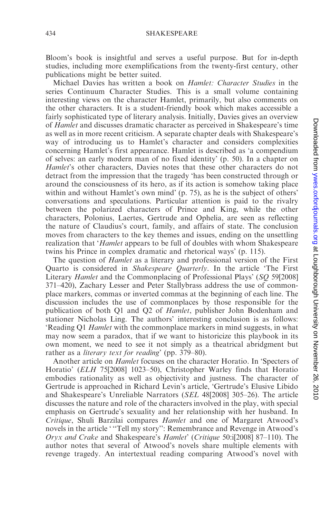Bloom's book is insightful and serves a useful purpose. But for in-depth studies, including more exemplifications from the twenty-first century, other publications might be better suited.

Michael Davies has written a book on Hamlet: Character Studies in the series Continuum Character Studies. This is a small volume containing interesting views on the character Hamlet, primarily, but also comments on the other characters. It is a student-friendly book which makes accessible a fairly sophisticated type of literary analysis. Initially, Davies gives an overview of Hamlet and discusses dramatic character as perceived in Shakespeare's time as well as in more recent criticism. A separate chapter deals with Shakespeare's way of introducing us to Hamlet's character and considers complexities concerning Hamlet's first appearance. Hamlet is described as 'a compendium of selves: an early modern man of no fixed identity' (p. 50). In a chapter on Hamlet's other characters. Davies notes that these other characters do not detract from the impression that the tragedy 'has been constructed through or around the consciousness of its hero, as if its action is somehow taking place within and without Hamlet's own mind' (p. 75), as he is the subject of others' conversations and speculations. Particular attention is paid to the rivalry between the polarized characters of Prince and King, while the other characters, Polonius, Laertes, Gertrude and Ophelia, are seen as reflecting the nature of Claudius's court, family, and affairs of state. The conclusion moves from characters to the key themes and issues, ending on the unsettling realization that 'Hamlet appears to be full of doubles with whom Shakespeare twins his Prince in complex dramatic and rhetorical ways' (p. 115).

The question of *Hamlet* as a literary and professional version of the First Quarto is considered in Shakespeare Quarterly. In the article 'The First Literary *Hamlet* and the Commonplacing of Professional Plays' (SQ 59[2008] 371–420), Zachary Lesser and Peter Stallybrass address the use of commonplace markers, commas or inverted commas at the beginning of each line. The discussion includes the use of commonplaces by those responsible for the publication of both Q1 and Q2 of Hamlet, publisher John Bodenham and stationer Nicholas Ling. The authors' interesting conclusion is as follows: 'Reading Q1 Hamlet with the commonplace markers in mind suggests, in what may now seem a paradox, that if we want to historicize this playbook in its own moment, we need to see it not simply as a theatrical abridgment but rather as a literary text for reading' (pp. 379–80).

Another article on Hamlet focuses on the character Horatio. In 'Specters of Horatio' (ELH 75[2008] 1023–50), Christopher Warley finds that Horatio embodies rationality as well as objectivity and justness. The character of Gertrude is approached in Richard Levin's article, 'Gertrude's Elusive Libido and Shakespeare's Unreliable Narrators (SEL 48[2008] 305–26). The article discusses the nature and role of the characters involved in the play, with special emphasis on Gertrude's sexuality and her relationship with her husband. In Critique, Shuli Barzilai compares Hamlet and one of Margaret Atwood's novels in the article '"Tell my story": Remembrance and Revenge in Atwood's Oryx and Crake and Shakespeare's Hamlet' (Critique 50:i[2008] 87–110). The author notes that several of Atwood's novels share multiple elements with revenge tragedy. An intertextual reading comparing Atwood's novel with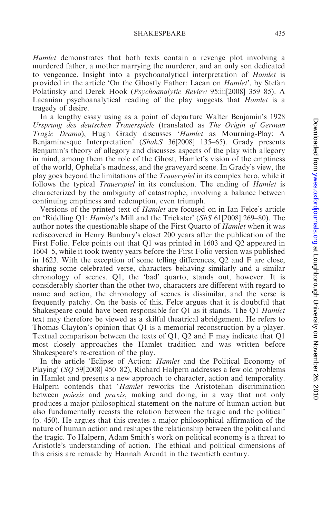Hamlet demonstrates that both texts contain a revenge plot involving a murdered father, a mother marrying the murderer, and an only son dedicated to vengeance. Insight into a psychoanalytical interpretation of Hamlet is provided in the article 'On the Ghostly Father: Lacan on Hamlet', by Stefan Polatinsky and Derek Hook (Psychoanalytic Review 95:iii[2008] 359–85). A Lacanian psychoanalytical reading of the play suggests that Hamlet is a tragedy of desire.

In a lengthy essay using as a point of departure Walter Benjamin's 1928 Ursprung des deutschen Trauerspiele (translated as The Origin of German Tragic Drama), Hugh Grady discusses 'Hamlet as Mourning-Play: A Benjaminesque Interpretation' (ShakS 36[2008] 135–65). Grady presents Benjamin's theory of allegory and discusses aspects of the play with allegory in mind, among them the role of the Ghost, Hamlet's vision of the emptiness of the world, Ophelia's madness, and the graveyard scene. In Grady's view, the play goes beyond the limitations of the Trauerspiel in its complex hero, while it follows the typical *Trauerspiel* in its conclusion. The ending of *Hamlet* is characterized by the ambiguity of catastrophe, involving a balance between continuing emptiness and redemption, even triumph.

Versions of the printed text of Hamlet are focused on in Ian Felce's article on 'Riddling Q1: Hamlet's Mill and the Trickster' (ShS 61[2008] 269–80). The author notes the questionable shape of the First Quarto of Hamlet when it was rediscovered in Henry Bunbury's closet 200 years after the publication of the First Folio. Felce points out that Q1 was printed in 1603 and Q2 appeared in 1604–5, while it took twenty years before the First Folio version was published in 1623. With the exception of some telling differences, Q2 and F are close, sharing some celebrated verse, characters behaving similarly and a similar chronology of scenes. Q1, the 'bad' quarto, stands out, however. It is considerably shorter than the other two, characters are different with regard to name and action, the chronology of scenes is dissimilar, and the verse is frequently patchy. On the basis of this, Felce argues that it is doubtful that Shakespeare could have been responsible for Q1 as it stands. The Q1 Hamlet text may therefore be viewed as a skilful theatrical abridgement. He refers to Thomas Clayton's opinion that Q1 is a memorial reconstruction by a player. Textual comparison between the texts of Q1, Q2 and F may indicate that Q1 most closely approaches the Hamlet tradition and was written before Shakespeare's re-creation of the play.

In the article 'Eclipse of Action: Hamlet and the Political Economy of Playing' (SQ 59[2008] 450–82), Richard Halpern addresses a few old problems in Hamlet and presents a new approach to character, action and temporality. Halpern contends that 'Hamlet reworks the Aristotelian discrimination between poiesis and praxis, making and doing, in a way that not only produces a major philosophical statement on the nature of human action but also fundamentally recasts the relation between the tragic and the political' (p. 450). He argues that this creates a major philosophical affirmation of the nature of human action and reshapes the relationship between the political and the tragic. To Halpern, Adam Smith's work on political economy is a threat to Aristotle's understanding of action. The ethical and political dimensions of this crisis are remade by Hannah Arendt in the twentieth century.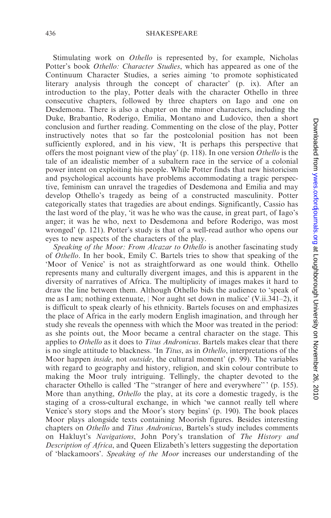Stimulating work on *Othello* is represented by, for example, Nicholas Potter's book Othello: Character Studies, which has appeared as one of the Continuum Character Studies, a series aiming 'to promote sophisticated literary analysis through the concept of character' (p. ix). After an introduction to the play, Potter deals with the character Othello in three consecutive chapters, followed by three chapters on Iago and one on Desdemona. There is also a chapter on the minor characters, including the Duke, Brabantio, Roderigo, Emilia, Montano and Ludovico, then a short conclusion and further reading. Commenting on the close of the play, Potter instructively notes that so far the postcolonial position has not been sufficiently explored, and in his view, 'It is perhaps this perspective that offers the most poignant view of the play' (p. 118). In one version Othello is the tale of an idealistic member of a subaltern race in the service of a colonial power intent on exploiting his people. While Potter finds that new historicism and psychological accounts have problems accommodating a tragic perspective, feminism can unravel the tragedies of Desdemona and Emilia and may develop Othello's tragedy as being of a constructed masculinity. Potter categorically states that tragedies are about endings. Significantly, Cassio has the last word of the play, 'it was he who was the cause, in great part, of Iago's anger; it was he who, next to Desdemona and before Roderigo, was most wronged' (p. 121). Potter's study is that of a well-read author who opens our eyes to new aspects of the characters of the play.

Speaking of the Moor: From Alcazar to Othello is another fascinating study of Othello. In her book, Emily C. Bartels tries to show that speaking of the 'Moor of Venice' is not as straightforward as one would think. Othello represents many and culturally divergent images, and this is apparent in the diversity of narratives of Africa. The multiplicity of images makes it hard to draw the line between them. Although Othello bids the audience to 'speak of me as I am; nothing extenuate, | Nor aught set down in malice' (V.ii.341–2), it is difficult to speak clearly of his ethnicity. Bartels focuses on and emphasizes the place of Africa in the early modern English imagination, and through her study she reveals the openness with which the Moor was treated in the period: as she points out, the Moor became a central character on the stage. This applies to Othello as it does to Titus Andronicus. Bartels makes clear that there is no single attitude to blackness. 'In Titus, as in Othello, interpretations of the Moor happen inside, not outside, the cultural moment' (p. 99). The variables with regard to geography and history, religion, and skin colour contribute to making the Moor truly intriguing. Tellingly, the chapter devoted to the character Othello is called 'The ''stranger of here and everywhere'' ' (p. 155). More than anything, Othello the play, at its core a domestic tragedy, is the staging of a cross-cultural exchange, in which 'we cannot really tell where Venice's story stops and the Moor's story begins' (p. 190). The book places Moor plays alongside texts containing Moorish figures. Besides interesting chapters on Othello and Titus Andronicus, Bartels's study includes comments on Hakluyt's Navigations, John Pory's translation of The History and Description of Africa, and Queen Elizabeth's letters suggesting the deportation of 'blackamoors'. Speaking of the Moor increases our understanding of the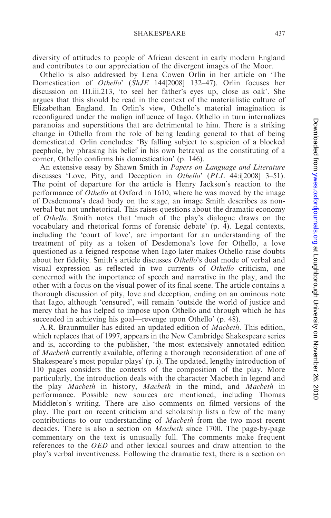diversity of attitudes to people of African descent in early modern England and contributes to our appreciation of the divergent images of the Moor.

Othello is also addressed by Lena Cowen Orlin in her article on 'The Domestication of Othello' (ShJE 144[2008] 132–47). Orlin focuses her discussion on III.iii.213, 'to seel her father's eyes up, close as oak'. She argues that this should be read in the context of the materialistic culture of Elizabethan England. In Orlin's view, Othello's material imagination is reconfigured under the malign influence of Iago. Othello in turn internalizes paranoias and superstitions that are detrimental to him. There is a striking change in Othello from the role of being leading general to that of being domesticated. Orlin concludes: 'By falling subject to suspicion of a blocked peephole, by phrasing his belief in his own betrayal as the constituting of a corner, Othello confirms his domestication' (p. 146).

An extensive essay by Shawn Smith in Papers on Language and Literature discusses 'Love, Pity, and Deception in Othello' (PLL 44:i[2008] 3–51). The point of departure for the article is Henry Jackson's reaction to the performance of Othello at Oxford in 1610, where he was moved by the image of Desdemona's dead body on the stage, an image Smith describes as nonverbal but not unrhetorical. This raises questions about the dramatic economy of Othello. Smith notes that 'much of the play's dialogue draws on the vocabulary and rhetorical forms of forensic debate' (p. 4). Legal contexts, including the 'court of love', are important for an understanding of the treatment of pity as a token of Desdemona's love for Othello, a love questioned as a feigned response when Iago later makes Othello raise doubts about her fidelity. Smith's article discusses Othello's dual mode of verbal and visual expression as reflected in two currents of Othello criticism, one concerned with the importance of speech and narrative in the play, and the other with a focus on the visual power of its final scene. The article contains a thorough discussion of pity, love and deception, ending on an ominous note that Iago, although 'censured', will remain 'outside the world of justice and mercy that he has helped to impose upon Othello and through which he has succeeded in achieving his goal—revenge upon Othello' (p. 48).

A.R. Braunmuller has edited an updated edition of Macbeth. This edition, which replaces that of 1997, appears in the New Cambridge Shakespeare series and is, according to the publisher, 'the most extensively annotated edition of Macbeth currently available, offering a thorough reconsideration of one of Shakespeare's most popular plays' (p. i). The updated, lengthy introduction of 110 pages considers the contexts of the composition of the play. More particularly, the introduction deals with the character Macbeth in legend and the play Macbeth in history, Macbeth in the mind, and Macbeth in performance. Possible new sources are mentioned, including Thomas Middleton's writing. There are also comments on filmed versions of the play. The part on recent criticism and scholarship lists a few of the many contributions to our understanding of Macbeth from the two most recent decades. There is also a section on Macbeth since 1700. The page-by-page commentary on the text is unusually full. The comments make frequent references to the OED and other lexical sources and draw attention to the play's verbal inventiveness. Following the dramatic text, there is a section on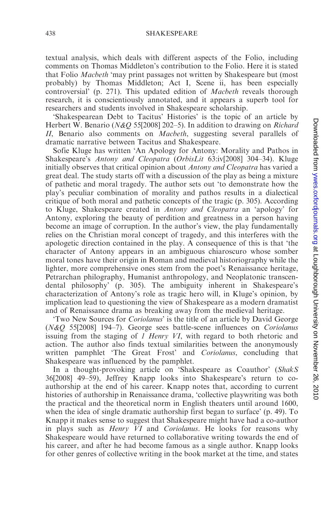textual analysis, which deals with different aspects of the Folio, including comments on Thomas Middleton's contribution to the Folio. Here it is stated that Folio Macbeth 'may print passages not written by Shakespeare but (most probably) by Thomas Middleton; Act I, Scene ii, has been especially controversial' (p. 271). This updated edition of Macbeth reveals thorough research, it is conscientiously annotated, and it appears a superb tool for researchers and students involved in Shakespeare scholarship.

'Shakespearean Debt to Tacitus' Histories' is the topic of an article by Herbert W. Benario (N&O 55[2008] 202–5). In addition to drawing on Richard II, Benario also comments on Macbeth, suggesting several parallels of dramatic narrative between Tacitus and Shakespeare.

Sofie Kluge has written 'An Apology for Antony: Morality and Pathos in Shakespeare's Antony and Cleopatra (OrbisLit 63:iv[2008] 304–34). Kluge initially observes that critical opinion about Antony and Cleopatra has varied a great deal. The study starts off with a discussion of the play as being a mixture of pathetic and moral tragedy. The author sets out 'to demonstrate how the play's peculiar combination of morality and pathos results in a dialectical critique of both moral and pathetic concepts of the tragic (p. 305). According to Kluge, Shakespeare created in Antony and Cleopatra an 'apology' for Antony, exploring the beauty of perdition and greatness in a person having become an image of corruption. In the author's view, the play fundamentally relies on the Christian moral concept of tragedy, and this interferes with the apologetic direction contained in the play. A consequence of this is that 'the character of Antony appears in an ambiguous chiaroscuro whose somber moral tones have their origin in Roman and medieval historiography while the lighter, more comprehensive ones stem from the poet's Renaissance heritage, Petrarchan philography, Humanist anthropology, and Neoplatonic transcendental philosophy' (p. 305). The ambiguity inherent in Shakespeare's characterization of Antony's role as tragic hero will, in Kluge's opinion, by implication lead to questioning the view of Shakespeare as a modern dramatist and of Renaissance drama as breaking away from the medieval heritage.

'Two New Sources for Coriolanus' is the title of an article by David George (N&Q 55[2008] 194–7). George sees battle-scene influences on Coriolanus issuing from the staging of 1 Henry VI, with regard to both rhetoric and action. The author also finds textual similarities between the anonymously written pamphlet 'The Great Frost' and *Coriolanus*, concluding that Shakespeare was influenced by the pamphlet.

In a thought-provoking article on 'Shakespeare as Coauthor' (ShakS 36[2008] 49–59), Jeffrey Knapp looks into Shakespeare's return to coauthorship at the end of his career. Knapp notes that, according to current histories of authorship in Renaissance drama, 'collective playwriting was both the practical and the theoretical norm in English theaters until around 1600, when the idea of single dramatic authorship first began to surface' (p. 49). To Knapp it makes sense to suggest that Shakespeare might have had a co-author in plays such as Henry VI and Coriolanus. He looks for reasons why Shakespeare would have returned to collaborative writing towards the end of his career, and after he had become famous as a single author. Knapp looks for other genres of collective writing in the book market at the time, and states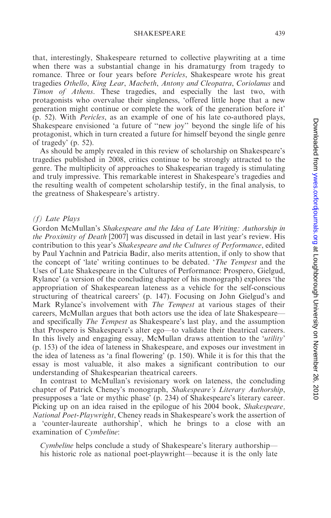that, interestingly, Shakespeare returned to collective playwriting at a time when there was a substantial change in his dramaturgy from tragedy to romance. Three or four years before *Pericles*, Shakespeare wrote his great tragedies Othello, King Lear, Macbeth, Antony and Cleopatra, Coriolanus and Timon of Athens. These tragedies, and especially the last two, with protagonists who overvalue their singleness, 'offered little hope that a new generation might continue or complete the work of the generation before it'  $(p, 52)$ . With *Pericles*, as an example of one of his late co-authored plays, Shakespeare envisioned 'a future of ''new joy'' beyond the single life of his protagonist, which in turn created a future for himself beyond the single genre of tragedy' (p. 52).

As should be amply revealed in this review of scholarship on Shakespeare's tragedies published in 2008, critics continue to be strongly attracted to the genre. The multiplicity of approaches to Shakespearian tragedy is stimulating and truly impressive. This remarkable interest in Shakespeare's tragedies and the resulting wealth of competent scholarship testify, in the final analysis, to the greatness of Shakespeare's artistry.

# (f) Late Plays

Gordon McMullan's Shakespeare and the Idea of Late Writing: Authorship in the Proximity of Death [2007] was discussed in detail in last year's review. His contribution to this year's Shakespeare and the Cultures of Performance, edited by Paul Yachnin and Patricia Badir, also merits attention, if only to show that the concept of 'late' writing continues to be debated. 'The Tempest and the Uses of Late Shakespeare in the Cultures of Performance: Prospero, Gielgud, Rylance' (a version of the concluding chapter of his monograph) explores 'the appropriation of Shakespearean lateness as a vehicle for the self-conscious structuring of theatrical careers' (p. 147). Focusing on John Gielgud's and Mark Rylance's involvement with The Tempest at various stages of their careers, McMullan argues that both actors use the idea of late Shakespeare and specifically The Tempest as Shakespeare's last play, and the assumption that Prospero is Shakespeare's alter ego—to validate their theatrical careers. In this lively and engaging essay, McMullan draws attention to the 'utility' (p. 153) of the idea of lateness in Shakespeare, and exposes our investment in the idea of lateness as 'a final flowering' (p. 150). While it is for this that the essay is most valuable, it also makes a significant contribution to our understanding of Shakespearian theatrical careers.

In contrast to McMullan's revisionary work on lateness, the concluding chapter of Patrick Cheney's monograph, Shakespeare's Literary Authorship, presupposes a 'late or mythic phase' (p. 234) of Shakespeare's literary career. Picking up on an idea raised in the epilogue of his 2004 book, Shakespeare, National Poet-Playwright, Cheney reads in Shakespeare's work the assertion of a 'counter-laureate authorship', which he brings to a close with an examination of Cymbeline:

Cymbeline helps conclude a study of Shakespeare's literary authorship his historic role as national poet-playwright—because it is the only late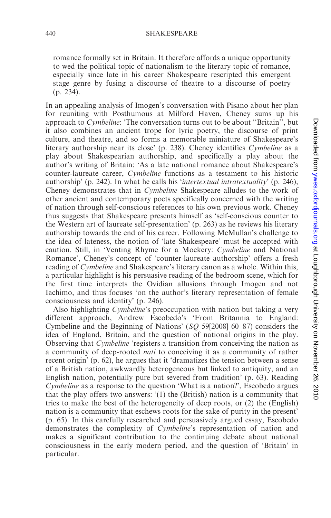romance formally set in Britain. It therefore affords a unique opportunity to wed the political topic of nationalism to the literary topic of romance, especially since late in his career Shakespeare rescripted this emergent stage genre by fusing a discourse of theatre to a discourse of poetry (p. 234).

In an appealing analysis of Imogen's conversation with Pisano about her plan for reuniting with Posthumous at Milford Haven, Cheney sums up his approach to Cymbeline: 'The conversation turns out to be about ''Britain'', but it also combines an ancient trope for lyric poetry, the discourse of print culture, and theatre, and so forms a memorable miniature of Shakespeare's literary authorship near its close' (p. 238). Cheney identifies Cymbeline as a play about Shakespearian authorship, and specifically a play about the author's writing of Britain: 'As a late national romance about Shakespeare's counter-laureate career, Cymbeline functions as a testament to his historic authorship' (p. 242). In what he calls his 'intertextual intratextuality' (p. 246), Cheney demonstrates that in Cymbeline Shakespeare alludes to the work of other ancient and contemporary poets specifically concerned with the writing of nation through self-conscious references to his own previous work. Cheney thus suggests that Shakespeare presents himself as 'self-conscious counter to the Western art of laureate self-presentation' (p. 263) as he reviews his literary authorship towards the end of his career. Following McMullan's challenge to the idea of lateness, the notion of 'late Shakespeare' must be accepted with caution. Still, in 'Venting Rhyme for a Mockery: Cymbeline and National Romance', Cheney's concept of 'counter-laureate authorship' offers a fresh reading of Cymbeline and Shakespeare's literary canon as a whole. Within this, a particular highlight is his persuasive reading of the bedroom scene, which for the first time interprets the Ovidian allusions through Imogen and not Iachimo, and thus focuses 'on the author's literary representation of female consciousness and identity' (p. 246).

Also highlighting *Cymbeline's* preoccupation with nation but taking a very different approach, Andrew Escobedo's 'From Britannia to England: Cymbeline and the Beginning of Nations' (SQ 59[2008] 60–87) considers the idea of England, Britain, and the question of national origins in the play. Observing that Cymbeline 'registers a transition from conceiving the nation as a community of deep-rooted nati to conceiving it as a community of rather recent origin' (p. 62), he argues that it 'dramatizes the tension between a sense of a British nation, awkwardly heterogeneous but linked to antiquity, and an English nation, potentially pure but severed from tradition' (p. 63). Reading Cymbeline as a response to the question 'What is a nation?', Escobedo argues that the play offers two answers: '(1) the (British) nation is a community that tries to make the best of the heterogeneity of deep roots, or (2) the (English) nation is a community that eschews roots for the sake of purity in the present' (p. 65). In this carefully researched and persuasively argued essay, Escobedo demonstrates the complexity of Cymbeline's representation of nation and makes a significant contribution to the continuing debate about national consciousness in the early modern period, and the question of 'Britain' in particular.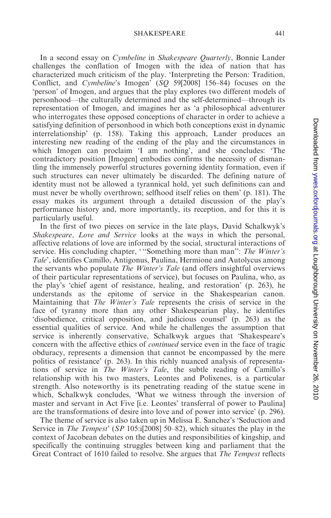In a second essay on Cymbeline in Shakespeare Quarterly, Bonnie Lander challenges the conflation of Imogen with the idea of nation that has characterized much criticism of the play. 'Interpreting the Person: Tradition, Conflict, and Cymbeline's Imogen' (SQ 59[2008] 156–84) focuses on the 'person' of Imogen, and argues that the play explores two different models of personhood—the culturally determined and the self-determined—through its representation of Imogen, and imagines her as 'a philosophical adventurer who interrogates these opposed conceptions of character in order to achieve a satisfying definition of personhood in which both conceptions exist in dynamic interrelationship' (p. 158). Taking this approach, Lander produces an interesting new reading of the ending of the play and the circumstances in which Imogen can proclaim 'I am nothing', and she concludes: 'The contradictory position [Imogen] embodies confirms the necessity of dismantling the immensely powerful structures governing identity formation, even if such structures can never ultimately be discarded. The defining nature of identity must not be allowed a tyrannical hold, yet such definitions can and must never be wholly overthrown; selfhood itself relies on them' (p. 181). The essay makes its argument through a detailed discussion of the play's performance history and, more importantly, its reception, and for this it is particularly useful.

In the first of two pieces on service in the late plays, David Schalkwyk's Shakespeare, Love and Service looks at the ways in which the personal, affective relations of love are informed by the social, structural interactions of service. His concluding chapter, "Something more than man": The Winter's Tale', identifies Camillo, Antigonus, Paulina, Hermione and Autolycus among the servants who populate The Winter's Tale (and offers insightful overviews of their particular representations of service), but focuses on Paulina, who, as the play's 'chief agent of resistance, healing, and restoration' (p. 263), he understands as the epitome of service in the Shakespearian canon. Maintaining that The Winter's Tale represents the crisis of service in the face of tyranny more than any other Shakespearian play, he identifies 'disobedience, critical opposition, and judicious counsel' (p. 263) as the essential qualities of service. And while he challenges the assumption that service is inherently conservative, Schalkwyk argues that 'Shakespeare's concern with the affective ethics of continued service even in the face of tragic obduracy, represents a dimension that cannot be encompassed by the mere politics of resistance' (p. 263). In this richly nuanced analysis of representations of service in The Winter's Tale, the subtle reading of Camillo's relationship with his two masters, Leontes and Polixenes, is a particular strength. Also noteworthy is its penetrating reading of the statue scene in which, Schalkwyk concludes, 'What we witness through the inversion of master and servant in Act Five [i.e. Leontes' transferral of power to Paulina] are the transformations of desire into love and of power into service' (p. 296).

The theme of service is also taken up in Melissa E. Sanchez's 'Seduction and Service in The Tempest' (SP 105:i[2008] 50–82), which situates the play in the context of Jacobean debates on the duties and responsibilities of kingship, and specifically the continuing struggles between king and parliament that the Great Contract of 1610 failed to resolve. She argues that The Tempest reflects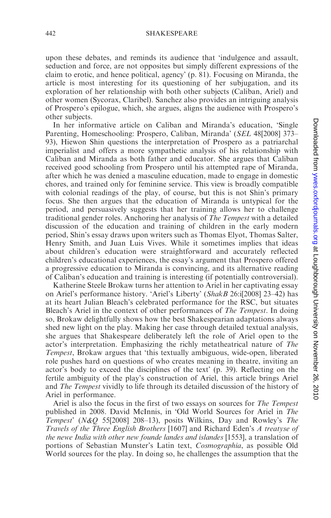upon these debates, and reminds its audience that 'indulgence and assault, seduction and force, are not opposites but simply different expressions of the claim to erotic, and hence political, agency' (p. 81). Focusing on Miranda, the article is most interesting for its questioning of her subjugation, and its exploration of her relationship with both other subjects (Caliban, Ariel) and other women (Sycorax, Claribel). Sanchez also provides an intriguing analysis of Prospero's epilogue, which, she argues, aligns the audience with Prospero's other subjects.

In her informative article on Caliban and Miranda's education, 'Single Parenting, Homeschooling: Prospero, Caliban, Miranda' (SEL 48[2008] 373– 93), Hiewon Shin questions the interpretation of Prospero as a patriarchal imperialist and offers a more sympathetic analysis of his relationship with Caliban and Miranda as both father and educator. She argues that Caliban received good schooling from Prospero until his attempted rape of Miranda, after which he was denied a masculine education, made to engage in domestic chores, and trained only for feminine service. This view is broadly compatible with colonial readings of the play, of course, but this is not Shin's primary focus. She then argues that the education of Miranda is untypical for the period, and persuasively suggests that her training allows her to challenge traditional gender roles. Anchoring her analysis of The Tempest with a detailed discussion of the education and training of children in the early modern period, Shin's essay draws upon writers such as Thomas Elyot, Thomas Salter, Henry Smith, and Juan Luis Vives. While it sometimes implies that ideas about children's education were straightforward and accurately reflected children's educational experiences, the essay's argument that Prospero offered a progressive education to Miranda is convincing, and its alternative reading of Caliban's education and training is interesting (if potentially controversial).

Katherine Steele Brokaw turns her attention to Ariel in her captivating essay on Ariel's performance history. 'Ariel's Liberty' (ShakB 26:i[2008] 23–42) has at its heart Julian Bleach's celebrated performance for the RSC, but situates Bleach's Ariel in the context of other performances of The Tempest. In doing so, Brokaw delightfully shows how the best Shakespearian adaptations always shed new light on the play. Making her case through detailed textual analysis, she argues that Shakespeare deliberately left the role of Ariel open to the actor's interpretation. Emphasizing the richly metatheatrical nature of The Tempest, Brokaw argues that 'this textually ambiguous, wide-open, liberated role pushes hard on questions of who creates meaning in theatre, inviting an actor's body to exceed the disciplines of the text' (p. 39). Reflecting on the fertile ambiguity of the play's construction of Ariel, this article brings Ariel and The Tempest vividly to life through its detailed discussion of the history of Ariel in performance.

Ariel is also the focus in the first of two essays on sources for The Tempest published in 2008. David McInnis, in 'Old World Sources for Ariel in The Tempest' (N&Q 55[2008] 208-13), posits Wilkins, Day and Rowley's The Travels of the Three English Brothers [1607] and Richard Eden's A treatyse of the newe India with other new founde landes and islandes [1553], a translation of portions of Sebastian Munster's Latin text, Cosmographia, as possible Old World sources for the play. In doing so, he challenges the assumption that the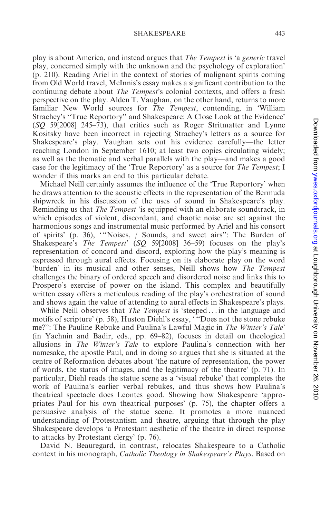play is about America, and instead argues that The Tempest is 'a generic travel play, concerned simply with the unknown and the psychology of exploration' (p. 210). Reading Ariel in the context of stories of malignant spirits coming from Old World travel, McInnis's essay makes a significant contribution to the continuing debate about The Tempest's colonial contexts, and offers a fresh perspective on the play. Alden T. Vaughan, on the other hand, returns to more familiar New World sources for The Tempest, contending, in 'William Strachey's ''True Reportory'' and Shakespeare: A Close Look at the Evidence' (SQ 59[2008] 245–73), that critics such as Roger Stritmatter and Lynne Kositsky have been incorrect in rejecting Strachey's letters as a source for Shakespeare's play. Vaughan sets out his evidence carefully—the letter reaching London in September 1610; at least two copies circulating widely; as well as the thematic and verbal parallels with the play—and makes a good case for the legitimacy of the 'True Reportory' as a source for The Tempest; I wonder if this marks an end to this particular debate.

Michael Neill certainly assumes the influence of the 'True Reportory' when he draws attention to the acoustic effects in the representation of the Bermuda shipwreck in his discussion of the uses of sound in Shakespeare's play. Reminding us that *The Tempest* 'is equipped with an elaborate soundtrack, in which episodes of violent, discordant, and chaotic noise are set against the harmonious songs and instrumental music performed by Ariel and his consort of spirits' (p. 36), ' ''Noises, / Sounds, and sweet airs'': The Burden of Shakespeare's The Tempest' (SQ 59[2008] 36–59) focuses on the play's representation of concord and discord, exploring how the play's meaning is expressed through aural effects. Focusing on its elaborate play on the word 'burden' in its musical and other senses, Neill shows how The Tempest challenges the binary of ordered speech and disordered noise and links this to Prospero's exercise of power on the island. This complex and beautifully written essay offers a meticulous reading of the play's orchestration of sound and shows again the value of attending to aural effects in Shakespeare's plays.

While Neill observes that *The Tempest* is 'steeped... in the language and motifs of scripture' (p. 58), Huston Diehl's essay, ' ''Does not the stone rebuke me?'': The Pauline Rebuke and Paulina's Lawful Magic in The Winter's Tale' (in Yachnin and Badir, eds., pp. 69–82), focuses in detail on theological allusions in The Winter's Tale to explore Paulina's connection with her namesake, the apostle Paul, and in doing so argues that she is situated at the centre of Reformation debates about 'the nature of representation, the power of words, the status of images, and the legitimacy of the theatre' (p. 71). In particular, Diehl reads the statue scene as a 'visual rebuke' that completes the work of Paulina's earlier verbal rebukes, and thus shows how Paulina's theatrical spectacle does Leontes good. Showing how Shakespeare 'appropriates Paul for his own theatrical purposes' (p. 75), the chapter offers a persuasive analysis of the statue scene. It promotes a more nuanced understanding of Protestantism and theatre, arguing that through the play Shakespeare develops 'a Protestant aesthetic of the theatre in direct response to attacks by Protestant clergy' (p. 76).

David N. Beauregard, in contrast, relocates Shakespeare to a Catholic context in his monograph, *Catholic Theology in Shakespeare's Plays*. Based on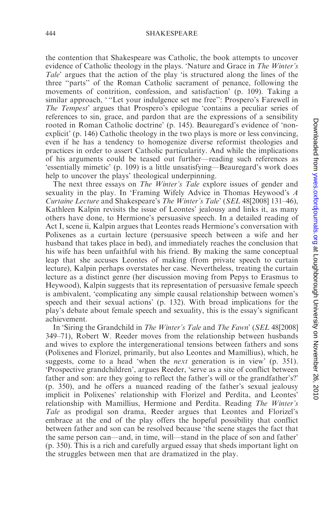the contention that Shakespeare was Catholic, the book attempts to uncover evidence of Catholic theology in the plays. 'Nature and Grace in The Winter's Tale' argues that the action of the play 'is structured along the lines of the three ''parts'' of the Roman Catholic sacrament of penance, following the movements of contrition, confession, and satisfaction' (p. 109). Taking a similar approach, "Let your indulgence set me free": Prospero's Farewell in The Tempest' argues that Prospero's epilogue 'contains a peculiar series of references to sin, grace, and pardon that are the expressions of a sensibility rooted in Roman Catholic doctrine' (p. 145). Beauregard's evidence of 'nonexplicit' (p. 146) Catholic theology in the two plays is more or less convincing, even if he has a tendency to homogenize diverse reformist theologies and practices in order to assert Catholic particularity. And while the implications of his arguments could be teased out further—reading such references as 'essentially mimetic' (p. 109) is a little unsatisfying—Beauregard's work does help to uncover the plays' theological underpinning.

The next three essays on *The Winter's Tale* explore issues of gender and sexuality in the play. In 'Framing Wifely Advice in Thomas Heywood's A Curtaine Lecture and Shakespeare's The Winter's Tale' (SEL 48[2008] 131–46), Kathleen Kalpin revisits the issue of Leontes' jealousy and links it, as many others have done, to Hermione's persuasive speech. In a detailed reading of Act I, scene ii, Kalpin argues that Leontes reads Hermione's conversation with Polixenes as a curtain lecture (persuasive speech between a wife and her husband that takes place in bed), and immediately reaches the conclusion that his wife has been unfaithful with his friend. By making the same conceptual leap that she accuses Leontes of making (from private speech to curtain lecture), Kalpin perhaps overstates her case. Nevertheless, treating the curtain lecture as a distinct genre (her discussion moving from Pepys to Erasmus to Heywood), Kalpin suggests that its representation of persuasive female speech is ambivalent, 'complicating any simple causal relationship between women's speech and their sexual actions' (p. 132). With broad implications for the play's debate about female speech and sexuality, this is the essay's significant achievement.

In 'Siring the Grandchild in The Winter's Tale and The Fawn' (SEL 48[2008] 349–71), Robert W. Reeder moves from the relationship between husbands and wives to explore the intergenerational tensions between fathers and sons (Polixenes and Florizel, primarily, but also Leontes and Mamillius), which, he suggests, come to a head 'when the *next* generation is in view' (p. 351). 'Prospective grandchildren', argues Reeder, 'serve as a site of conflict between father and son: are they going to reflect the father's will or the grandfather's?' (p. 350), and he offers a nuanced reading of the father's sexual jealousy implicit in Polixenes' relationship with Florizel and Perdita, and Leontes' relationship with Mamillius, Hermione and Perdita. Reading The Winter's Tale as prodigal son drama, Reeder argues that Leontes and Florizel's embrace at the end of the play offers the hopeful possibility that conflict between father and son can be resolved because 'the scene stages the fact that the same person can—and, in time, will—stand in the place of son and father' (p. 350). This is a rich and carefully argued essay that sheds important light on the struggles between men that are dramatized in the play.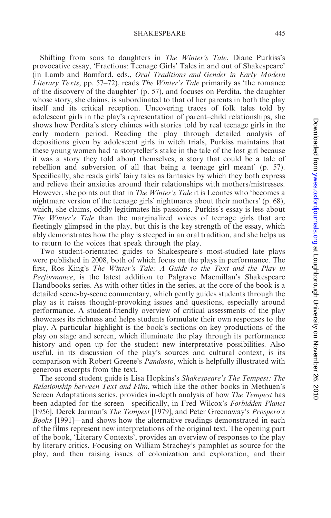Shifting from sons to daughters in The Winter's Tale, Diane Purkiss's provocative essay, 'Fractious: Teenage Girls' Tales in and out of Shakespeare' (in Lamb and Bamford, eds., Oral Traditions and Gender in Early Modern Literary Texts, pp. 57–72), reads The Winter's Tale primarily as 'the romance of the discovery of the daughter' (p. 57), and focuses on Perdita, the daughter whose story, she claims, is subordinated to that of her parents in both the play itself and its critical reception. Uncovering traces of folk tales told by adolescent girls in the play's representation of parent–child relationships, she shows how Perdita's story chimes with stories told by real teenage girls in the early modern period. Reading the play through detailed analysis of depositions given by adolescent girls in witch trials, Purkiss maintains that these young women had 'a storyteller's stake in the tale of the lost girl because it was a story they told about themselves, a story that could be a tale of rebellion and subversion of all that being a teenage girl meant' (p. 57). Specifically, she reads girls' fairy tales as fantasies by which they both express and relieve their anxieties around their relationships with mothers/mistresses. However, she points out that in *The Winter's Tale* it is Leontes who 'becomes a nightmare version of the teenage girls' nightmares about their mothers' (p. 68), which, she claims, oddly legitimates his passions. Purkiss's essay is less about The Winter's Tale than the marginalized voices of teenage girls that are fleetingly glimpsed in the play, but this is the key strength of the essay, which ably demonstrates how the play is steeped in an oral tradition, and she helps us to return to the voices that speak through the play.

Two student-orientated guides to Shakespeare's most-studied late plays were published in 2008, both of which focus on the plays in performance. The first, Ros King's The Winter's Tale: A Guide to the Text and the Play in Performance, is the latest addition to Palgrave Macmillan's Shakespeare Handbooks series. As with other titles in the series, at the core of the book is a detailed scene-by-scene commentary, which gently guides students through the play as it raises thought-provoking issues and questions, especially around performance. A student-friendly overview of critical assessments of the play showcases its richness and helps students formulate their own responses to the play. A particular highlight is the book's sections on key productions of the play on stage and screen, which illuminate the play through its performance history and open up for the student new interpretative possibilities. Also useful, in its discussion of the play's sources and cultural context, is its comparison with Robert Greene's *Pandosto*, which is helpfully illustrated with generous excerpts from the text.

The second student guide is Lisa Hopkins's Shakespeare's The Tempest: The Relationship between Text and Film, which like the other books in Methuen's Screen Adaptations series, provides in-depth analysis of how The Tempest has been adapted for the screen—specifically, in Fred Wilcox's Forbidden Planet [1956], Derek Jarman's The Tempest [1979], and Peter Greenaway's Prospero's Books [1991]—and shows how the alternative readings demonstrated in each of the films represent new interpretations of the original text. The opening part of the book, 'Literary Contexts', provides an overview of responses to the play by literary critics. Focusing on William Strachey's pamphlet as source for the play, and then raising issues of colonization and exploration, and their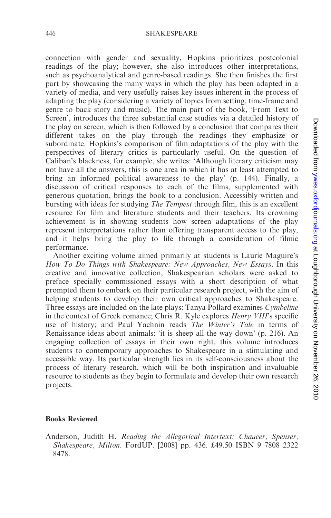connection with gender and sexuality, Hopkins prioritizes postcolonial readings of the play; however, she also introduces other interpretations, such as psychoanalytical and genre-based readings. She then finishes the first part by showcasing the many ways in which the play has been adapted in a variety of media, and very usefully raises key issues inherent in the process of adapting the play (considering a variety of topics from setting, time-frame and genre to back story and music). The main part of the book, 'From Text to Screen', introduces the three substantial case studies via a detailed history of the play on screen, which is then followed by a conclusion that compares their different takes on the play through the readings they emphasize or subordinate. Hopkins's comparison of film adaptations of the play with the perspectives of literary critics is particularly useful. On the question of Caliban's blackness, for example, she writes: 'Although literary criticism may not have all the answers, this is one area in which it has at least attempted to bring an informed political awareness to the play' (p. 144). Finally, a discussion of critical responses to each of the films, supplemented with generous quotation, brings the book to a conclusion. Accessibly written and bursting with ideas for studying The Tempest through film, this is an excellent resource for film and literature students and their teachers. Its crowning achievement is in showing students how screen adaptations of the play represent interpretations rather than offering transparent access to the play, and it helps bring the play to life through a consideration of filmic performance.

Another exciting volume aimed primarily at students is Laurie Maguire's How To Do Things with Shakespeare: New Approaches, New Essays. In this creative and innovative collection, Shakespearian scholars were asked to preface specially commissioned essays with a short description of what prompted them to embark on their particular research project, with the aim of helping students to develop their own critical approaches to Shakespeare. Three essays are included on the late plays: Tanya Pollard examines Cymbeline in the context of Greek romance; Chris R. Kyle explores *Henry VIII*'s specific use of history; and Paul Yachnin reads The Winter's Tale in terms of Renaissance ideas about animals: 'it is sheep all the way down' (p. 216). An engaging collection of essays in their own right, this volume introduces students to contemporary approaches to Shakespeare in a stimulating and accessible way. Its particular strength lies in its self-consciousness about the process of literary research, which will be both inspiration and invaluable resource to students as they begin to formulate and develop their own research projects.

# Books Reviewed

Anderson, Judith H. Reading the Allegorical Intertext: Chaucer, Spenser, Shakespeare, Milton. FordUP. [2008] pp. 436. £49.50 ISBN 9 7808 2322 8478.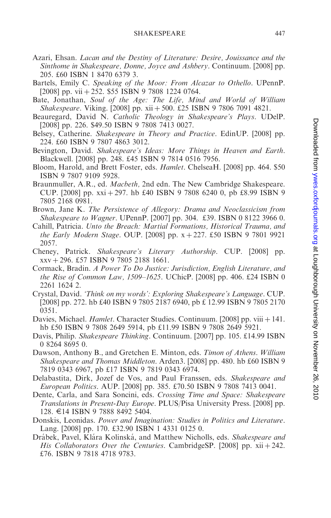- Azari, Ehsan. Lacan and the Destiny of Literature: Desire, Jouissance and the Sinthome in Shakespeare, Donne, Joyce and Ashbery. Continuum. [2008] pp. 205. £60 ISBN 1 8470 6379 3.
- Bartels, Emily C. Speaking of the Moor: From Alcazar to Othello. UPennP. [2008] pp. vii  $+252$ . \$55 ISBN 9 7808 1224 0764.
- Bate, Jonathan, Soul of the Age: The Life, Mind and World of William Shakespeare. Viking. [2008] pp.  $xii + 500$ . £25 ISBN 9 7806 7091 4821.
- Beauregard, David N. Catholic Theology in Shakespeare's Plays. UDelP. [2008] pp. 226. \$49.50 ISBN 9 7808 7413 0027.
- Belsey, Catherine. Shakespeare in Theory and Practice. EdinUP. [2008] pp. 224. £60 ISBN 9 7807 4863 3012.
- Bevington, David. Shakespeare's Ideas: More Things in Heaven and Earth. Blackwell. [2008] pp. 248. £45 ISBN 9 7814 0516 7956.
- Bloom, Harold, and Brett Foster, eds. Hamlet. ChelseaH. [2008] pp. 464. \$50 ISBN 9 7807 9109 5928.
- Braunmuller, A.R., ed. Macbeth, 2nd edn. The New Cambridge Shakespeare. CUP. [2008] pp.  $xxi + 297$ . hb £40 ISBN 9 7808 6240 0, pb £8.99 ISBN 9 7805 2168 0981.
- Brown, Jane K. The Persistence of Allegory: Drama and Neoclassicism from Shakespeare to Wagner. UPennP. [2007] pp. 304. £39. ISBN 0 8122 3966 0.
- Cahill, Patricia. Unto the Breach: Martial Formations, Historical Trauma, and the Early Modern Stage. OUP. [2008] pp.  $x + 227$ . £50 ISBN 9 7801 9921 2057.
- Cheney, Patrick. Shakespeare's Literary Authorship. CUP. [2008] pp.  $xxv + 296$ . £57 ISBN 9 7805 2188 1661.
- Cormack, Bradin. A Power To Do Justice: Jurisdiction, English Literature, and the Rise of Common Law, 1509–1625. UChicP. [2008] pp. 406. £24 ISBN 0 2261 1624 2.
- Crystal, David. 'Think on my words': Exploring Shakespeare's Language. CUP. [2008] pp. 272. hb £40 ISBN 9 7805 2187 6940, pb £ 12.99 ISBN 9 7805 2170 0351.
- Davies, Michael. Hamlet. Character Studies. Continuum. [2008] pp. viii  $+141$ . hb £50 ISBN 9 7808 2649 5914, pb £11.99 ISBN 9 7808 2649 5921.
- Davis, Philip. Shakespeare Thinking. Continuum. [2007] pp. 105. £14.99 ISBN 0 8264 8695 0.
- Dawson, Anthony B., and Gretchen E. Minton, eds. Timon of Athens. William Shakespeare and Thomas Middleton. Arden3. [2008] pp. 480. hb £60 ISBN 9 7819 0343 6967, pb £17 ISBN 9 7819 0343 6974.
- Delabastita, Dirk, Jozef de Vos, and Paul Franssen, eds. Shakespeare and European Politics. AUP. [2008] pp. 385. £70.50 ISBN 9 7808 7413 0041.
- Dente, Carla, and Sara Soncini, eds. Crossing Time and Space: Shakespeare Translations in Present-Day Europe. PLUS/Pisa University Press. [2008] pp. 128. E14 ISBN 9 7888 8492 5404.
- Donskis, Leonidas. Power and Imagination: Studies in Politics and Literature. Lang. [2008] pp. 170. £32.90 ISBN 1 4331 0125 0.
- Drábek, Pavel, Klára Kolinská, and Matthew Nicholls, eds. Shakespeare and His Collaborators Over the Centuries. Cambridge SP. [2008] pp.  $xii + 242$ . £76. ISBN 9 7818 4718 9783.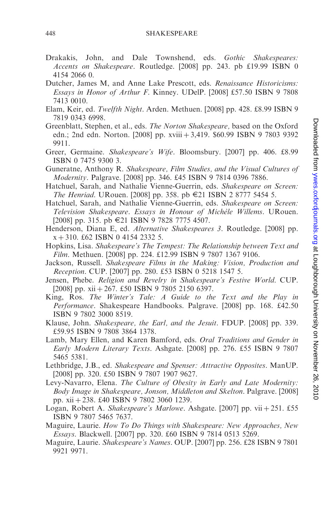- Drakakis, John, and Dale Townshend, eds. Gothic Shakespeares: Accents on Shakespeare. Routledge. [2008] pp. 243. pb £19.99 ISBN 0 4154 2066 0.
- Dutcher, James M, and Anne Lake Prescott, eds. Renaissance Historicisms: Essays in Honor of Arthur F. Kinney. UDelP. [2008] £57.50 ISBN 9 7808 7413 0010.
- Elam, Keir, ed. Twelfth Night. Arden. Methuen. [2008] pp. 428. £8.99 ISBN 9 7819 0343 6998.
- Greenblatt, Stephen, et al., eds. The Norton Shakespeare, based on the Oxford edn.; 2nd edn. Norton. [2008] pp. xviii  $+3,419.$  \$60.99 ISBN 9 7803 9392 9911.
- Greer, Germaine. Shakespeare's Wife. Bloomsbury. [2007] pp. 406. £8.99 ISBN 0 7475 9300 3.
- Guneratne, Anthony R. Shakespeare, Film Studies, and the Visual Cultures of Modernity. Palgrave. [2008] pp. 346. £45 ISBN 9 7814 0396 7886.
- Hatchuel, Sarah, and Nathalie Vienne-Guerrin, eds. Shakespeare on Screen: *The Henriad.* URouen. [2008] pp. 358. pb €21 ISBN 2 8777 5454 5.
- Hatchuel, Sarah, and Nathalie Vienne-Guerrin, eds. Shakespeare on Screen: Television Shakespeare. Essays in Honour of Michèle Willems. URouen. [2008] pp. 315. pb E21 ISBN 9 7828 7775 4507.
- Henderson, Diana E, ed. Alternative Shakespeares 3. Routledge. [2008] pp.  $x + 310$ . £62 ISBN 0 4154 2332 5.
- Hopkins, Lisa. Shakespeare's The Tempest: The Relationship between Text and Film. Methuen. [2008] pp. 224. £12.99 ISBN 9 7807 1367 9106.
- Jackson, Russell. Shakespeare Films in the Making: Vision, Production and Reception. CUP. [2007] pp. 280. £53 ISBN 0 5218 1547 5.
- Jensen, Phebe. Religion and Revelry in Shakespeare's Festive World. CUP. [2008] pp.  $xii + 267$ . £50 ISBN 9 7805 2150 6397.
- King, Ros. The Winter's Tale: A Guide to the Text and the Play in Performance. Shakespeare Handbooks. Palgrave. [2008] pp. 168. £42.50 ISBN 9 7802 3000 8519.
- Klause, John. Shakespeare, the Earl, and the Jesuit. FDUP. [2008] pp. 339. £59.95 ISBN 9 7808 3864 1378.
- Lamb, Mary Ellen, and Karen Bamford, eds. Oral Traditions and Gender in Early Modern Literary Texts. Ashgate. [2008] pp. 276. £55 ISBN 9 7807 5465 5381.
- Lethbridge, J.B., ed. Shakespeare and Spenser: Attractive Opposites. ManUP. [2008] pp. 320. £50 ISBN 9 7807 1907 9627.
- Levy-Navarro, Elena. The Culture of Obesity in Early and Late Modernity: Body Image in Shakespeare, Jonson, Middleton and Skelton. Palgrave. [2008] pp.  $xii + 238$ . £40 ISBN 9 7802 3060 1239.
- Logan, Robert A. Shakespeare's Marlowe. Ashgate. [2007] pp. vii  $+251$ . £55 ISBN 9 7807 5465 7637.
- Maguire, Laurie. How To Do Things with Shakespeare: New Approaches, New Essays. Blackwell. [2007] pp. 320. £60 ISBN 9 7814 0513 5269.
- Maguire, Laurie. Shakespeare's Names. OUP. [2007] pp. 256. £28 ISBN 9 7801 9921 9971.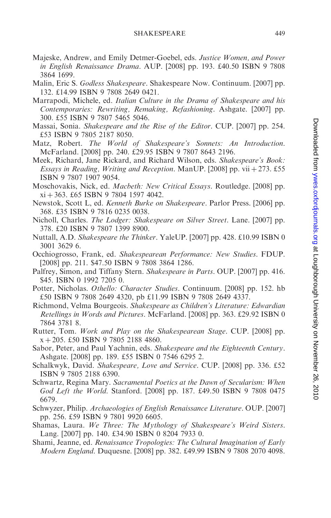- Majeske, Andrew, and Emily Detmer-Goebel, eds. Justice Women, and Power in English Renaissance Drama. AUP. [2008] pp. 193. £40.50 ISBN 9 7808 3864 1699.
- Malin, Eric S. Godless Shakespeare. Shakespeare Now. Continuum. [2007] pp. 132. £14.99 ISBN 9 7808 2649 0421.
- Marrapodi, Michele, ed. Italian Culture in the Drama of Shakespeare and his Contemporaries: Rewriting, Remaking, Refashioning. Ashgate. [2007] pp. 300. £55 ISBN 9 7807 5465 5046.
- Massai, Sonia. Shakespeare and the Rise of the Editor. CUP. [2007] pp. 254. £53 ISBN 9 7805 2187 8050.
- Matz, Robert. The World of Shakespeare's Sonnets: An Introduction. McFarland. [2008] pp. 240. £29.95 ISBN 9 7807 8643 2196.
- Meek, Richard, Jane Rickard, and Richard Wilson, eds. Shakespeare's Book: Essays in Reading, Writing and Reception. ManUP. [2008] pp. vii  $+273.$  £55 ISBN 9 7807 1907 9054.
- Moschovakis, Nick, ed. Macbeth: New Critical Essays. Routledge. [2008] pp.  $xi + 363.$  £65 ISBN 9 7804 1597 4042.
- Newstok, Scott L, ed. Kenneth Burke on Shakespeare. Parlor Press. [2006] pp. 368. £35 ISBN 9 7816 0235 0038.
- Nicholl, Charles. The Lodger: Shakespeare on Silver Street. Lane. [2007] pp. 378. £20 ISBN 9 7807 1399 8900.
- Nuttall, A.D. Shakespeare the Thinker. YaleUP. [2007] pp. 428. £10.99 ISBN 0 3001 3629 6.
- Occhiogrosso, Frank, ed. Shakespearean Performance: New Studies. FDUP. [2008] pp. 211. \$47.50 ISBN 9 7808 3864 1286.
- Palfrey, Simon, and Tiffany Stern. Shakespeare in Parts. OUP. [2007] pp. 416. \$45. ISBN 0 1992 7205 0.
- Potter, Nicholas. Othello: Character Studies. Continuum. [2008] pp. 152. hb £50 ISBN 9 7808 2649 4320, pb £11.99 ISBN 9 7808 2649 4337.
- Richmond, Velma Bourgeois. Shakespeare as Children's Literature: Edwardian Retellings in Words and Pictures. McFarland. [2008] pp. 363. £29.92 ISBN 0 7864 3781 8.
- Rutter, Tom. Work and Play on the Shakespearean Stage. CUP. [2008] pp.  $x + 205$ . £50 ISBN 9 7805 2188 4860.
- Sabor, Peter, and Paul Yachnin, eds. Shakespeare and the Eighteenth Century. Ashgate. [2008] pp. 189. £55 ISBN 0 7546 6295 2.
- Schalkwyk, David. Shakespeare, Love and Service. CUP. [2008] pp. 336. £52 ISBN 9 7805 2188 6390.
- Schwartz, Regina Mary. Sacramental Poetics at the Dawn of Secularism: When God Left the World. Stanford. [2008] pp. 187. £49.50 ISBN 9 7808 0475 6679.
- Schwyzer, Philip. Archaeologies of English Renaissance Literature. OUP. [2007] pp. 256. £59 ISBN 9 7801 9920 6605.
- Shamas, Laura. We Three: The Mythology of Shakespeare's Weird Sisters. Lang. [2007] pp. 140. £34.90 ISBN 0 8204 7933 0.
- Shami, Jeanne, ed. Renaissance Tropologies: The Cultural Imagination of Early Modern England. Duquesne. [2008] pp. 382. £49.99 ISBN 9 7808 2070 4098.